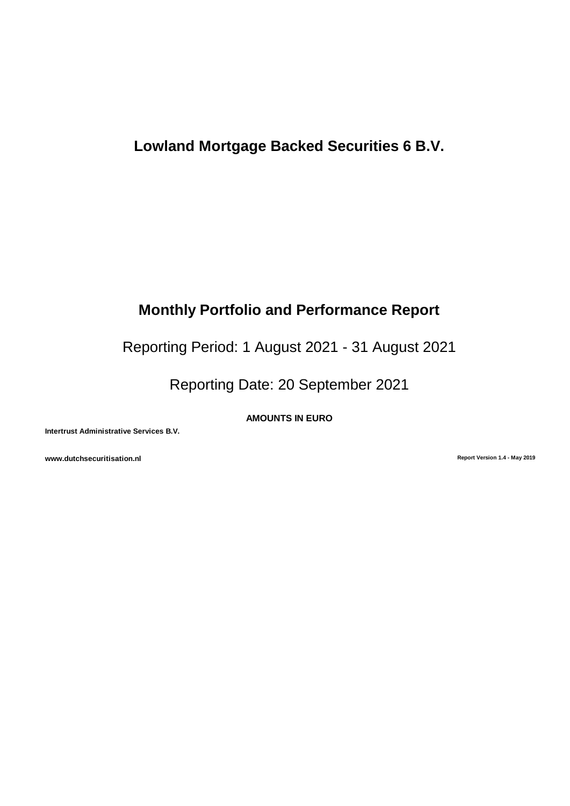# **Lowland Mortgage Backed Securities 6 B.V.**

# **Monthly Portfolio and Performance Report**

Reporting Period: 1 August 2021 - 31 August 2021

Reporting Date: 20 September 2021

**AMOUNTS IN EURO**

**Intertrust Administrative Services B.V.**

**www.dutchsecuritisation.nl Report Version 1.4 - May 2019**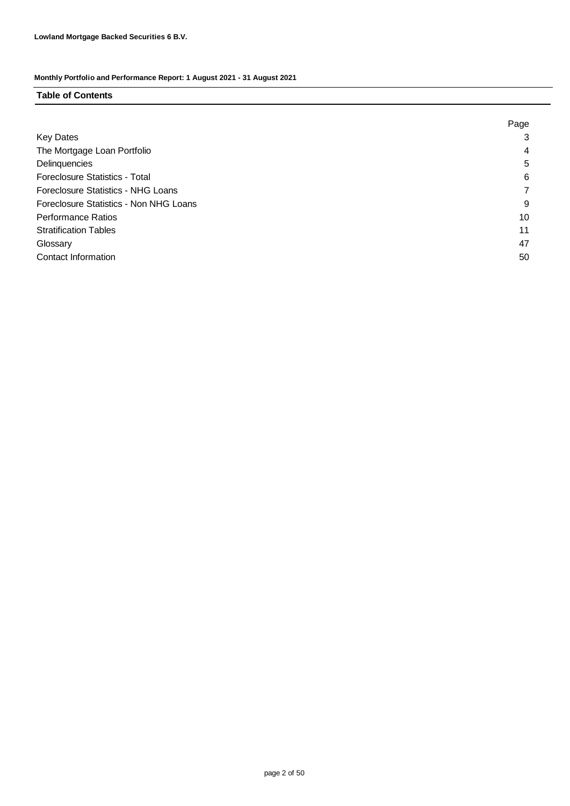### **Table of Contents**

|                                           | Page |
|-------------------------------------------|------|
| <b>Key Dates</b>                          | 3    |
| The Mortgage Loan Portfolio               | 4    |
| Delinquencies                             | 5    |
| <b>Foreclosure Statistics - Total</b>     | 6    |
| <b>Foreclosure Statistics - NHG Loans</b> |      |
| Foreclosure Statistics - Non NHG Loans    | 9    |
| <b>Performance Ratios</b>                 | 10   |
| <b>Stratification Tables</b>              | 11   |
| Glossary                                  | 47   |
| Contact Information                       | 50   |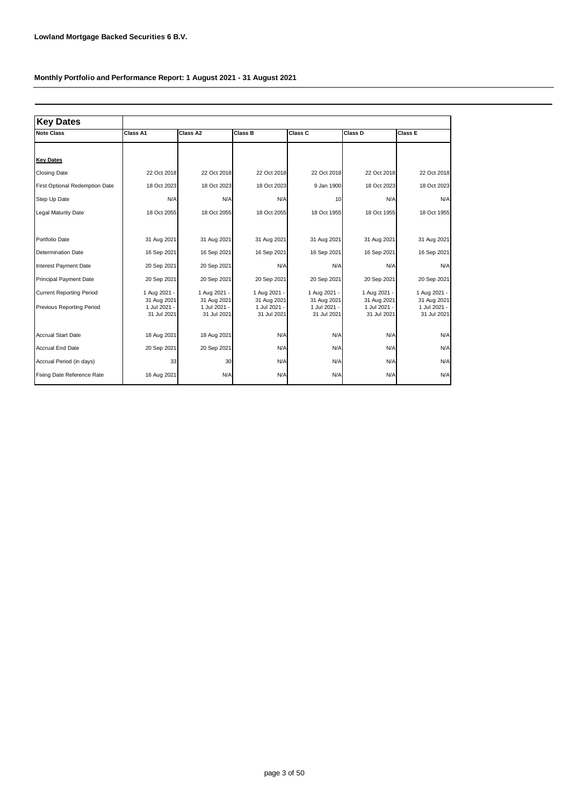| <b>Key Dates</b>                                             |                                                            |                                                            |                                                            |                                                            |                                                            |                                                            |
|--------------------------------------------------------------|------------------------------------------------------------|------------------------------------------------------------|------------------------------------------------------------|------------------------------------------------------------|------------------------------------------------------------|------------------------------------------------------------|
| <b>Note Class</b>                                            | Class A1                                                   | Class A2                                                   | <b>Class B</b>                                             | Class C                                                    | Class D                                                    | Class E                                                    |
|                                                              |                                                            |                                                            |                                                            |                                                            |                                                            |                                                            |
| <b>Key Dates</b>                                             |                                                            |                                                            |                                                            |                                                            |                                                            |                                                            |
| <b>Closing Date</b>                                          | 22 Oct 2018                                                | 22 Oct 2018                                                | 22 Oct 2018                                                | 22 Oct 2018                                                | 22 Oct 2018                                                | 22 Oct 2018                                                |
| First Optional Redemption Date                               | 18 Oct 2023                                                | 18 Oct 2023                                                | 18 Oct 2023                                                | 9 Jan 1900                                                 | 18 Oct 2023                                                | 18 Oct 2023                                                |
| Step Up Date                                                 | N/A                                                        | N/A                                                        | N/A                                                        | 10                                                         | N/A                                                        | N/A                                                        |
| Legal Maturity Date                                          | 18 Oct 2055                                                | 18 Oct 2055                                                | 18 Oct 2055                                                | 18 Oct 1955                                                | 18 Oct 1955                                                | 18 Oct 1955                                                |
|                                                              |                                                            |                                                            |                                                            |                                                            |                                                            |                                                            |
| Portfolio Date                                               | 31 Aug 2021                                                | 31 Aug 2021                                                | 31 Aug 2021                                                | 31 Aug 2021                                                | 31 Aug 2021                                                | 31 Aug 2021                                                |
| <b>Determination Date</b>                                    | 16 Sep 2021                                                | 16 Sep 2021                                                | 16 Sep 2021                                                | 16 Sep 2021                                                | 16 Sep 2021                                                | 16 Sep 2021                                                |
| Interest Payment Date                                        | 20 Sep 2021                                                | 20 Sep 2021                                                | N/A                                                        | N/A                                                        | N/A                                                        | N/A                                                        |
| <b>Principal Payment Date</b>                                | 20 Sep 2021                                                | 20 Sep 2021                                                | 20 Sep 2021                                                | 20 Sep 2021                                                | 20 Sep 2021                                                | 20 Sep 2021                                                |
| <b>Current Reporting Period</b><br>Previous Reporting Period | 1 Aug 2021 -<br>31 Aug 2021<br>1 Jul 2021 -<br>31 Jul 2021 | 1 Aug 2021 -<br>31 Aug 2021<br>1 Jul 2021 -<br>31 Jul 2021 | 1 Aug 2021 -<br>31 Aug 2021<br>1 Jul 2021 -<br>31 Jul 2021 | 1 Aug 2021 -<br>31 Aug 2021<br>1 Jul 2021 -<br>31 Jul 2021 | 1 Aug 2021 -<br>31 Aug 2021<br>1 Jul 2021 -<br>31 Jul 2021 | 1 Aug 2021 -<br>31 Aug 2021<br>1 Jul 2021 -<br>31 Jul 2021 |
| <b>Accrual Start Date</b>                                    | 18 Aug 2021                                                | 18 Aug 2021                                                | N/A                                                        | N/A                                                        | N/A                                                        | N/A                                                        |
| <b>Accrual End Date</b>                                      | 20 Sep 2021                                                | 20 Sep 2021                                                | N/A                                                        | N/A                                                        | N/A                                                        | N/A                                                        |
| Accrual Period (in days)                                     | 33                                                         | 30                                                         | N/A                                                        | N/A                                                        | N/A                                                        | N/A                                                        |
| Fixing Date Reference Rate                                   | 16 Aug 2021                                                | N/A                                                        | N/A                                                        | N/A                                                        | N/A                                                        | N/A                                                        |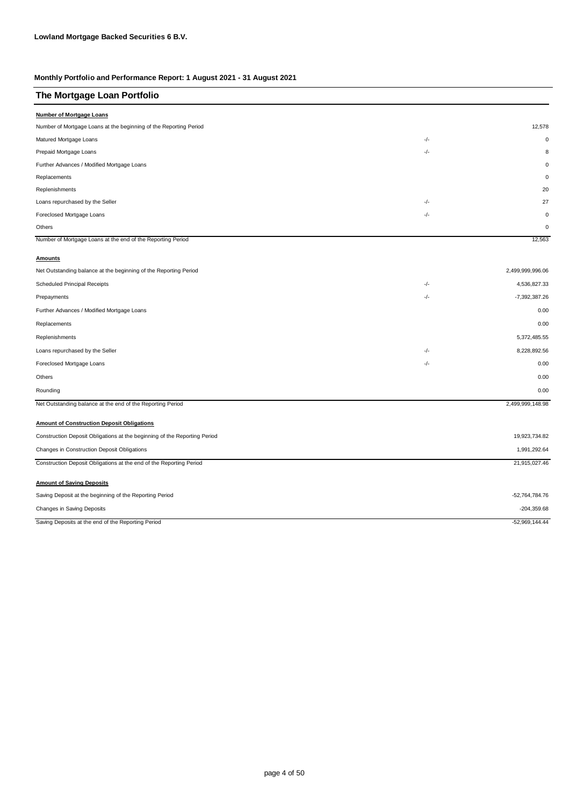| The Mortgage Loan Portfolio                                               |       |                  |
|---------------------------------------------------------------------------|-------|------------------|
| <b>Number of Mortgage Loans</b>                                           |       |                  |
| Number of Mortgage Loans at the beginning of the Reporting Period         |       | 12,578           |
| Matured Mortgage Loans                                                    | $-/-$ | $\mathbf 0$      |
| Prepaid Mortgage Loans                                                    | -/-   | 8                |
| Further Advances / Modified Mortgage Loans                                |       | O                |
| Replacements                                                              |       | $\Omega$         |
| Replenishments                                                            |       | 20               |
| Loans repurchased by the Seller                                           | -/-   | 27               |
| Foreclosed Mortgage Loans                                                 | $-/-$ | $\mathbf 0$      |
| Others                                                                    |       | $\mathbf 0$      |
| Number of Mortgage Loans at the end of the Reporting Period               |       | 12,563           |
| <b>Amounts</b>                                                            |       |                  |
| Net Outstanding balance at the beginning of the Reporting Period          |       | 2,499,999,996.06 |
| Scheduled Principal Receipts                                              | $-/-$ | 4,536,827.33     |
| Prepayments                                                               | -/-   | -7,392,387.26    |
| Further Advances / Modified Mortgage Loans                                |       | 0.00             |
| Replacements                                                              |       | 0.00             |
| Replenishments                                                            |       | 5,372,485.55     |
| Loans repurchased by the Seller                                           | -/-   | 8,228,892.56     |
| Foreclosed Mortgage Loans                                                 | $-/-$ | 0.00             |
| Others                                                                    |       | 0.00             |
| Rounding                                                                  |       | 0.00             |
| Net Outstanding balance at the end of the Reporting Period                |       | 2,499,999,148.98 |
| <b>Amount of Construction Deposit Obligations</b>                         |       |                  |
| Construction Deposit Obligations at the beginning of the Reporting Period |       | 19,923,734.82    |
| Changes in Construction Deposit Obligations                               |       | 1,991,292.64     |
| Construction Deposit Obligations at the end of the Reporting Period       |       | 21,915,027.46    |
| <b>Amount of Saving Deposits</b>                                          |       |                  |
| Saving Deposit at the beginning of the Reporting Period                   |       | -52,764,784.76   |
| Changes in Saving Deposits                                                |       | $-204,359.68$    |
| Saving Deposits at the end of the Reporting Period                        |       | $-52,969,144.44$ |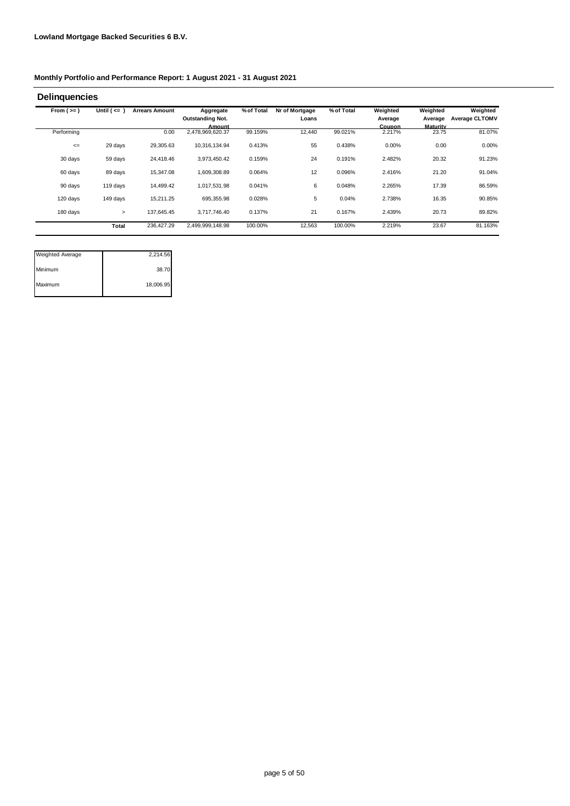| From $(>=)$ | Until $($ <= $)$ | <b>Arrears Amount</b> | Aggregate               | % of Total | Nr of Mortgage | % of Total | Weighted | Weighted | Weighted       |
|-------------|------------------|-----------------------|-------------------------|------------|----------------|------------|----------|----------|----------------|
|             |                  |                       | <b>Outstanding Not.</b> |            | Loans          |            | Average  | Average  | Average CLTOMV |
|             |                  |                       | Amount                  |            |                |            | Coupon   | Maturity |                |
| Performing  |                  | 0.00                  | 2,478,969,620.37        | 99.159%    | 12,440         | 99.021%    | 2.217%   | 23.75    | 81.07%         |
| $\leq$      | 29 days          | 29,305.63             | 10,316,134.94           | 0.413%     | 55             | 0.438%     | 0.00%    | 0.00     | 0.00%          |
| 30 days     | 59 days          | 24,418.46             | 3,973,450.42            | 0.159%     | 24             | 0.191%     | 2.482%   | 20.32    | 91.23%         |
| 60 days     | 89 days          | 15,347.08             | 1,609,308.89            | 0.064%     | 12             | 0.096%     | 2.416%   | 21.20    | 91.04%         |
| 90 days     | 119 days         | 14,499.42             | 1,017,531.98            | 0.041%     | 6              | 0.048%     | 2.265%   | 17.39    | 86.59%         |
| 120 days    | 149 days         | 15.211.25             | 695.355.98              | 0.028%     | 5              | 0.04%      | 2.738%   | 16.35    | 90.85%         |
| 180 days    | $\geq$           | 137,645.45            | 3.717.746.40            | 0.137%     | 21             | 0.167%     | 2.439%   | 20.73    | 89.82%         |
|             | Total            | 236,427.29            | 2,499,999,148.98        | 100.00%    | 12,563         | 100.00%    | 2.219%   | 23.67    | 81.163%        |

| <b>Weighted Average</b> | 2,214.56  |
|-------------------------|-----------|
| Minimum                 | 38.70     |
| Maximum                 | 18,006.95 |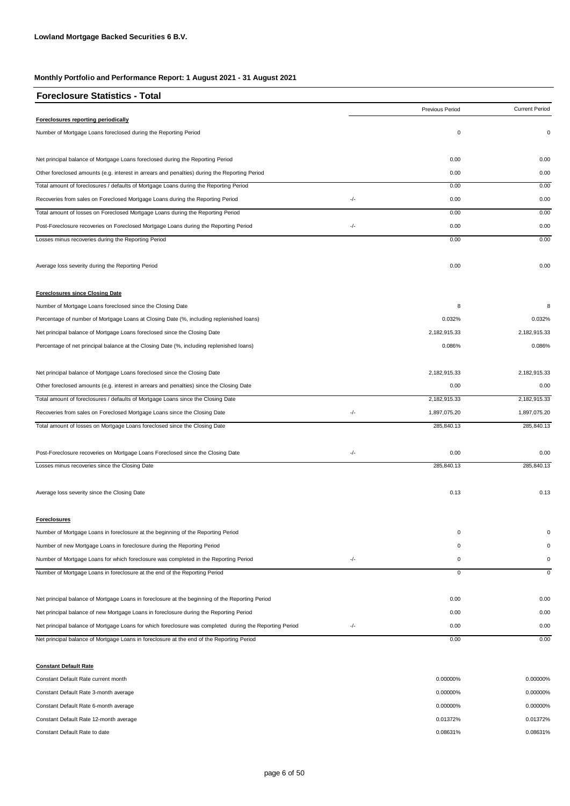| <b>Foreclosure Statistics - Total</b>                                                                   |     |                 |                       |
|---------------------------------------------------------------------------------------------------------|-----|-----------------|-----------------------|
|                                                                                                         |     | Previous Period | <b>Current Period</b> |
| Foreclosures reporting periodically                                                                     |     |                 |                       |
| Number of Mortgage Loans foreclosed during the Reporting Period                                         |     | $\pmb{0}$       | 0                     |
| Net principal balance of Mortgage Loans foreclosed during the Reporting Period                          |     | 0.00            | 0.00                  |
| Other foreclosed amounts (e.g. interest in arrears and penalties) during the Reporting Period           |     | 0.00            | 0.00                  |
| Total amount of foreclosures / defaults of Mortgage Loans during the Reporting Period                   |     | 0.00            | 0.00                  |
| Recoveries from sales on Foreclosed Mortgage Loans during the Reporting Period                          | -/- | 0.00            | 0.00                  |
| Total amount of losses on Foreclosed Mortgage Loans during the Reporting Period                         |     | 0.00            | 0.00                  |
| Post-Foreclosure recoveries on Foreclosed Mortgage Loans during the Reporting Period                    | -/- | 0.00            | 0.00                  |
| Losses minus recoveries during the Reporting Period                                                     |     | 0.00            | 0.00                  |
| Average loss severity during the Reporting Period                                                       |     | 0.00            | 0.00                  |
| <b>Foreclosures since Closing Date</b>                                                                  |     |                 |                       |
| Number of Mortgage Loans foreclosed since the Closing Date                                              |     | 8               | 8                     |
| Percentage of number of Mortgage Loans at Closing Date (%, including replenished loans)                 |     | 0.032%          | 0.032%                |
| Net principal balance of Mortgage Loans foreclosed since the Closing Date                               |     | 2,182,915.33    | 2,182,915.33          |
| Percentage of net principal balance at the Closing Date (%, including replenished loans)                |     | 0.086%          | 0.086%                |
| Net principal balance of Mortgage Loans foreclosed since the Closing Date                               |     | 2,182,915.33    | 2,182,915.33          |
| Other foreclosed amounts (e.g. interest in arrears and penalties) since the Closing Date                |     | 0.00            | 0.00                  |
| Total amount of foreclosures / defaults of Mortgage Loans since the Closing Date                        |     | 2,182,915.33    | 2,182,915.33          |
| Recoveries from sales on Foreclosed Mortgage Loans since the Closing Date                               | -/- | 1,897,075.20    | 1,897,075.20          |
| Total amount of losses on Mortgage Loans foreclosed since the Closing Date                              |     | 285,840.13      | 285,840.13            |
| Post-Foreclosure recoveries on Mortgage Loans Foreclosed since the Closing Date                         | -/- | 0.00            | 0.00                  |
| Losses minus recoveries since the Closing Date                                                          |     | 285,840.13      | 285,840.13            |
| Average loss severity since the Closing Date                                                            |     | 0.13            | 0.13                  |
| <b>Foreclosures</b>                                                                                     |     |                 |                       |
| Number of Mortgage Loans in foreclosure at the beginning of the Reporting Period                        |     | 0               |                       |
| Number of new Mortgage Loans in foreclosure during the Reporting Period                                 |     | 0               | $\Omega$              |
| Number of Mortgage Loans for which foreclosure was completed in the Reporting Period                    | -/- | 0               | 0                     |
| Number of Mortgage Loans in foreclosure at the end of the Reporting Period                              |     | $\mathbf 0$     | 0                     |
| Net principal balance of Mortgage Loans in foreclosure at the beginning of the Reporting Period         |     | 0.00            | 0.00                  |
| Net principal balance of new Mortgage Loans in foreclosure during the Reporting Period                  |     | 0.00            | 0.00                  |
| Net principal balance of Mortgage Loans for which foreclosure was completed during the Reporting Period | -/- | 0.00            | 0.00                  |
| Net principal balance of Mortgage Loans in foreclosure at the end of the Reporting Period               |     | 0.00            | 0.00                  |

#### **Constant Default Rate**

| Constant Default Rate current month    | 0.00000% | 0.00000% |
|----------------------------------------|----------|----------|
| Constant Default Rate 3-month average  | 0.00000% | 0.00000% |
| Constant Default Rate 6-month average  | 0.00000% | 0.00000% |
| Constant Default Rate 12-month average | 0.01372% | 0.01372% |
| Constant Default Rate to date          | 0.08631% | 0.08631% |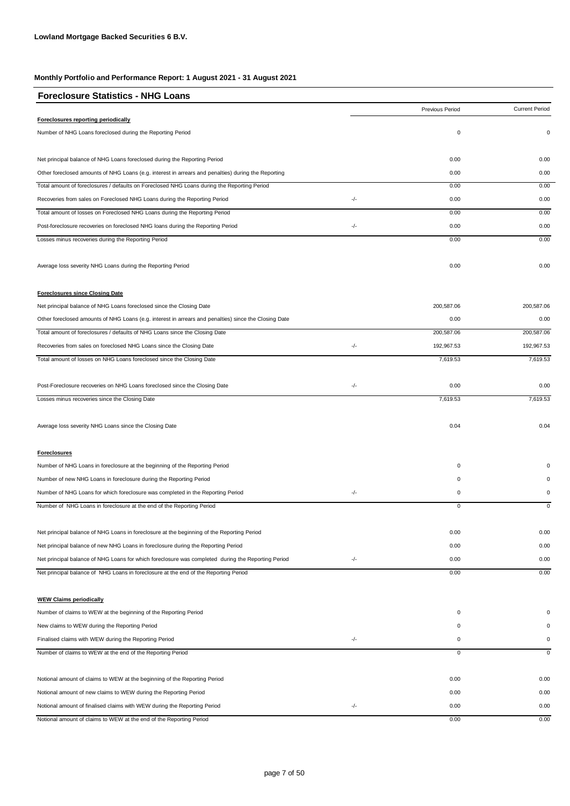| <b>Foreclosure Statistics - NHG Loans</b>                                                             |     |                 |                       |
|-------------------------------------------------------------------------------------------------------|-----|-----------------|-----------------------|
|                                                                                                       |     | Previous Period | <b>Current Period</b> |
| Foreclosures reporting periodically                                                                   |     |                 |                       |
| Number of NHG Loans foreclosed during the Reporting Period                                            |     | 0               | $\mathbf 0$           |
| Net principal balance of NHG Loans foreclosed during the Reporting Period                             |     | 0.00            | 0.00                  |
| Other foreclosed amounts of NHG Loans (e.g. interest in arrears and penalties) during the Reporting   |     | 0.00            | 0.00                  |
| Total amount of foreclosures / defaults on Foreclosed NHG Loans during the Reporting Period           |     | 0.00            | 0.00                  |
| Recoveries from sales on Foreclosed NHG Loans during the Reporting Period                             | -/- | 0.00            | 0.00                  |
| Total amount of losses on Foreclosed NHG Loans during the Reporting Period                            |     | 0.00            | 0.00                  |
| Post-foreclosure recoveries on foreclosed NHG loans during the Reporting Period                       | -/- | 0.00            | 0.00                  |
| Losses minus recoveries during the Reporting Period                                                   |     | 0.00            | 0.00                  |
| Average loss severity NHG Loans during the Reporting Period                                           |     | 0.00            | 0.00                  |
| <b>Foreclosures since Closing Date</b>                                                                |     |                 |                       |
| Net principal balance of NHG Loans foreclosed since the Closing Date                                  |     | 200,587.06      | 200,587.06            |
| Other foreclosed amounts of NHG Loans (e.g. interest in arrears and penalties) since the Closing Date |     | 0.00            | 0.00                  |
| Total amount of foreclosures / defaults of NHG Loans since the Closing Date                           |     | 200,587.06      | 200,587.06            |
| Recoveries from sales on foreclosed NHG Loans since the Closing Date                                  | -/- | 192,967.53      | 192,967.53            |
| Total amount of losses on NHG Loans foreclosed since the Closing Date                                 |     | 7,619.53        | 7,619.53              |
| Post-Foreclosure recoveries on NHG Loans foreclosed since the Closing Date                            | -/- | 0.00            | 0.00                  |
| Losses minus recoveries since the Closing Date                                                        |     | 7,619.53        | 7,619.53              |
| Average loss severity NHG Loans since the Closing Date                                                |     | 0.04            | 0.04                  |
| <b>Foreclosures</b>                                                                                   |     |                 |                       |
| Number of NHG Loans in foreclosure at the beginning of the Reporting Period                           |     | 0               |                       |
| Number of new NHG Loans in foreclosure during the Reporting Period                                    |     | 0               |                       |
| Number of NHG Loans for which foreclosure was completed in the Reporting Period                       | -/- | $\pmb{0}$       |                       |
| Number of NHG Loans in foreclosure at the end of the Reporting Period                                 |     | 0               | 0                     |
|                                                                                                       |     |                 |                       |
| Net principal balance of NHG Loans in foreclosure at the beginning of the Reporting Period            |     | 0.00            | 0.00                  |
| Net principal balance of new NHG Loans in foreclosure during the Reporting Period                     |     | 0.00            | 0.00                  |
| Net principal balance of NHG Loans for which foreclosure was completed during the Reporting Period    | -/- | 0.00            | 0.00                  |
| Net principal balance of NHG Loans in foreclosure at the end of the Reporting Period                  |     | 0.00            | 0.00                  |
| <b>WEW Claims periodically</b>                                                                        |     |                 |                       |
| Number of claims to WEW at the beginning of the Reporting Period                                      |     | 0               | 0                     |
| New claims to WEW during the Reporting Period                                                         |     | 0               |                       |
| Finalised claims with WEW during the Reporting Period                                                 | -/- | 0               | 0                     |
| Number of claims to WEW at the end of the Reporting Period                                            |     | 0               | $\mathbf 0$           |
|                                                                                                       |     |                 |                       |
| Notional amount of claims to WEW at the beginning of the Reporting Period                             |     | 0.00            | 0.00                  |
| Notional amount of new claims to WEW during the Reporting Period                                      |     | 0.00            | 0.00                  |
| Notional amount of finalised claims with WEW during the Reporting Period                              | -/- | 0.00            | 0.00                  |
| Notional amount of claims to WEW at the end of the Reporting Period                                   |     | 0.00            | 0.00                  |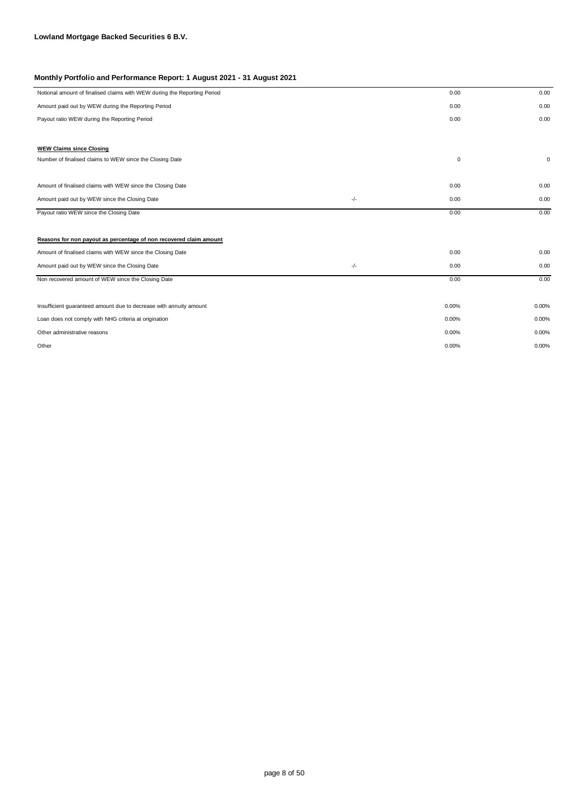|       | 0.00        | 0.00         |
|-------|-------------|--------------|
|       | 0.00        | 0.00         |
|       | 0.00        | 0.00         |
|       |             |              |
|       |             |              |
|       | $\mathbf 0$ | $\mathbf{0}$ |
|       |             |              |
|       | 0.00        | 0.00         |
|       |             | 0.00         |
|       |             |              |
|       | 0.00        | 0.00         |
|       |             |              |
|       |             |              |
|       | 0.00        | 0.00         |
| $-/-$ | 0.00        | 0.00         |
|       | 0.00        | 0.00         |
|       |             |              |
|       | 0.00%       | 0.00%        |
|       | 0.00%       | 0.00%        |
|       | 0.00%       | 0.00%        |
|       | 0.00%       | 0.00%        |
|       | -/-         | 0.00         |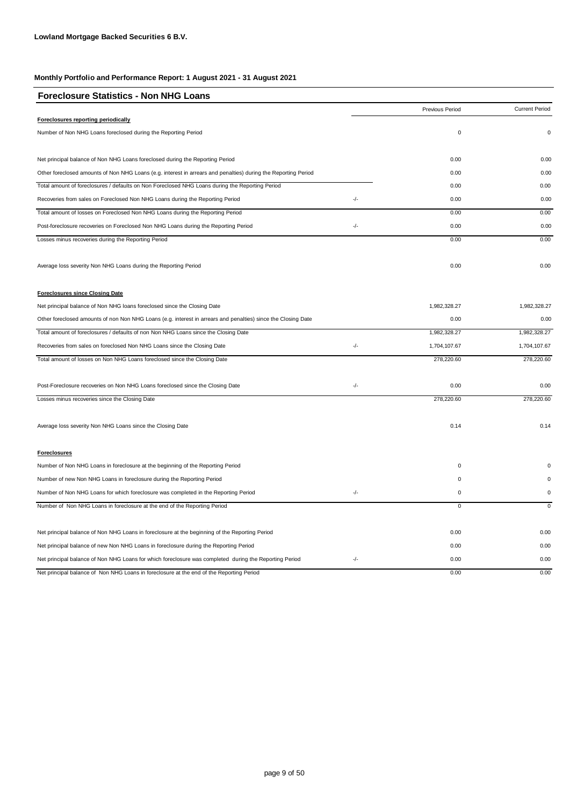| <b>Foreclosure Statistics - Non NHG Loans</b>                                                                  |       |                 |                       |
|----------------------------------------------------------------------------------------------------------------|-------|-----------------|-----------------------|
|                                                                                                                |       | Previous Period | <b>Current Period</b> |
| Foreclosures reporting periodically                                                                            |       |                 |                       |
| Number of Non NHG Loans foreclosed during the Reporting Period                                                 |       | $\pmb{0}$       | $\Omega$              |
| Net principal balance of Non NHG Loans foreclosed during the Reporting Period                                  |       | 0.00            | 0.00                  |
| Other foreclosed amounts of Non NHG Loans (e.g. interest in arrears and penalties) during the Reporting Period |       | 0.00            | 0.00                  |
| Total amount of foreclosures / defaults on Non Foreclosed NHG Loans during the Reporting Period                |       | 0.00            | 0.00                  |
| Recoveries from sales on Foreclosed Non NHG Loans during the Reporting Period                                  | $-/-$ | 0.00            | 0.00                  |
| Total amount of losses on Foreclosed Non NHG Loans during the Reporting Period                                 |       | 0.00            | 0.00                  |
| Post-foreclosure recoveries on Foreclosed Non NHG Loans during the Reporting Period                            | -/-   | 0.00            | 0.00                  |
| Losses minus recoveries during the Reporting Period                                                            |       | 0.00            | 0.00                  |
| Average loss severity Non NHG Loans during the Reporting Period                                                |       | 0.00            | 0.00                  |
| <b>Foreclosures since Closing Date</b>                                                                         |       |                 |                       |
| Net principal balance of Non NHG loans foreclosed since the Closing Date                                       |       | 1,982,328.27    | 1,982,328.27          |
| Other foreclosed amounts of non Non NHG Loans (e.g. interest in arrears and penalties) since the Closing Date  |       | 0.00            | 0.00                  |
| Total amount of foreclosures / defaults of non Non NHG Loans since the Closing Date                            |       | 1,982,328.27    | 1,982,328.27          |
| Recoveries from sales on foreclosed Non NHG Loans since the Closing Date                                       | -/-   | 1,704,107.67    | 1,704,107.67          |
| Total amount of losses on Non NHG Loans foreclosed since the Closing Date                                      |       | 278,220.60      | 278,220.60            |
| Post-Foreclosure recoveries on Non NHG Loans foreclosed since the Closing Date                                 | -/-   | 0.00            | 0.00                  |
| Losses minus recoveries since the Closing Date                                                                 |       | 278,220.60      | 278,220.60            |
| Average loss severity Non NHG Loans since the Closing Date                                                     |       | 0.14            | 0.14                  |
| <b>Foreclosures</b>                                                                                            |       |                 |                       |
| Number of Non NHG Loans in foreclosure at the beginning of the Reporting Period                                |       | $\mathsf 0$     |                       |
| Number of new Non NHG Loans in foreclosure during the Reporting Period                                         |       | 0               |                       |
| Number of Non NHG Loans for which foreclosure was completed in the Reporting Period                            | -/-   | $\pmb{0}$       |                       |
| Number of Non NHG Loans in foreclosure at the end of the Reporting Period                                      |       | 0               | $\pmb{0}$             |
| Net principal balance of Non NHG Loans in foreclosure at the beginning of the Reporting Period                 |       | 0.00            | 0.00                  |
| Net principal balance of new Non NHG Loans in foreclosure during the Reporting Period                          |       | 0.00            | 0.00                  |
| Net principal balance of Non NHG Loans for which foreclosure was completed during the Reporting Period         | -/-   | 0.00            | 0.00                  |
| Net principal balance of Non NHG Loans in foreclosure at the end of the Reporting Period                       |       | 0.00            | 0.00                  |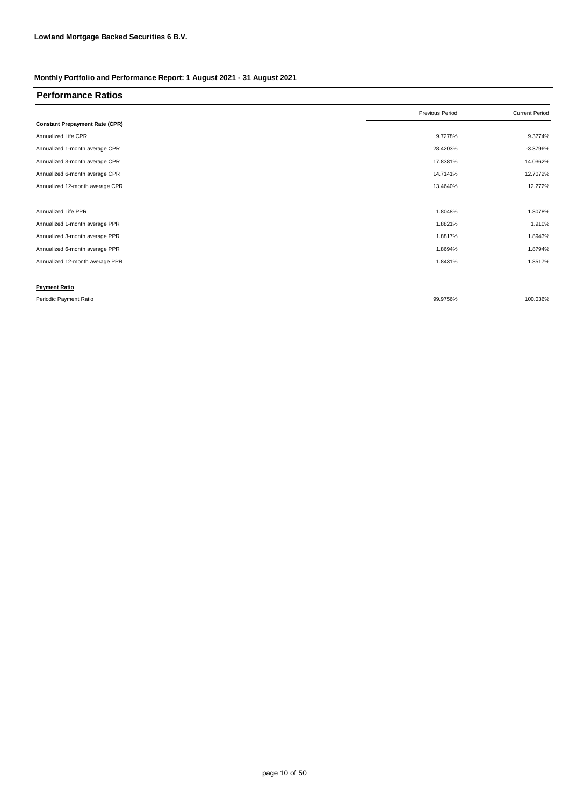| <b>Performance Ratios</b>             |                 |                       |
|---------------------------------------|-----------------|-----------------------|
|                                       | Previous Period | <b>Current Period</b> |
| <b>Constant Prepayment Rate (CPR)</b> |                 |                       |
| Annualized Life CPR                   | 9.7278%         | 9.3774%               |
| Annualized 1-month average CPR        | 28.4203%        | $-3.3796%$            |
| Annualized 3-month average CPR        | 17.8381%        | 14.0362%              |
| Annualized 6-month average CPR        | 14.7141%        | 12.7072%              |
| Annualized 12-month average CPR       | 13.4640%        | 12.272%               |
|                                       |                 |                       |
| Annualized Life PPR                   | 1.8048%         | 1.8078%               |
| Annualized 1-month average PPR        | 1.8821%         | 1.910%                |
| Annualized 3-month average PPR        | 1.8817%         | 1.8943%               |
| Annualized 6-month average PPR        | 1.8694%         | 1.8794%               |
| Annualized 12-month average PPR       | 1.8431%         | 1.8517%               |
|                                       |                 |                       |
| <b>Payment Ratio</b>                  |                 |                       |
| Periodic Payment Ratio                | 99.9756%        | 100.036%              |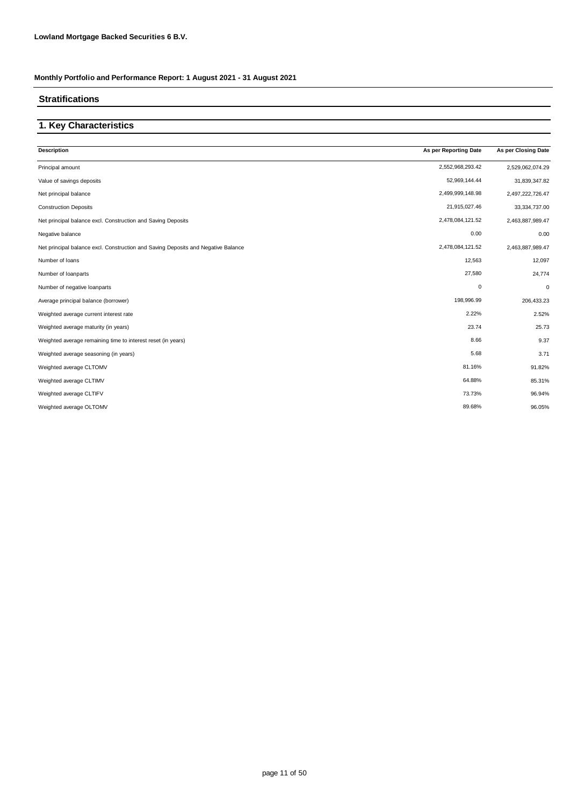### **Stratifications**

### **1. Key Characteristics**

| <b>Description</b>                                                                | As per Reporting Date | As per Closing Date |
|-----------------------------------------------------------------------------------|-----------------------|---------------------|
| Principal amount                                                                  | 2,552,968,293.42      | 2,529,062,074.29    |
| Value of savings deposits                                                         | 52,969,144.44         | 31,839,347.82       |
| Net principal balance                                                             | 2,499,999,148.98      | 2,497,222,726.47    |
| <b>Construction Deposits</b>                                                      | 21,915,027.46         | 33,334,737.00       |
| Net principal balance excl. Construction and Saving Deposits                      | 2,478,084,121.52      | 2,463,887,989.47    |
| Negative balance                                                                  | 0.00                  | 0.00                |
| Net principal balance excl. Construction and Saving Deposits and Negative Balance | 2,478,084,121.52      | 2,463,887,989.47    |
| Number of loans                                                                   | 12,563                | 12,097              |
| Number of loanparts                                                               | 27,580                | 24,774              |
| Number of negative loanparts                                                      | $\mathbf 0$           | 0                   |
| Average principal balance (borrower)                                              | 198,996.99            | 206,433.23          |
| Weighted average current interest rate                                            | 2.22%                 | 2.52%               |
| Weighted average maturity (in years)                                              | 23.74                 | 25.73               |
| Weighted average remaining time to interest reset (in years)                      | 8.66                  | 9.37                |
| Weighted average seasoning (in years)                                             | 5.68                  | 3.71                |
| Weighted average CLTOMV                                                           | 81.16%                | 91.82%              |
| Weighted average CLTIMV                                                           | 64.88%                | 85.31%              |
| Weighted average CLTIFV                                                           | 73.73%                | 96.94%              |
| Weighted average OLTOMV                                                           | 89.68%                | 96.05%              |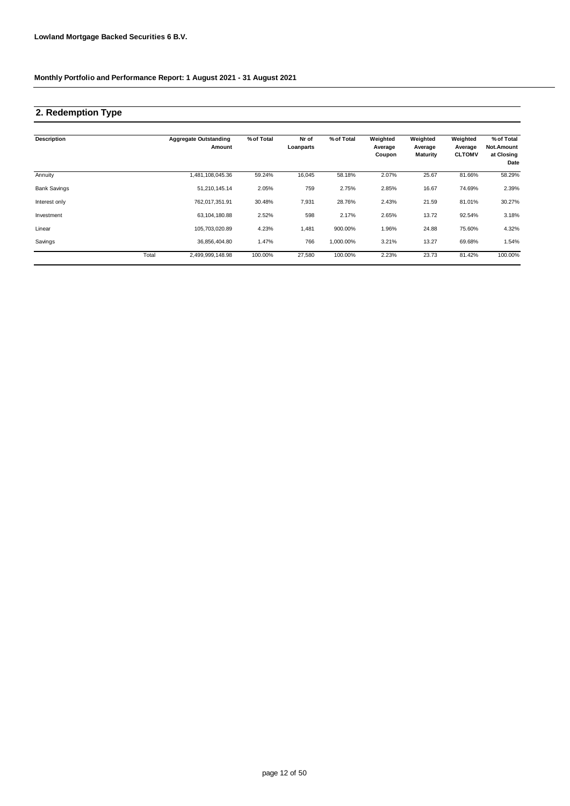## **2. Redemption Type**

| <b>Description</b>  |       | <b>Aggregate Outstanding</b><br>Amount | % of Total | Nr of<br>Loanparts | % of Total | Weighted<br>Average<br>Coupon | Weighted<br>Average<br><b>Maturity</b> | Weighted<br>Average<br><b>CLTOMV</b> | % of Total<br>Not.Amount<br>at Closing<br>Date |
|---------------------|-------|----------------------------------------|------------|--------------------|------------|-------------------------------|----------------------------------------|--------------------------------------|------------------------------------------------|
| Annuity             |       | 481,108,045.36                         | 59.24%     | 16,045             | 58.18%     | 2.07%                         | 25.67                                  | 81.66%                               | 58.29%                                         |
| <b>Bank Savings</b> |       | 51,210,145.14                          | 2.05%      | 759                | 2.75%      | 2.85%                         | 16.67                                  | 74.69%                               | 2.39%                                          |
| Interest only       |       | 762,017,351.91                         | 30.48%     | 7,931              | 28.76%     | 2.43%                         | 21.59                                  | 81.01%                               | 30.27%                                         |
| Investment          |       | 63,104,180.88                          | 2.52%      | 598                | 2.17%      | 2.65%                         | 13.72                                  | 92.54%                               | 3.18%                                          |
| Linear              |       | 105,703,020.89                         | 4.23%      | 1,481              | 900.00%    | 1.96%                         | 24.88                                  | 75.60%                               | 4.32%                                          |
| Savings             |       | 36,856,404.80                          | 1.47%      | 766                | 1,000.00%  | 3.21%                         | 13.27                                  | 69.68%                               | 1.54%                                          |
|                     | Total | 2,499,999,148.98                       | 100.00%    | 27,580             | 100.00%    | 2.23%                         | 23.73                                  | 81.42%                               | 100.00%                                        |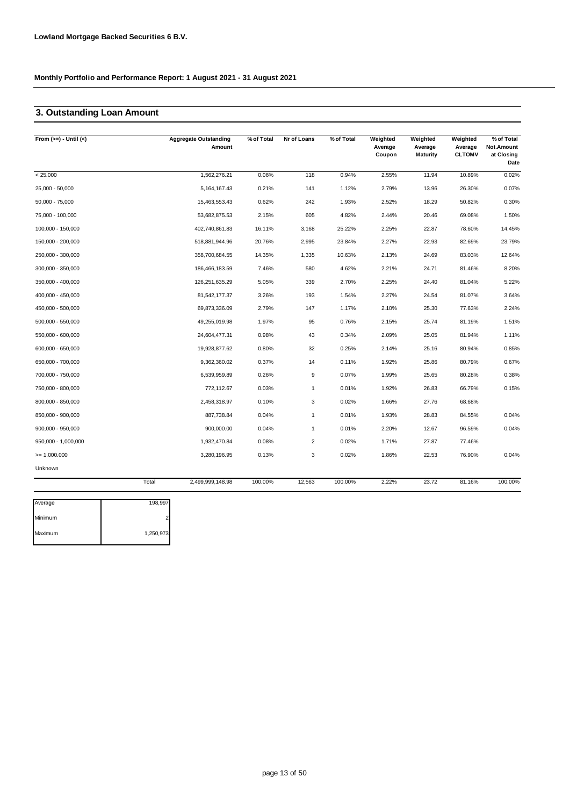### **3. Outstanding Loan Amount**

| From $(>=) -$ Until $(<)$ |       | <b>Aggregate Outstanding</b><br>Amount | % of Total | Nr of Loans      | % of Total | Weighted<br>Average<br>Coupon | Weighted<br>Average<br><b>Maturity</b> | Weighted<br>Average<br><b>CLTOMV</b> | % of Total<br>Not.Amount<br>at Closing<br>Date |
|---------------------------|-------|----------------------------------------|------------|------------------|------------|-------------------------------|----------------------------------------|--------------------------------------|------------------------------------------------|
| < 25.000                  |       | 1,562,276.21                           | 0.06%      | 118              | 0.94%      | 2.55%                         | 11.94                                  | 10.89%                               | 0.02%                                          |
| 25,000 - 50,000           |       | 5,164,167.43                           | 0.21%      | 141              | 1.12%      | 2.79%                         | 13.96                                  | 26.30%                               | 0.07%                                          |
| $50,000 - 75,000$         |       | 15,463,553.43                          | 0.62%      | 242              | 1.93%      | 2.52%                         | 18.29                                  | 50.82%                               | 0.30%                                          |
| 75,000 - 100,000          |       | 53,682,875.53                          | 2.15%      | 605              | 4.82%      | 2.44%                         | 20.46                                  | 69.08%                               | 1.50%                                          |
| 100,000 - 150,000         |       | 402,740,861.83                         | 16.11%     | 3,168            | 25.22%     | 2.25%                         | 22.87                                  | 78.60%                               | 14.45%                                         |
| 150,000 - 200,000         |       | 518,881,944.96                         | 20.76%     | 2,995            | 23.84%     | 2.27%                         | 22.93                                  | 82.69%                               | 23.79%                                         |
| 250,000 - 300,000         |       | 358,700,684.55                         | 14.35%     | 1,335            | 10.63%     | 2.13%                         | 24.69                                  | 83.03%                               | 12.64%                                         |
| 300,000 - 350,000         |       | 186,466,183.59                         | 7.46%      | 580              | 4.62%      | 2.21%                         | 24.71                                  | 81.46%                               | 8.20%                                          |
| 350,000 - 400,000         |       | 126,251,635.29                         | 5.05%      | 339              | 2.70%      | 2.25%                         | 24.40                                  | 81.04%                               | 5.22%                                          |
| 400,000 - 450,000         |       | 81,542,177.37                          | 3.26%      | 193              | 1.54%      | 2.27%                         | 24.54                                  | 81.07%                               | 3.64%                                          |
| 450,000 - 500,000         |       | 69,873,336.09                          | 2.79%      | 147              | 1.17%      | 2.10%                         | 25.30                                  | 77.63%                               | 2.24%                                          |
| 500,000 - 550,000         |       | 49,255,019.98                          | 1.97%      | 95               | 0.76%      | 2.15%                         | 25.74                                  | 81.19%                               | 1.51%                                          |
| 550,000 - 600,000         |       | 24,604,477.31                          | 0.98%      | 43               | 0.34%      | 2.09%                         | 25.05                                  | 81.94%                               | 1.11%                                          |
| 600,000 - 650,000         |       | 19,928,877.62                          | 0.80%      | 32               | 0.25%      | 2.14%                         | 25.16                                  | 80.94%                               | 0.85%                                          |
| 650,000 - 700,000         |       | 9,362,360.02                           | 0.37%      | 14               | 0.11%      | 1.92%                         | 25.86                                  | 80.79%                               | 0.67%                                          |
| 700,000 - 750,000         |       | 6,539,959.89                           | 0.26%      | $\boldsymbol{9}$ | 0.07%      | 1.99%                         | 25.65                                  | 80.28%                               | 0.38%                                          |
| 750,000 - 800,000         |       | 772,112.67                             | 0.03%      | $\mathbf{1}$     | 0.01%      | 1.92%                         | 26.83                                  | 66.79%                               | 0.15%                                          |
| 800,000 - 850,000         |       | 2,458,318.97                           | 0.10%      | 3                | 0.02%      | 1.66%                         | 27.76                                  | 68.68%                               |                                                |
| 850,000 - 900,000         |       | 887,738.84                             | 0.04%      | $\overline{1}$   | 0.01%      | 1.93%                         | 28.83                                  | 84.55%                               | 0.04%                                          |
| $900,000 - 950,000$       |       | 900,000.00                             | 0.04%      | $\mathbf{1}$     | 0.01%      | 2.20%                         | 12.67                                  | 96.59%                               | 0.04%                                          |
| 950,000 - 1,000,000       |       | 1,932,470.84                           | 0.08%      | $\overline{2}$   | 0.02%      | 1.71%                         | 27.87                                  | 77.46%                               |                                                |
| $= 1.000.000$             |       | 3,280,196.95                           | 0.13%      | 3                | 0.02%      | 1.86%                         | 22.53                                  | 76.90%                               | 0.04%                                          |
| Unknown                   |       |                                        |            |                  |            |                               |                                        |                                      |                                                |
|                           | Total | 2,499,999,148.98                       | 100.00%    | 12,563           | 100.00%    | 2.22%                         | 23.72                                  | 81.16%                               | 100.00%                                        |

| Average | 198,997   |
|---------|-----------|
| Minimum |           |
| Maximum | 1,250,973 |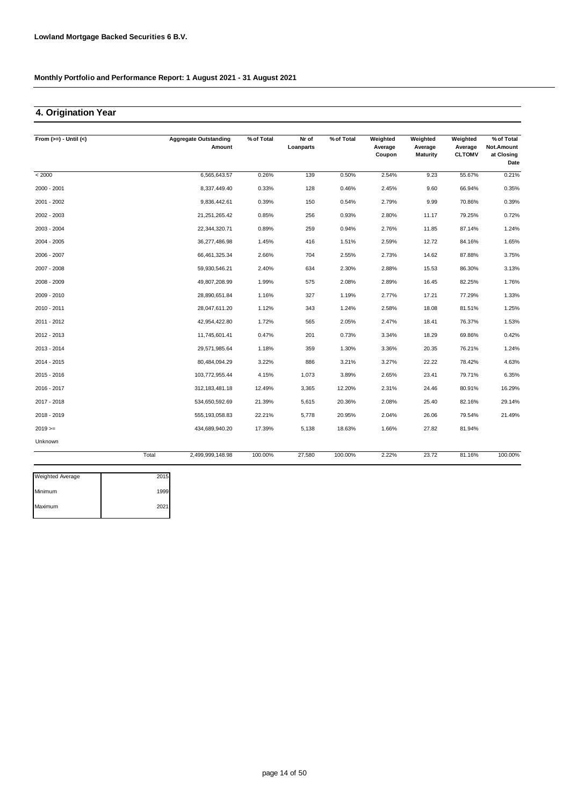### **4. Origination Year**

| From $(>=) -$ Until $(<)$ |       | <b>Aggregate Outstanding</b><br>Amount | % of Total | $Nr$ of<br>Loanparts | % of Total | Weighted<br>Average<br>Coupon | Weighted<br>Average<br><b>Maturity</b> | Weighted<br>Average<br><b>CLTOMV</b> | % of Total<br>Not.Amount<br>at Closing<br>Date |
|---------------------------|-------|----------------------------------------|------------|----------------------|------------|-------------------------------|----------------------------------------|--------------------------------------|------------------------------------------------|
| < 2000                    |       | 6,565,643.57                           | 0.26%      | 139                  | 0.50%      | 2.54%                         | 9.23                                   | 55.67%                               | 0.21%                                          |
| 2000 - 2001               |       | 8,337,449.40                           | 0.33%      | 128                  | 0.46%      | 2.45%                         | 9.60                                   | 66.94%                               | 0.35%                                          |
| 2001 - 2002               |       | 9,836,442.61                           | 0.39%      | 150                  | 0.54%      | 2.79%                         | 9.99                                   | 70.86%                               | 0.39%                                          |
| 2002 - 2003               |       | 21,251,265.42                          | 0.85%      | 256                  | 0.93%      | 2.80%                         | 11.17                                  | 79.25%                               | 0.72%                                          |
| 2003 - 2004               |       | 22,344,320.71                          | 0.89%      | 259                  | 0.94%      | 2.76%                         | 11.85                                  | 87.14%                               | 1.24%                                          |
| 2004 - 2005               |       | 36,277,486.98                          | 1.45%      | 416                  | 1.51%      | 2.59%                         | 12.72                                  | 84.16%                               | 1.65%                                          |
| 2006 - 2007               |       | 66,461,325.34                          | 2.66%      | 704                  | 2.55%      | 2.73%                         | 14.62                                  | 87.88%                               | 3.75%                                          |
| 2007 - 2008               |       | 59,930,546.21                          | 2.40%      | 634                  | 2.30%      | 2.88%                         | 15.53                                  | 86.30%                               | 3.13%                                          |
| 2008 - 2009               |       | 49,807,208.99                          | 1.99%      | 575                  | 2.08%      | 2.89%                         | 16.45                                  | 82.25%                               | 1.76%                                          |
| 2009 - 2010               |       | 28,890,651.84                          | 1.16%      | 327                  | 1.19%      | 2.77%                         | 17.21                                  | 77.29%                               | 1.33%                                          |
| 2010 - 2011               |       | 28,047,611.20                          | 1.12%      | 343                  | 1.24%      | 2.58%                         | 18.08                                  | 81.51%                               | 1.25%                                          |
| 2011 - 2012               |       | 42,954,422.80                          | 1.72%      | 565                  | 2.05%      | 2.47%                         | 18.41                                  | 76.37%                               | 1.53%                                          |
| 2012 - 2013               |       | 11,745,601.41                          | 0.47%      | 201                  | 0.73%      | 3.34%                         | 18.29                                  | 69.86%                               | 0.42%                                          |
| 2013 - 2014               |       | 29,571,985.64                          | 1.18%      | 359                  | 1.30%      | 3.36%                         | 20.35                                  | 76.21%                               | 1.24%                                          |
| 2014 - 2015               |       | 80,484,094.29                          | 3.22%      | 886                  | 3.21%      | 3.27%                         | 22.22                                  | 78.42%                               | 4.63%                                          |
| 2015 - 2016               |       | 103,772,955.44                         | 4.15%      | 1,073                | 3.89%      | 2.65%                         | 23.41                                  | 79.71%                               | 6.35%                                          |
| 2016 - 2017               |       | 312, 183, 481. 18                      | 12.49%     | 3,365                | 12.20%     | 2.31%                         | 24.46                                  | 80.91%                               | 16.29%                                         |
| 2017 - 2018               |       | 534,650,592.69                         | 21.39%     | 5,615                | 20.36%     | 2.08%                         | 25.40                                  | 82.16%                               | 29.14%                                         |
| 2018 - 2019               |       | 555, 193, 058.83                       | 22.21%     | 5,778                | 20.95%     | 2.04%                         | 26.06                                  | 79.54%                               | 21.49%                                         |
| $2019 ==$                 |       | 434,689,940.20                         | 17.39%     | 5,138                | 18.63%     | 1.66%                         | 27.82                                  | 81.94%                               |                                                |
| Unknown                   |       |                                        |            |                      |            |                               |                                        |                                      |                                                |
|                           | Total | 2,499,999,148.98                       | 100.00%    | 27,580               | 100.00%    | 2.22%                         | 23.72                                  | 81.16%                               | 100.00%                                        |

| 2015 |
|------|
| 1999 |
| 2021 |
|      |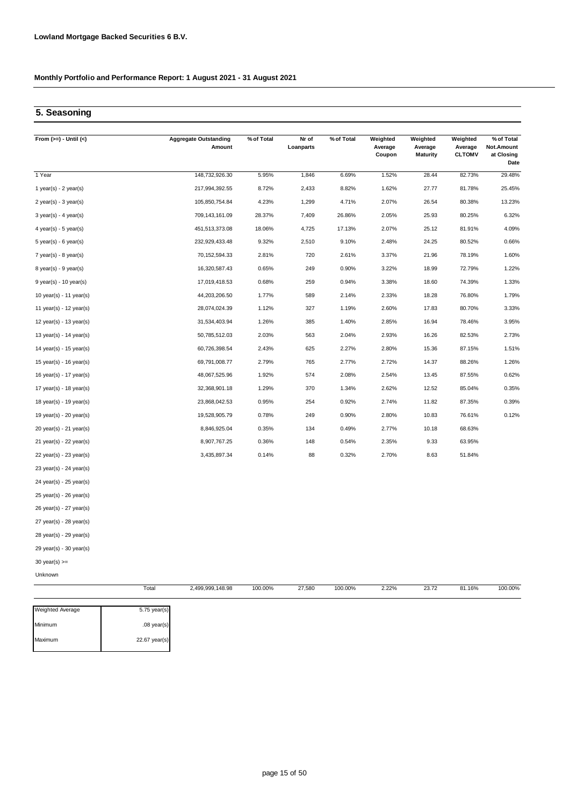### **5. Seasoning**

| From $(>=) -$ Until $(<)$               | <b>Aggregate Outstanding</b><br>Amount | % of Total | Nr of<br>Loanparts | % of Total | Weighted<br>Average<br>Coupon | Weighted<br>Average<br><b>Maturity</b> | Weighted<br>Average<br><b>CLTOMV</b> | % of Total<br>Not.Amount<br>at Closing<br>Date |
|-----------------------------------------|----------------------------------------|------------|--------------------|------------|-------------------------------|----------------------------------------|--------------------------------------|------------------------------------------------|
| 1 Year                                  | 148,732,926.30                         | 5.95%      | 1,846              | 6.69%      | 1.52%                         | 28.44                                  | 82.73%                               | 29.48%                                         |
| 1 year(s) - $2$ year(s)                 | 217,994,392.55                         | 8.72%      | 2,433              | 8.82%      | 1.62%                         | 27.77                                  | 81.78%                               | 25.45%                                         |
| $2$ year(s) - $3$ year(s)               | 105,850,754.84                         | 4.23%      | 1,299              | 4.71%      | 2.07%                         | 26.54                                  | 80.38%                               | 13.23%                                         |
| $3 \text{ year(s)} - 4 \text{ year(s)}$ | 709,143,161.09                         | 28.37%     | 7,409              | 26.86%     | 2.05%                         | 25.93                                  | 80.25%                               | 6.32%                                          |
| $4$ year(s) - 5 year(s)                 | 451,513,373.08                         | 18.06%     | 4,725              | 17.13%     | 2.07%                         | 25.12                                  | 81.91%                               | 4.09%                                          |
| $5$ year(s) - 6 year(s)                 | 232,929,433.48                         | 9.32%      | 2,510              | 9.10%      | 2.48%                         | 24.25                                  | 80.52%                               | 0.66%                                          |
| $7$ year(s) - 8 year(s)                 | 70, 152, 594. 33                       | 2.81%      | 720                | 2.61%      | 3.37%                         | 21.96                                  | 78.19%                               | 1.60%                                          |
| $8 \text{ year(s)} - 9 \text{ year(s)}$ | 16,320,587.43                          | 0.65%      | 249                | 0.90%      | 3.22%                         | 18.99                                  | 72.79%                               | 1.22%                                          |
| $9$ year(s) - 10 year(s)                | 17,019,418.53                          | 0.68%      | 259                | 0.94%      | 3.38%                         | 18.60                                  | 74.39%                               | 1.33%                                          |
| 10 year(s) - 11 year(s)                 | 44,203,206.50                          | 1.77%      | 589                | 2.14%      | 2.33%                         | 18.28                                  | 76.80%                               | 1.79%                                          |
| 11 year(s) - 12 year(s)                 | 28,074,024.39                          | 1.12%      | 327                | 1.19%      | 2.60%                         | 17.83                                  | 80.70%                               | 3.33%                                          |
| 12 year(s) - 13 year(s)                 | 31,534,403.94                          | 1.26%      | 385                | 1.40%      | 2.85%                         | 16.94                                  | 78.46%                               | 3.95%                                          |
| 13 year(s) - $14$ year(s)               | 50,785,512.03                          | 2.03%      | 563                | 2.04%      | 2.93%                         | 16.26                                  | 82.53%                               | 2.73%                                          |
| 14 year(s) - $15$ year(s)               | 60,726,398.54                          | 2.43%      | 625                | 2.27%      | 2.80%                         | 15.36                                  | 87.15%                               | 1.51%                                          |
| 15 year(s) - 16 year(s)                 | 69,791,008.77                          | 2.79%      | 765                | 2.77%      | 2.72%                         | 14.37                                  | 88.26%                               | 1.26%                                          |
| 16 year(s) - 17 year(s)                 | 48,067,525.96                          | 1.92%      | 574                | 2.08%      | 2.54%                         | 13.45                                  | 87.55%                               | 0.62%                                          |
| 17 year(s) - 18 year(s)                 | 32,368,901.18                          | 1.29%      | 370                | 1.34%      | 2.62%                         | 12.52                                  | 85.04%                               | 0.35%                                          |
| 18 year(s) - 19 year(s)                 | 23,868,042.53                          | 0.95%      | 254                | 0.92%      | 2.74%                         | 11.82                                  | 87.35%                               | 0.39%                                          |
| 19 year(s) - 20 year(s)                 | 19,528,905.79                          | 0.78%      | 249                | 0.90%      | 2.80%                         | 10.83                                  | 76.61%                               | 0.12%                                          |
| 20 year(s) - 21 year(s)                 | 8,846,925.04                           | 0.35%      | 134                | 0.49%      | 2.77%                         | 10.18                                  | 68.63%                               |                                                |
| 21 year(s) - 22 year(s)                 | 8,907,767.25                           | 0.36%      | 148                | 0.54%      | 2.35%                         | 9.33                                   | 63.95%                               |                                                |
| 22 year(s) - 23 year(s)                 | 3,435,897.34                           | 0.14%      | 88                 | 0.32%      | 2.70%                         | 8.63                                   | 51.84%                               |                                                |
| 23 year(s) - 24 year(s)                 |                                        |            |                    |            |                               |                                        |                                      |                                                |
| 24 year(s) - 25 year(s)                 |                                        |            |                    |            |                               |                                        |                                      |                                                |
| 25 year(s) - 26 year(s)                 |                                        |            |                    |            |                               |                                        |                                      |                                                |
| 26 year(s) - 27 year(s)                 |                                        |            |                    |            |                               |                                        |                                      |                                                |
| $27$ voor(c) - $28$ voor(c)             |                                        |            |                    |            |                               |                                        |                                      |                                                |

27 year(s) - 28 year(s)

28 year(s) - 29 year(s)

29 year(s) - 30 year(s)

30 year(s) >=

Unknown

|               | 2,499,999,148.98 |  | 100.00%           | 2.22% | 23.72 | 81.16% | 100.00% |
|---------------|------------------|--|-------------------|-------|-------|--------|---------|
| 5.75 year(s)  |                  |  |                   |       |       |        |         |
| $.08$ year(s) |                  |  |                   |       |       |        |         |
| 22.67 year(s) |                  |  |                   |       |       |        |         |
|               | Total            |  | 100.00%<br>27,580 |       |       |        |         |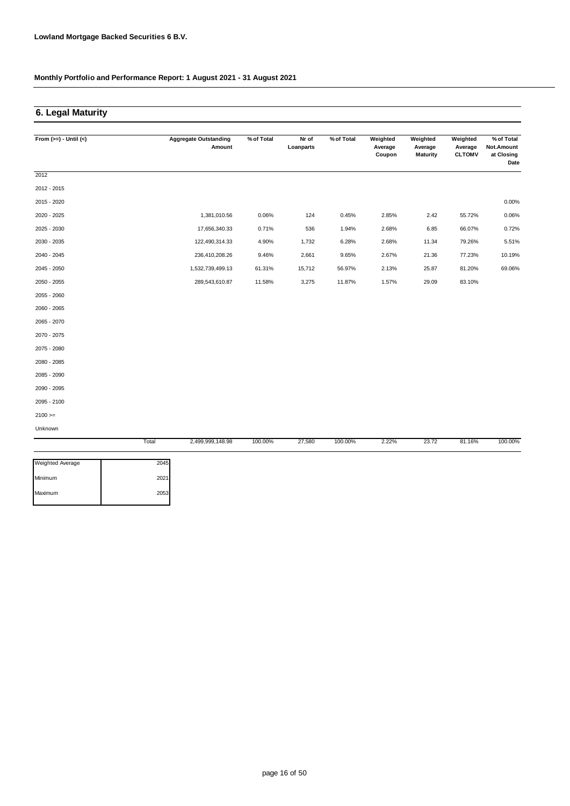### **6. Legal Maturity**

| From $(>=) -$ Until $(<)$ | <b>Aggregate Outstanding</b> | % of Total | Nr of     | % of Total | Weighted          | Weighted                   | Weighted                 | % of Total                       |
|---------------------------|------------------------------|------------|-----------|------------|-------------------|----------------------------|--------------------------|----------------------------------|
|                           | Amount                       |            | Loanparts |            | Average<br>Coupon | Average<br><b>Maturity</b> | Average<br><b>CLTOMV</b> | Not.Amount<br>at Closing<br>Date |
| 2012                      |                              |            |           |            |                   |                            |                          |                                  |
| 2012 - 2015               |                              |            |           |            |                   |                            |                          |                                  |
| 2015 - 2020               |                              |            |           |            |                   |                            |                          | 0.00%                            |
| 2020 - 2025               | 1,381,010.56                 | 0.06%      | 124       | 0.45%      | 2.85%             | 2.42                       | 55.72%                   | 0.06%                            |
| 2025 - 2030               | 17,656,340.33                | 0.71%      | 536       | 1.94%      | 2.68%             | 6.85                       | 66.07%                   | 0.72%                            |
| 2030 - 2035               | 122,490,314.33               | 4.90%      | 1,732     | 6.28%      | 2.68%             | 11.34                      | 79.26%                   | 5.51%                            |
| 2040 - 2045               | 236,410,208.26               | 9.46%      | 2,661     | 9.65%      | 2.67%             | 21.36                      | 77.23%                   | 10.19%                           |
| 2045 - 2050               | 1,532,739,499.13             | 61.31%     | 15,712    | 56.97%     | 2.13%             | 25.87                      | 81.20%                   | 69.06%                           |
| 2050 - 2055               | 289,543,610.87               | 11.58%     | 3,275     | 11.87%     | 1.57%             | 29.09                      | 83.10%                   |                                  |
| 2055 - 2060               |                              |            |           |            |                   |                            |                          |                                  |
| 2060 - 2065               |                              |            |           |            |                   |                            |                          |                                  |
| 2065 - 2070               |                              |            |           |            |                   |                            |                          |                                  |
| 2070 - 2075               |                              |            |           |            |                   |                            |                          |                                  |
| 2075 - 2080               |                              |            |           |            |                   |                            |                          |                                  |
| 2080 - 2085               |                              |            |           |            |                   |                            |                          |                                  |
| 2085 - 2090               |                              |            |           |            |                   |                            |                          |                                  |
| 2090 - 2095               |                              |            |           |            |                   |                            |                          |                                  |
| 2095 - 2100               |                              |            |           |            |                   |                            |                          |                                  |
| $2100 >=$                 |                              |            |           |            |                   |                            |                          |                                  |
| Unknown                   |                              |            |           |            |                   |                            |                          |                                  |
|                           | Total<br>2,499,999,148.98    | 100.00%    | 27,580    | 100.00%    | 2.22%             | 23.72                      | 81.16%                   | 100.00%                          |

| Minimum | 2021 |
|---------|------|
|         |      |
| Maximum | 2053 |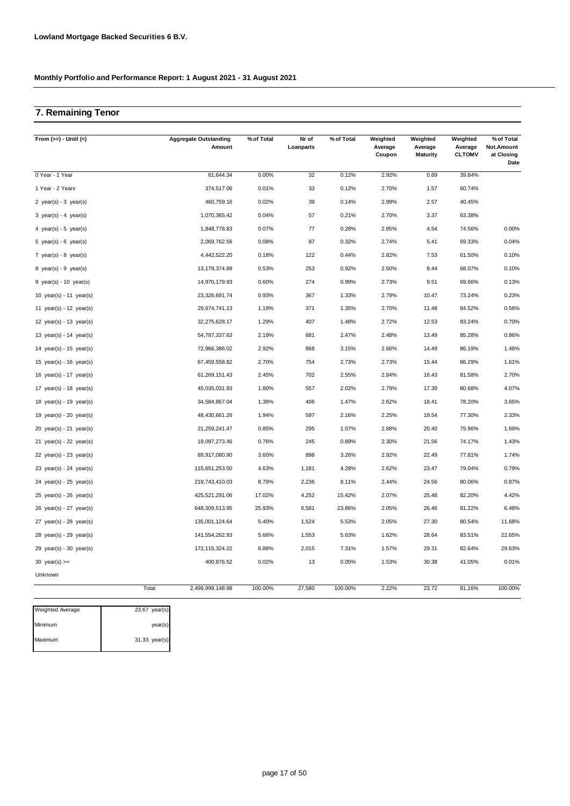## **7. Remaining Tenor**

| From $(>=) -$ Until $(<)$   | <b>Aggregate Outstanding</b><br>Amount | % of Total | Nr of<br>Loanparts | % of Total | Weighted<br>Average<br>Coupon | Weighted<br>Average<br><b>Maturity</b> | Weighted<br>Average<br><b>CLTOMV</b> | % of Total<br>Not.Amount<br>at Closing<br>Date |
|-----------------------------|----------------------------------------|------------|--------------------|------------|-------------------------------|----------------------------------------|--------------------------------------|------------------------------------------------|
| 0 Year - 1 Year             | 61,644.34                              | 0.00%      | 32                 | 0.12%      | 2.92%                         | 0.69                                   | 39.84%                               |                                                |
| 1 Year - 2 Years            | 374,517.06                             | 0.01%      | 33                 | 0.12%      | 2.70%                         | 1.57                                   | 60.74%                               |                                                |
| 2 year(s) - $3$ year(s)     | 460,759.16                             | 0.02%      | 39                 | 0.14%      | 2.99%                         | 2.57                                   | 40.45%                               |                                                |
| 3 year(s) - 4 year(s)       | 1,070,365.42                           | 0.04%      | 57                 | 0.21%      | 2.70%                         | 3.37                                   | 63.38%                               |                                                |
| 4 year(s) - 5 year(s)       | 1,848,778.83                           | 0.07%      | 77                 | 0.28%      | 2.85%                         | 4.54                                   | 74.56%                               | 0.00%                                          |
| 5 year(s) - 6 year(s)       | 2,069,762.56                           | 0.08%      | 87                 | 0.32%      | 2.74%                         | 5.41                                   | 69.33%                               | 0.04%                                          |
| 7 year(s) - 8 year(s)       | 4,442,522.20                           | 0.18%      | 122                | 0.44%      | 2.82%                         | 7.53                                   | 61.50%                               | 0.10%                                          |
| 8 year(s) - 9 year(s)       | 13, 179, 374.89                        | 0.53%      | 253                | 0.92%      | 2.50%                         | 8.44                                   | 68.07%                               | 0.10%                                          |
| $9$ year(s) - 10 year(s)    | 14,970,179.93                          | 0.60%      | 274                | 0.99%      | 2.73%                         | 9.51                                   | 69.66%                               | 0.13%                                          |
| 10 $year(s) - 11$ $year(s)$ | 23,326,691.74                          | 0.93%      | 367                | 1.33%      | 2.79%                         | 10.47                                  | 73.24%                               | 0.23%                                          |
| 11 year(s) - 12 year(s)     | 29,674,741.13                          | 1.19%      | 371                | 1.35%      | 2.70%                         | 11.48                                  | 84.52%                               | 0.56%                                          |
| 12 $year(s) - 13$ $year(s)$ | 32,275,628.17                          | 1.29%      | 407                | 1.48%      | 2.72%                         | 12.53                                  | 83.24%                               | 0.70%                                          |
| 13 year(s) - 14 year(s)     | 54,787,337.63                          | 2.19%      | 681                | 2.47%      | 2.48%                         | 13.49                                  | 85.28%                               | 0.86%                                          |
| 14 year(s) - 15 year(s)     | 72,966,386.02                          | 2.92%      | 868                | 3.15%      | 2.66%                         | 14.49                                  | 86.19%                               | 1.46%                                          |
| 15 $year(s) - 16$ $year(s)$ | 67,459,558.82                          | 2.70%      | 754                | 2.73%      | 2.73%                         | 15.44                                  | 86.29%                               | 1.61%                                          |
| 16 year(s) - 17 year(s)     | 61,269,151.43                          | 2.45%      | 702                | 2.55%      | 2.84%                         | 16.43                                  | 81.58%                               | 2.70%                                          |
| 17 $year(s) - 18$ $year(s)$ | 45,035,031.93                          | 1.80%      | 557                | 2.02%      | 2.79%                         | 17.39                                  | 80.68%                               | 4.07%                                          |
| 18 year(s) - 19 year(s)     | 34,584,867.04                          | 1.38%      | 406                | 1.47%      | 2.62%                         | 18.41                                  | 78.20%                               | 3.65%                                          |
| 19 year(s) - 20 year(s)     | 48,430,661.26                          | 1.94%      | 597                | 2.16%      | 2.25%                         | 19.54                                  | 77.30%                               | 2.33%                                          |
| 20 $year(s) - 21$ $year(s)$ | 21,259,241.47                          | 0.85%      | 295                | 1.07%      | 2.88%                         | 20.40                                  | 75.96%                               | 1.69%                                          |
| 21 year(s) - 22 year(s)     | 19,097,273.46                          | 0.76%      | 245                | 0.89%      | 2.30%                         | 21.56                                  | 74.17%                               | 1.43%                                          |
| 22 $year(s) - 23$ $year(s)$ | 89,917,080.90                          | 3.60%      | 898                | 3.26%      | 2.92%                         | 22.49                                  | 77.81%                               | 1.74%                                          |
| 23 year(s) - 24 year(s)     | 115,651,253.50                         | 4.63%      | 1,181              | 4.28%      | 2.62%                         | 23.47                                  | 79.04%                               | 0.79%                                          |
| 24 year(s) - 25 year(s)     | 219,743,410.03                         | 8.79%      | 2,236              | 8.11%      | 2.44%                         | 24.56                                  | 80.06%                               | 0.87%                                          |
| 25 year(s) - 26 year(s)     | 425,521,291.06                         | 17.02%     | 4,252              | 15.42%     | 2.07%                         | 25.48                                  | 82.20%                               | 4.42%                                          |
| 26 year(s) - 27 year(s)     | 648,309,513.95                         | 25.93%     | 6,581              | 23.86%     | 2.05%                         | 26.46                                  | 81.22%                               | 6.48%                                          |
| $27$ year(s) - $28$ year(s) | 135,001,124.64                         | 5.40%      | 1,524              | 5.53%      | 2.05%                         | 27.30                                  | 80.54%                               | 11.68%                                         |
| $28$ year(s) - 29 year(s)   | 141,554,262.93                         | 5.66%      | 1,553              | 5.63%      | 1.62%                         | 28.64                                  | 83.51%                               | 22.65%                                         |
| $29$ year(s) - 30 year(s)   | 172,115,324.22                         | 6.88%      | 2,015              | 7.31%      | 1.57%                         | 29.31                                  | 82.64%                               | 29.63%                                         |
| 30 $year(s) >=$             | 400,876.52                             | 0.02%      | 13                 | 0.05%      | 1.53%                         | 30.38                                  | 41.05%                               | 0.01%                                          |
| Unknown                     |                                        |            |                    |            |                               |                                        |                                      |                                                |
|                             | Total<br>2,499,999,148.98              | 100.00%    | 27,580             | 100.00%    | 2.22%                         | 23.72                                  | 81.16%                               | 100.00%                                        |

| <b>Weighted Average</b> | $23.67$ year(s) |
|-------------------------|-----------------|
| Minimum                 | year(s)         |
| Maximum                 | 31.33 year(s)   |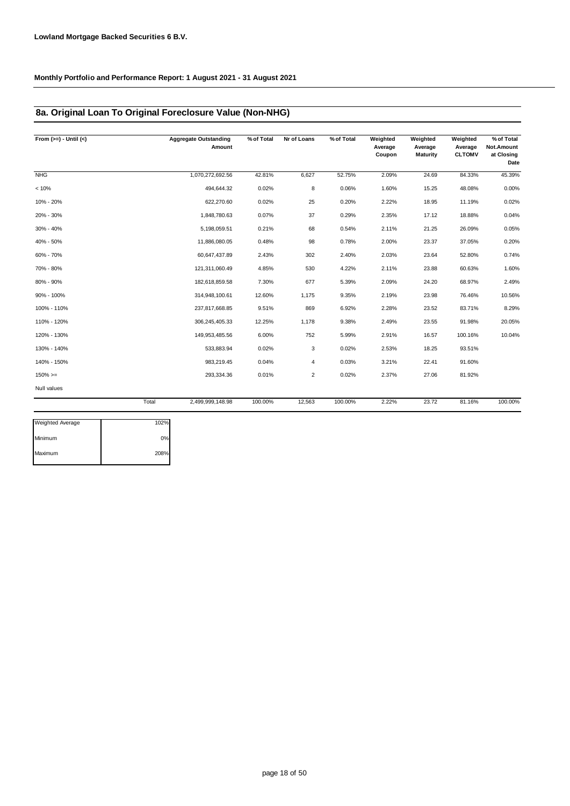### **8a. Original Loan To Original Foreclosure Value (Non-NHG)**

| From $(>=) -$ Until $(<)$ |       | <b>Aggregate Outstanding</b><br>Amount | % of Total | Nr of Loans    | % of Total | Weighted<br>Average<br>Coupon | Weighted<br>Average<br>Maturity | Weighted<br>Average<br><b>CLTOMV</b> | % of Total<br>Not.Amount<br>at Closing<br>Date |
|---------------------------|-------|----------------------------------------|------------|----------------|------------|-------------------------------|---------------------------------|--------------------------------------|------------------------------------------------|
| <b>NHG</b>                |       | 1,070,272,692.56                       | 42.81%     | 6,627          | 52.75%     | 2.09%                         | 24.69                           | 84.33%                               | 45.39%                                         |
| < 10%                     |       | 494,644.32                             | 0.02%      | 8              | 0.06%      | 1.60%                         | 15.25                           | 48.08%                               | 0.00%                                          |
| 10% - 20%                 |       | 622,270.60                             | 0.02%      | 25             | 0.20%      | 2.22%                         | 18.95                           | 11.19%                               | 0.02%                                          |
| 20% - 30%                 |       | 1,848,780.63                           | 0.07%      | 37             | 0.29%      | 2.35%                         | 17.12                           | 18.88%                               | 0.04%                                          |
| 30% - 40%                 |       | 5,198,059.51                           | 0.21%      | 68             | 0.54%      | 2.11%                         | 21.25                           | 26.09%                               | 0.05%                                          |
| 40% - 50%                 |       | 11,886,080.05                          | 0.48%      | 98             | 0.78%      | 2.00%                         | 23.37                           | 37.05%                               | 0.20%                                          |
| 60% - 70%                 |       | 60,647,437.89                          | 2.43%      | 302            | 2.40%      | 2.03%                         | 23.64                           | 52.80%                               | 0.74%                                          |
| 70% - 80%                 |       | 121,311,060.49                         | 4.85%      | 530            | 4.22%      | 2.11%                         | 23.88                           | 60.63%                               | 1.60%                                          |
| 80% - 90%                 |       | 182,618,859.58                         | 7.30%      | 677            | 5.39%      | 2.09%                         | 24.20                           | 68.97%                               | 2.49%                                          |
| 90% - 100%                |       | 314,948,100.61                         | 12.60%     | 1,175          | 9.35%      | 2.19%                         | 23.98                           | 76.46%                               | 10.56%                                         |
| 100% - 110%               |       | 237,817,668.85                         | 9.51%      | 869            | 6.92%      | 2.28%                         | 23.52                           | 83.71%                               | 8.29%                                          |
| 110% - 120%               |       | 306,245,405.33                         | 12.25%     | 1,178          | 9.38%      | 2.49%                         | 23.55                           | 91.98%                               | 20.05%                                         |
| 120% - 130%               |       | 149,953,485.56                         | 6.00%      | 752            | 5.99%      | 2.91%                         | 16.57                           | 100.16%                              | 10.04%                                         |
| 130% - 140%               |       | 533,883.94                             | 0.02%      | 3              | 0.02%      | 2.53%                         | 18.25                           | 93.51%                               |                                                |
| 140% - 150%               |       | 983,219.45                             | 0.04%      | 4              | 0.03%      | 3.21%                         | 22.41                           | 91.60%                               |                                                |
| $150\%>=$                 |       | 293,334.36                             | 0.01%      | $\overline{2}$ | 0.02%      | 2.37%                         | 27.06                           | 81.92%                               |                                                |
| Null values               |       |                                        |            |                |            |                               |                                 |                                      |                                                |
|                           | Total | 2,499,999,148.98                       | 100.00%    | 12,563         | 100.00%    | 2.22%                         | 23.72                           | 81.16%                               | 100.00%                                        |

| Weighted Average | 102% |
|------------------|------|
| Minimum          | 0%   |
| Maximum          | 208% |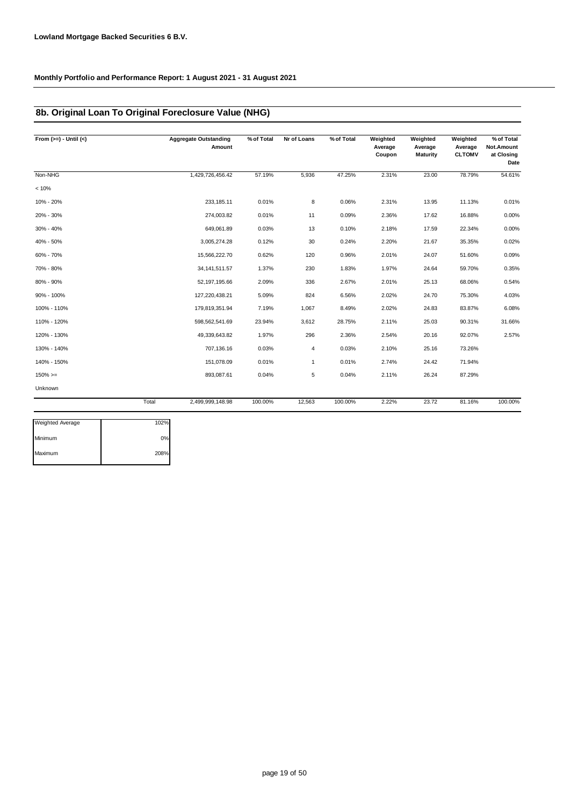### **8b. Original Loan To Original Foreclosure Value (NHG)**

| From $(>=) -$ Until $(<)$ |       | <b>Aggregate Outstanding</b><br>Amount | % of Total | Nr of Loans | % of Total | Weighted<br>Average<br>Coupon | Weighted<br>Average<br><b>Maturity</b> | Weighted<br>Average<br><b>CLTOMV</b> | % of Total<br>Not.Amount<br>at Closing<br>Date |
|---------------------------|-------|----------------------------------------|------------|-------------|------------|-------------------------------|----------------------------------------|--------------------------------------|------------------------------------------------|
| Non-NHG                   |       | 1,429,726,456.42                       | 57.19%     | 5,936       | 47.25%     | 2.31%                         | 23.00                                  | 78.79%                               | 54.61%                                         |
| < 10%                     |       |                                        |            |             |            |                               |                                        |                                      |                                                |
| 10% - 20%                 |       | 233, 185.11                            | 0.01%      | 8           | 0.06%      | 2.31%                         | 13.95                                  | 11.13%                               | 0.01%                                          |
| 20% - 30%                 |       | 274,003.82                             | 0.01%      | 11          | 0.09%      | 2.36%                         | 17.62                                  | 16.88%                               | 0.00%                                          |
| 30% - 40%                 |       | 649,061.89                             | 0.03%      | 13          | 0.10%      | 2.18%                         | 17.59                                  | 22.34%                               | 0.00%                                          |
| 40% - 50%                 |       | 3,005,274.28                           | 0.12%      | 30          | 0.24%      | 2.20%                         | 21.67                                  | 35.35%                               | 0.02%                                          |
| 60% - 70%                 |       | 15,566,222.70                          | 0.62%      | 120         | 0.96%      | 2.01%                         | 24.07                                  | 51.60%                               | 0.09%                                          |
| 70% - 80%                 |       | 34, 141, 511. 57                       | 1.37%      | 230         | 1.83%      | 1.97%                         | 24.64                                  | 59.70%                               | 0.35%                                          |
| 80% - 90%                 |       | 52, 197, 195.66                        | 2.09%      | 336         | 2.67%      | 2.01%                         | 25.13                                  | 68.06%                               | 0.54%                                          |
| 90% - 100%                |       | 127,220,438.21                         | 5.09%      | 824         | 6.56%      | 2.02%                         | 24.70                                  | 75.30%                               | 4.03%                                          |
| 100% - 110%               |       | 179,819,351.94                         | 7.19%      | 1,067       | 8.49%      | 2.02%                         | 24.83                                  | 83.87%                               | 6.08%                                          |
| 110% - 120%               |       | 598,562,541.69                         | 23.94%     | 3,612       | 28.75%     | 2.11%                         | 25.03                                  | 90.31%                               | 31.66%                                         |
| 120% - 130%               |       | 49,339,643.82                          | 1.97%      | 296         | 2.36%      | 2.54%                         | 20.16                                  | 92.07%                               | 2.57%                                          |
| 130% - 140%               |       | 707,136.16                             | 0.03%      | 4           | 0.03%      | 2.10%                         | 25.16                                  | 73.26%                               |                                                |
| 140% - 150%               |       | 151,078.09                             | 0.01%      | 1           | 0.01%      | 2.74%                         | 24.42                                  | 71.94%                               |                                                |
| $150\%>=$                 |       | 893,087.61                             | 0.04%      | 5           | 0.04%      | 2.11%                         | 26.24                                  | 87.29%                               |                                                |
| Unknown                   |       |                                        |            |             |            |                               |                                        |                                      |                                                |
|                           | Total | 2,499,999,148.98                       | 100.00%    | 12,563      | 100.00%    | 2.22%                         | 23.72                                  | 81.16%                               | 100.00%                                        |

| <b>Weighted Average</b> | 102% |
|-------------------------|------|
| Minimum                 | 0%   |
| Maximum                 | 208% |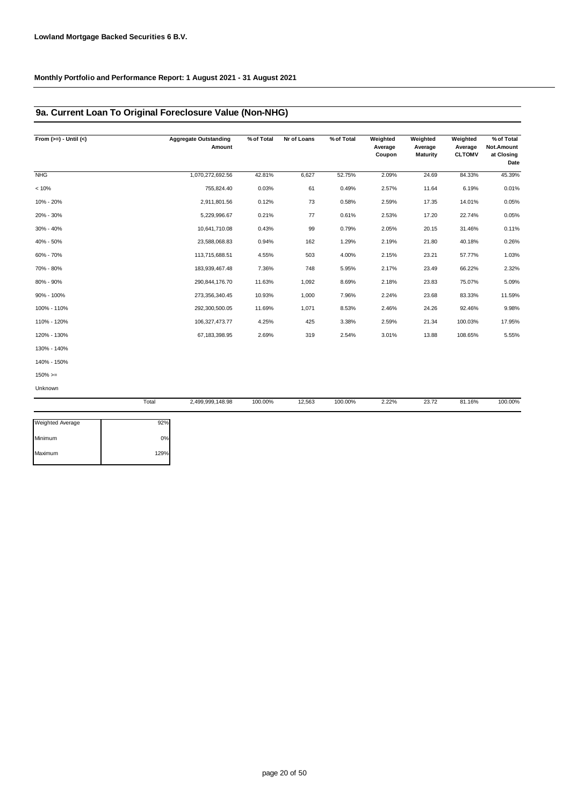### **9a. Current Loan To Original Foreclosure Value (Non-NHG)**

| From $(>=) -$ Until $(<)$ |       | <b>Aggregate Outstanding</b><br>Amount | % of Total | Nr of Loans | % of Total | Weighted<br>Average<br>Coupon | Weighted<br>Average<br>Maturity | Weighted<br>Average<br><b>CLTOMV</b> | % of Total<br>Not.Amount<br>at Closing<br>Date |
|---------------------------|-------|----------------------------------------|------------|-------------|------------|-------------------------------|---------------------------------|--------------------------------------|------------------------------------------------|
| <b>NHG</b>                |       | 1,070,272,692.56                       | 42.81%     | 6,627       | 52.75%     | 2.09%                         | 24.69                           | 84.33%                               | 45.39%                                         |
| < 10%                     |       | 755,824.40                             | 0.03%      | 61          | 0.49%      | 2.57%                         | 11.64                           | 6.19%                                | 0.01%                                          |
| 10% - 20%                 |       | 2,911,801.56                           | 0.12%      | 73          | 0.58%      | 2.59%                         | 17.35                           | 14.01%                               | 0.05%                                          |
| 20% - 30%                 |       | 5,229,996.67                           | 0.21%      | 77          | 0.61%      | 2.53%                         | 17.20                           | 22.74%                               | 0.05%                                          |
| 30% - 40%                 |       | 10,641,710.08                          | 0.43%      | 99          | 0.79%      | 2.05%                         | 20.15                           | 31.46%                               | 0.11%                                          |
| 40% - 50%                 |       | 23,588,068.83                          | 0.94%      | 162         | 1.29%      | 2.19%                         | 21.80                           | 40.18%                               | 0.26%                                          |
| 60% - 70%                 |       | 113,715,688.51                         | 4.55%      | 503         | 4.00%      | 2.15%                         | 23.21                           | 57.77%                               | 1.03%                                          |
| 70% - 80%                 |       | 183,939,467.48                         | 7.36%      | 748         | 5.95%      | 2.17%                         | 23.49                           | 66.22%                               | 2.32%                                          |
| 80% - 90%                 |       | 290,844,176.70                         | 11.63%     | 1,092       | 8.69%      | 2.18%                         | 23.83                           | 75.07%                               | 5.09%                                          |
| 90% - 100%                |       | 273,356,340.45                         | 10.93%     | 1,000       | 7.96%      | 2.24%                         | 23.68                           | 83.33%                               | 11.59%                                         |
| 100% - 110%               |       | 292,300,500.05                         | 11.69%     | 1,071       | 8.53%      | 2.46%                         | 24.26                           | 92.46%                               | 9.98%                                          |
| 110% - 120%               |       | 106,327,473.77                         | 4.25%      | 425         | 3.38%      | 2.59%                         | 21.34                           | 100.03%                              | 17.95%                                         |
| 120% - 130%               |       | 67, 183, 398. 95                       | 2.69%      | 319         | 2.54%      | 3.01%                         | 13.88                           | 108.65%                              | 5.55%                                          |
| 130% - 140%               |       |                                        |            |             |            |                               |                                 |                                      |                                                |
| 140% - 150%               |       |                                        |            |             |            |                               |                                 |                                      |                                                |
| $150\%>=$                 |       |                                        |            |             |            |                               |                                 |                                      |                                                |
| Unknown                   |       |                                        |            |             |            |                               |                                 |                                      |                                                |
|                           | Total | 2,499,999,148.98                       | 100.00%    | 12,563      | 100.00%    | 2.22%                         | 23.72                           | 81.16%                               | 100.00%                                        |
| <b>Weighted Average</b>   | 92%   |                                        |            |             |            |                               |                                 |                                      |                                                |

| Weighted Average | $92\%$ |
|------------------|--------|
| Minimum          | 0%     |
| Maximum          | 129%   |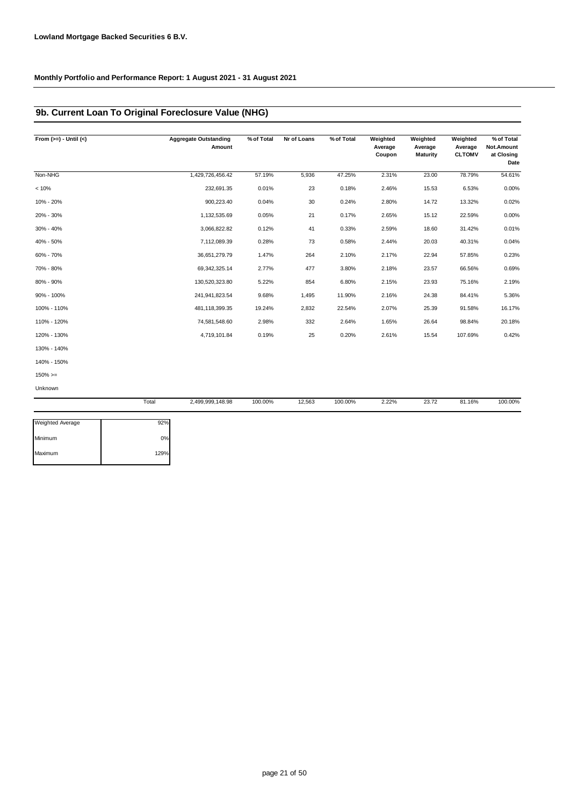### **9b. Current Loan To Original Foreclosure Value (NHG)**

| Non-NHG<br>< 10%<br>10% - 20%<br>20% - 30%<br>30% - 40%<br>40% - 50%<br>60% - 70%<br>70% - 80%<br>80% - 90%<br>90% - 100%<br>100% - 110%<br>110% - 120%<br>120% - 130% | 1,429,726,456.42<br>232,691.35<br>900,223.40<br>1,132,535.69<br>3,066,822.82<br>7,112,089.39<br>36,651,279.79<br>69,342,325.14<br>130,520,323.80 | 57.19%<br>0.01%<br>0.04%<br>0.05%<br>0.12%<br>0.28%<br>1.47%<br>2.77%<br>5.22% | 5,936<br>23<br>30<br>21<br>41<br>73<br>264<br>477 | 47.25%<br>0.18%<br>0.24%<br>0.17%<br>0.33%<br>0.58%<br>2.10%<br>3.80% | 2.31%<br>2.46%<br>2.80%<br>2.65%<br>2.59%<br>2.44%<br>2.17%<br>2.18% | 23.00<br>15.53<br>14.72<br>15.12<br>18.60<br>20.03<br>22.94<br>23.57 | 78.79%<br>6.53%<br>13.32%<br>22.59%<br>31.42%<br>40.31%<br>57.85%<br>66.56% | 54.61%<br>0.00%<br>0.02%<br>0.00%<br>0.01%<br>0.04%<br>0.23%<br>0.69% |
|------------------------------------------------------------------------------------------------------------------------------------------------------------------------|--------------------------------------------------------------------------------------------------------------------------------------------------|--------------------------------------------------------------------------------|---------------------------------------------------|-----------------------------------------------------------------------|----------------------------------------------------------------------|----------------------------------------------------------------------|-----------------------------------------------------------------------------|-----------------------------------------------------------------------|
|                                                                                                                                                                        |                                                                                                                                                  |                                                                                |                                                   |                                                                       |                                                                      |                                                                      |                                                                             |                                                                       |
|                                                                                                                                                                        |                                                                                                                                                  |                                                                                |                                                   |                                                                       |                                                                      |                                                                      |                                                                             |                                                                       |
|                                                                                                                                                                        |                                                                                                                                                  |                                                                                |                                                   |                                                                       |                                                                      |                                                                      |                                                                             |                                                                       |
|                                                                                                                                                                        |                                                                                                                                                  |                                                                                |                                                   |                                                                       |                                                                      |                                                                      |                                                                             |                                                                       |
|                                                                                                                                                                        |                                                                                                                                                  |                                                                                |                                                   |                                                                       |                                                                      |                                                                      |                                                                             |                                                                       |
|                                                                                                                                                                        |                                                                                                                                                  |                                                                                |                                                   |                                                                       |                                                                      |                                                                      |                                                                             |                                                                       |
|                                                                                                                                                                        |                                                                                                                                                  |                                                                                |                                                   |                                                                       |                                                                      |                                                                      |                                                                             |                                                                       |
|                                                                                                                                                                        |                                                                                                                                                  |                                                                                |                                                   |                                                                       |                                                                      |                                                                      |                                                                             |                                                                       |
|                                                                                                                                                                        |                                                                                                                                                  |                                                                                | 854                                               | 6.80%                                                                 | 2.15%                                                                | 23.93                                                                | 75.16%                                                                      | 2.19%                                                                 |
|                                                                                                                                                                        | 241,941,823.54                                                                                                                                   | 9.68%                                                                          | 1,495                                             | 11.90%                                                                | 2.16%                                                                | 24.38                                                                | 84.41%                                                                      | 5.36%                                                                 |
|                                                                                                                                                                        | 481,118,399.35                                                                                                                                   | 19.24%                                                                         | 2,832                                             | 22.54%                                                                | 2.07%                                                                | 25.39                                                                | 91.58%                                                                      | 16.17%                                                                |
|                                                                                                                                                                        | 74,581,548.60                                                                                                                                    | 2.98%                                                                          | 332                                               | 2.64%                                                                 | 1.65%                                                                | 26.64                                                                | 98.84%                                                                      | 20.18%                                                                |
|                                                                                                                                                                        | 4,719,101.84                                                                                                                                     | 0.19%                                                                          | 25                                                | 0.20%                                                                 | 2.61%                                                                | 15.54                                                                | 107.69%                                                                     | 0.42%                                                                 |
| 130% - 140%                                                                                                                                                            |                                                                                                                                                  |                                                                                |                                                   |                                                                       |                                                                      |                                                                      |                                                                             |                                                                       |
| 140% - 150%                                                                                                                                                            |                                                                                                                                                  |                                                                                |                                                   |                                                                       |                                                                      |                                                                      |                                                                             |                                                                       |
| $150\%>=$                                                                                                                                                              |                                                                                                                                                  |                                                                                |                                                   |                                                                       |                                                                      |                                                                      |                                                                             |                                                                       |
| Unknown                                                                                                                                                                |                                                                                                                                                  |                                                                                |                                                   |                                                                       |                                                                      |                                                                      |                                                                             |                                                                       |
| Total                                                                                                                                                                  | 2,499,999,148.98                                                                                                                                 | 100.00%                                                                        | 12,563                                            | 100.00%                                                               | 2.22%                                                                | 23.72                                                                | 81.16%                                                                      | 100.00%                                                               |

| 92%  |
|------|
| 0%   |
| 129% |
|      |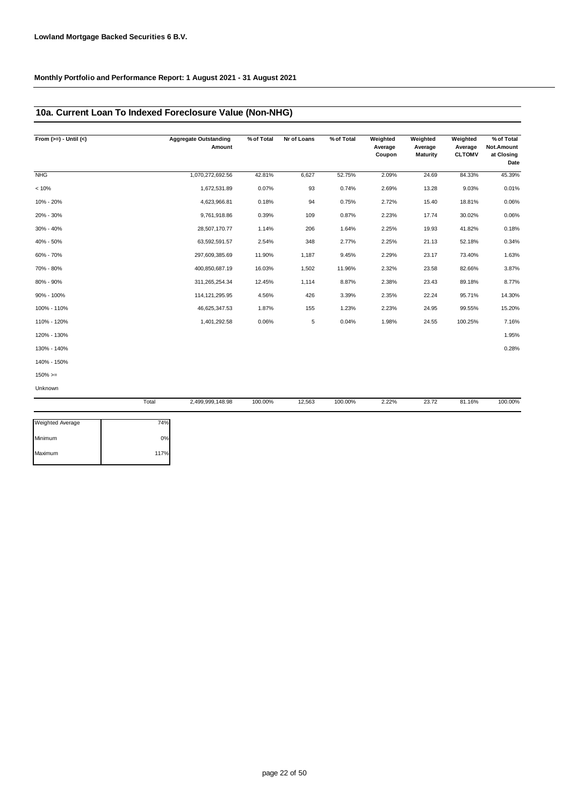### **10a. Current Loan To Indexed Foreclosure Value (Non-NHG)**

| From $(>=) -$ Until $(<)$ |       | <b>Aggregate Outstanding</b><br>Amount | % of Total | Nr of Loans | % of Total | Weighted<br>Average<br>Coupon | Weighted<br>Average<br><b>Maturity</b> | Weighted<br>Average<br><b>CLTOMV</b> | % of Total<br>Not.Amount<br>at Closing<br>Date |
|---------------------------|-------|----------------------------------------|------------|-------------|------------|-------------------------------|----------------------------------------|--------------------------------------|------------------------------------------------|
| <b>NHG</b>                |       | 1,070,272,692.56                       | 42.81%     | 6,627       | 52.75%     | 2.09%                         | 24.69                                  | 84.33%                               | 45.39%                                         |
| < 10%                     |       | 1,672,531.89                           | 0.07%      | 93          | 0.74%      | 2.69%                         | 13.28                                  | 9.03%                                | 0.01%                                          |
| 10% - 20%                 |       | 4,623,966.81                           | 0.18%      | 94          | 0.75%      | 2.72%                         | 15.40                                  | 18.81%                               | 0.06%                                          |
| 20% - 30%                 |       | 9,761,918.86                           | 0.39%      | 109         | 0.87%      | 2.23%                         | 17.74                                  | 30.02%                               | 0.06%                                          |
| 30% - 40%                 |       | 28,507,170.77                          | 1.14%      | 206         | 1.64%      | 2.25%                         | 19.93                                  | 41.82%                               | 0.18%                                          |
| 40% - 50%                 |       | 63,592,591.57                          | 2.54%      | 348         | 2.77%      | 2.25%                         | 21.13                                  | 52.18%                               | 0.34%                                          |
| 60% - 70%                 |       | 297,609,385.69                         | 11.90%     | 1,187       | 9.45%      | 2.29%                         | 23.17                                  | 73.40%                               | 1.63%                                          |
| 70% - 80%                 |       | 400,850,687.19                         | 16.03%     | 1,502       | 11.96%     | 2.32%                         | 23.58                                  | 82.66%                               | 3.87%                                          |
| 80% - 90%                 |       | 311,265,254.34                         | 12.45%     | 1,114       | 8.87%      | 2.38%                         | 23.43                                  | 89.18%                               | 8.77%                                          |
| 90% - 100%                |       | 114, 121, 295. 95                      | 4.56%      | 426         | 3.39%      | 2.35%                         | 22.24                                  | 95.71%                               | 14.30%                                         |
| 100% - 110%               |       | 46,625,347.53                          | 1.87%      | 155         | 1.23%      | 2.23%                         | 24.95                                  | 99.55%                               | 15.20%                                         |
| 110% - 120%               |       | 1,401,292.58                           | 0.06%      | 5           | 0.04%      | 1.98%                         | 24.55                                  | 100.25%                              | 7.16%                                          |
| 120% - 130%               |       |                                        |            |             |            |                               |                                        |                                      | 1.95%                                          |
| 130% - 140%               |       |                                        |            |             |            |                               |                                        |                                      | 0.28%                                          |
| 140% - 150%               |       |                                        |            |             |            |                               |                                        |                                      |                                                |
| $150\%>=$                 |       |                                        |            |             |            |                               |                                        |                                      |                                                |
| Unknown                   |       |                                        |            |             |            |                               |                                        |                                      |                                                |
|                           | Total | 2,499,999,148.98                       | 100.00%    | 12,563      | 100.00%    | 2.22%                         | 23.72                                  | 81.16%                               | 100.00%                                        |

| <b>Weighted Average</b> | 74%  |
|-------------------------|------|
| Minimum                 | 0%   |
| Maximum                 | 117% |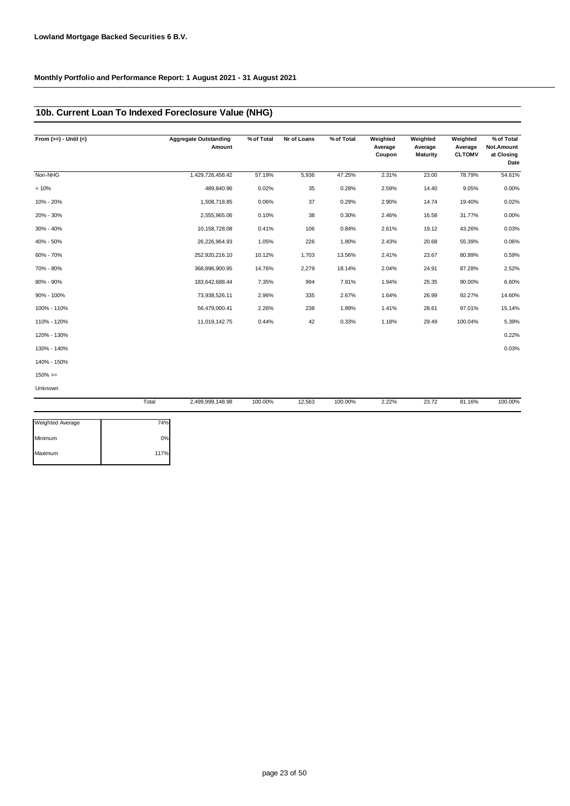### **10b. Current Loan To Indexed Foreclosure Value (NHG)**

| From $(>=) -$ Until $(<)$ |       | <b>Aggregate Outstanding</b><br>Amount | % of Total | Nr of Loans | % of Total | Weighted<br>Average<br>Coupon | Weighted<br>Average<br><b>Maturity</b> | Weighted<br>Average<br><b>CLTOMV</b> | % of Total<br>Not.Amount<br>at Closing<br>Date |
|---------------------------|-------|----------------------------------------|------------|-------------|------------|-------------------------------|----------------------------------------|--------------------------------------|------------------------------------------------|
| Non-NHG                   |       | 1,429,726,456.42                       | 57.19%     | 5,936       | 47.25%     | 2.31%                         | 23.00                                  | 78.79%                               | 54.61%                                         |
| < 10%                     |       | 489,840.96                             | 0.02%      | 35          | 0.28%      | 2.59%                         | 14.40                                  | 9.05%                                | 0.00%                                          |
| 10% - 20%                 |       | 1,508,718.85                           | 0.06%      | 37          | 0.29%      | 2.90%                         | 14.74                                  | 19.40%                               | 0.02%                                          |
| 20% - 30%                 |       | 2,555,965.06                           | 0.10%      | 38          | 0.30%      | 2.46%                         | 16.58                                  | 31.77%                               | 0.00%                                          |
| 30% - 40%                 |       | 10,158,728.08                          | 0.41%      | 106         | 0.84%      | 2.61%                         | 19.12                                  | 43.26%                               | 0.03%                                          |
| 40% - 50%                 |       | 26,226,964.93                          | 1.05%      | 226         | 1.80%      | 2.43%                         | 20.68                                  | 55.39%                               | 0.06%                                          |
| 60% - 70%                 |       | 252,920,216.10                         | 10.12%     | 1,703       | 13.56%     | 2.41%                         | 23.67                                  | 80.99%                               | 0.59%                                          |
| 70% - 80%                 |       | 368,896,900.95                         | 14.76%     | 2,279       | 18.14%     | 2.04%                         | 24.91                                  | 87.28%                               | 2.52%                                          |
| 80% - 90%                 |       | 183,642,688.44                         | 7.35%      | 994         | 7.91%      | 1.94%                         | 25.35                                  | 90.00%                               | 6.60%                                          |
| 90% - 100%                |       | 73,938,526.11                          | 2.96%      | 335         | 2.67%      | 1.64%                         | 26.99                                  | 92.27%                               | 14.60%                                         |
| 100% - 110%               |       | 56,479,000.41                          | 2.26%      | 238         | 1.89%      | 1.41%                         | 28.61                                  | 97.01%                               | 15.14%                                         |
| 110% - 120%               |       | 11,019,142.75                          | 0.44%      | 42          | 0.33%      | 1.18%                         | 29.49                                  | 100.04%                              | 5.39%                                          |
| 120% - 130%               |       |                                        |            |             |            |                               |                                        |                                      | 0.22%                                          |
| 130% - 140%               |       |                                        |            |             |            |                               |                                        |                                      | 0.03%                                          |
| 140% - 150%               |       |                                        |            |             |            |                               |                                        |                                      |                                                |
| $150\%>=$                 |       |                                        |            |             |            |                               |                                        |                                      |                                                |
| Unknown                   |       |                                        |            |             |            |                               |                                        |                                      |                                                |
|                           | Total | 2,499,999,148.98                       | 100.00%    | 12,563      | 100.00%    | 2.22%                         | 23.72                                  | 81.16%                               | 100.00%                                        |

| Weighted Average | 74%  |
|------------------|------|
| Minimum          | 0%   |
| Maximum          | 117% |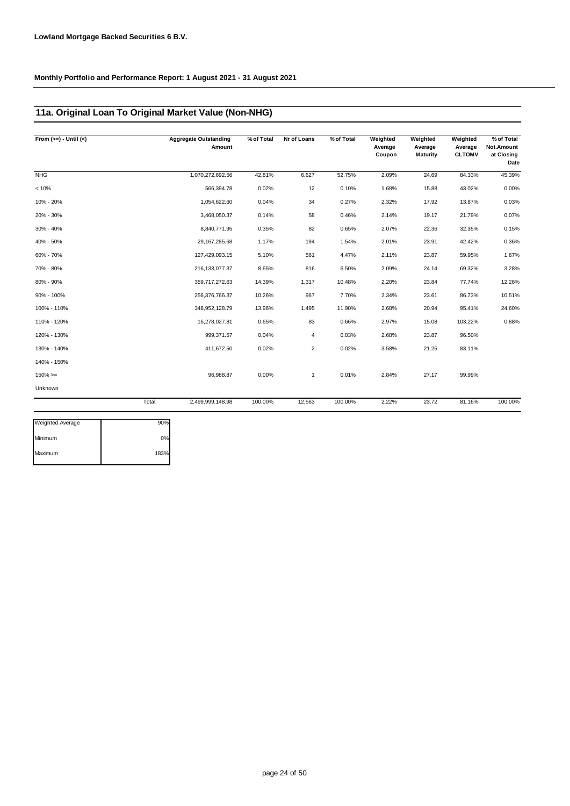### **11a. Original Loan To Original Market Value (Non-NHG)**

| From $(>=) -$ Until $(<)$ |       | <b>Aggregate Outstanding</b><br>Amount | % of Total | Nr of Loans    | % of Total | Weighted<br>Average<br>Coupon | Weighted<br>Average<br>Maturity | Weighted<br>Average<br><b>CLTOMV</b> | % of Total<br>Not.Amount<br>at Closing<br>Date |
|---------------------------|-------|----------------------------------------|------------|----------------|------------|-------------------------------|---------------------------------|--------------------------------------|------------------------------------------------|
| <b>NHG</b>                |       | 1,070,272,692.56                       | 42.81%     | 6,627          | 52.75%     | 2.09%                         | 24.69                           | 84.33%                               | 45.39%                                         |
| < 10%                     |       | 566,394.78                             | 0.02%      | 12             | 0.10%      | 1.68%                         | 15.88                           | 43.02%                               | 0.00%                                          |
| 10% - 20%                 |       | 1,054,622.60                           | 0.04%      | 34             | 0.27%      | 2.32%                         | 17.92                           | 13.87%                               | 0.03%                                          |
| 20% - 30%                 |       | 3,468,050.37                           | 0.14%      | 58             | 0.46%      | 2.14%                         | 19.17                           | 21.79%                               | 0.07%                                          |
| 30% - 40%                 |       | 8,840,771.95                           | 0.35%      | 82             | 0.65%      | 2.07%                         | 22.36                           | 32.35%                               | 0.15%                                          |
| 40% - 50%                 |       | 29, 167, 285. 68                       | 1.17%      | 194            | 1.54%      | 2.01%                         | 23.91                           | 42.42%                               | 0.36%                                          |
| 60% - 70%                 |       | 127,429,093.15                         | 5.10%      | 561            | 4.47%      | 2.11%                         | 23.87                           | 59.95%                               | 1.67%                                          |
| 70% - 80%                 |       | 216, 133, 077.37                       | 8.65%      | 816            | 6.50%      | 2.09%                         | 24.14                           | 69.32%                               | 3.28%                                          |
| 80% - 90%                 |       | 359,717,272.63                         | 14.39%     | 1,317          | 10.48%     | 2.20%                         | 23.84                           | 77.74%                               | 12.26%                                         |
| 90% - 100%                |       | 256,376,766.37                         | 10.26%     | 967            | 7.70%      | 2.34%                         | 23.61                           | 86.73%                               | 10.51%                                         |
| 100% - 110%               |       | 348,952,128.79                         | 13.96%     | 1,495          | 11.90%     | 2.68%                         | 20.94                           | 95.41%                               | 24.60%                                         |
| 110% - 120%               |       | 16,278,027.81                          | 0.65%      | 83             | 0.66%      | 2.97%                         | 15.08                           | 103.22%                              | 0.88%                                          |
| 120% - 130%               |       | 999,371.57                             | 0.04%      | 4              | 0.03%      | 2.68%                         | 23.87                           | 96.50%                               |                                                |
| 130% - 140%               |       | 411,672.50                             | 0.02%      | $\overline{2}$ | 0.02%      | 3.58%                         | 21.25                           | 83.11%                               |                                                |
| 140% - 150%               |       |                                        |            |                |            |                               |                                 |                                      |                                                |
| $150\%>=$                 |       | 96,988.87                              | 0.00%      | $\mathbf{1}$   | 0.01%      | 2.84%                         | 27.17                           | 99.99%                               |                                                |
| Unknown                   |       |                                        |            |                |            |                               |                                 |                                      |                                                |
|                           | Total | 2,499,999,148.98                       | 100.00%    | 12,563         | 100.00%    | 2.22%                         | 23.72                           | 81.16%                               | 100.00%                                        |

| Weighted Average | 90%  |
|------------------|------|
| Minimum          | 0%   |
| Maximum          | 183% |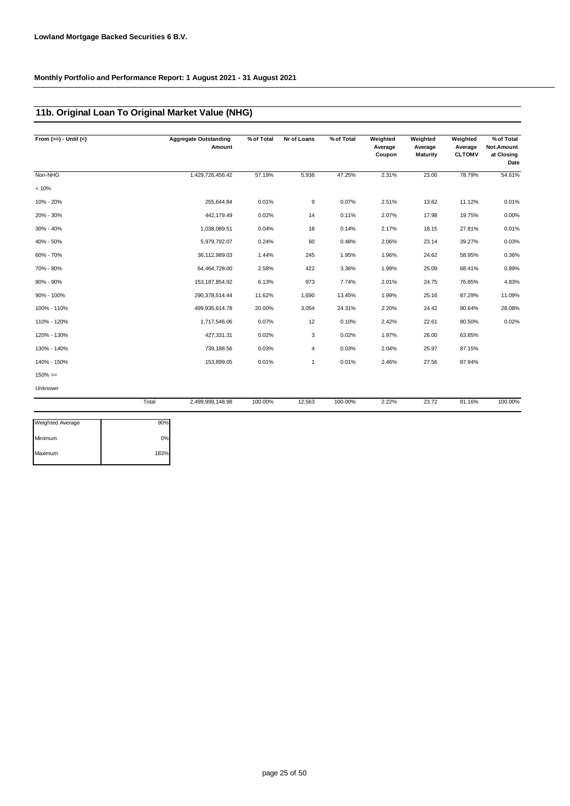### **11b. Original Loan To Original Market Value (NHG)**

| From $(>=) -$ Until $(<)$ |       | <b>Aggregate Outstanding</b><br>Amount | % of Total | Nr of Loans | % of Total | Weighted<br>Average<br>Coupon | Weighted<br>Average<br><b>Maturity</b> | Weighted<br>Average<br><b>CLTOMV</b> | % of Total<br>Not.Amount<br>at Closing<br>Date |
|---------------------------|-------|----------------------------------------|------------|-------------|------------|-------------------------------|----------------------------------------|--------------------------------------|------------------------------------------------|
| Non-NHG                   |       | 1,429,726,456.42                       | 57.19%     | 5,936       | 47.25%     | 2.31%                         | 23.00                                  | 78.79%                               | 54.61%                                         |
| < 10%                     |       |                                        |            |             |            |                               |                                        |                                      |                                                |
| 10% - 20%                 |       | 255,644.84                             | 0.01%      | 9           | 0.07%      | 2.51%                         | 13.62                                  | 11.12%                               | 0.01%                                          |
| 20% - 30%                 |       | 442,179.49                             | 0.02%      | 14          | 0.11%      | 2.07%                         | 17.98                                  | 19.75%                               | 0.00%                                          |
| 30% - 40%                 |       | 1,038,089.51                           | 0.04%      | 18          | 0.14%      | 2.17%                         | 18.15                                  | 27.81%                               | 0.01%                                          |
| 40% - 50%                 |       | 5,979,792.07                           | 0.24%      | 60          | 0.48%      | 2.06%                         | 23.14                                  | 39.27%                               | 0.03%                                          |
| 60% - 70%                 |       | 36,112,989.03                          | 1.44%      | 245         | 1.95%      | 1.96%                         | 24.62                                  | 58.95%                               | 0.36%                                          |
| 70% - 80%                 |       | 64,464,728.00                          | 2.58%      | 422         | 3.36%      | 1.99%                         | 25.09                                  | 68.41%                               | 0.89%                                          |
| 80% - 90%                 |       | 153, 187, 854. 92                      | 6.13%      | 973         | 7.74%      | 2.01%                         | 24.75                                  | 76.85%                               | 4.83%                                          |
| 90% - 100%                |       | 290,378,514.44                         | 11.62%     | 1,690       | 13.45%     | 1.99%                         | 25.16                                  | 87.29%                               | 11.09%                                         |
| 100% - 110%               |       | 499,935,614.78                         | 20.00%     | 3,054       | 24.31%     | 2.20%                         | 24.42                                  | 90.64%                               | 28.08%                                         |
| 110% - 120%               |       | 1,717,546.06                           | 0.07%      | 12          | 0.10%      | 2.42%                         | 22.61                                  | 80.50%                               | 0.02%                                          |
| 120% - 130%               |       | 427,331.31                             | 0.02%      | 3           | 0.02%      | 1.97%                         | 26.00                                  | 63.85%                               |                                                |
| 130% - 140%               |       | 739,188.56                             | 0.03%      | 4           | 0.03%      | 2.04%                         | 25.97                                  | 87.15%                               |                                                |
| 140% - 150%               |       | 153,899.05                             | 0.01%      | 1           | 0.01%      | 2.46%                         | 27.56                                  | 87.94%                               |                                                |
| $150\%>=$                 |       |                                        |            |             |            |                               |                                        |                                      |                                                |
| Unknown                   |       |                                        |            |             |            |                               |                                        |                                      |                                                |
|                           | Total | 2,499,999,148.98                       | 100.00%    | 12,563      | 100.00%    | 2.22%                         | 23.72                                  | 81.16%                               | 100.00%                                        |

| <b>Weighted Average</b> | 90%  |
|-------------------------|------|
| Minimum                 | 0%   |
| Maximum                 | 183% |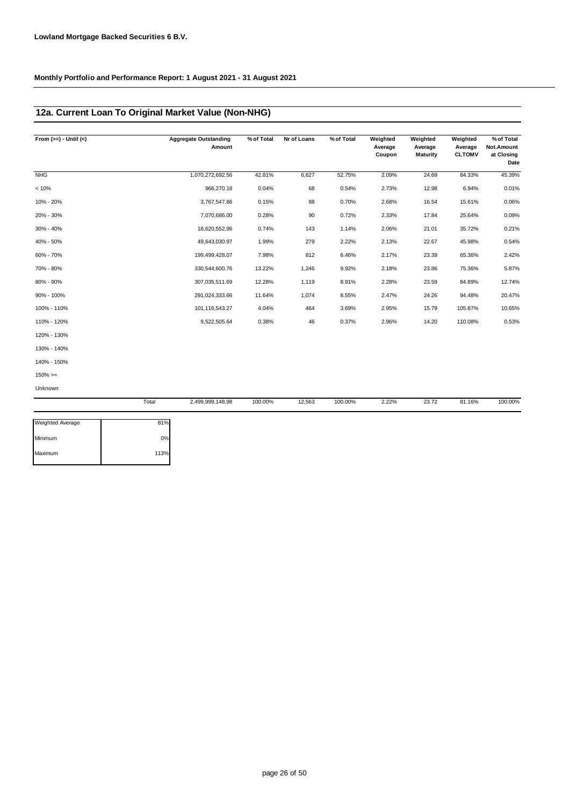### **12a. Current Loan To Original Market Value (Non-NHG)**

| From $(>=) -$ Until $(<)$ | <b>Aggregate Outstanding</b> | % of Total<br>Amount | Nr of Loans | % of Total | Weighted<br>Average<br>Coupon | Weighted<br>Average<br><b>Maturity</b> | Weighted<br>Average<br><b>CLTOMV</b> | % of Total<br>Not.Amount<br>at Closing<br>Date |
|---------------------------|------------------------------|----------------------|-------------|------------|-------------------------------|----------------------------------------|--------------------------------------|------------------------------------------------|
| <b>NHG</b>                | 1,070,272,692.56             | 42.81%               | 6,627       | 52.75%     | 2.09%                         | 24.69                                  | 84.33%                               | 45.39%                                         |
| < 10%                     | 966,270.18                   | 0.04%                | 68          | 0.54%      | 2.73%                         | 12.98                                  | 6.94%                                | 0.01%                                          |
| 10% - 20%                 | 3,767,547.86                 | 0.15%                | 88          | 0.70%      | 2.68%                         | 16.54                                  | 15.61%                               | 0.06%                                          |
| 20% - 30%                 | 7,070,686.00                 | 0.28%                | 90          | 0.72%      | 2.33%                         | 17.84                                  | 25.64%                               | 0.09%                                          |
| 30% - 40%                 | 18,620,552.96                | 0.74%                | 143         | 1.14%      | 2.06%                         | 21.01                                  | 35.72%                               | 0.21%                                          |
| 40% - 50%                 | 49,643,030.97                | 1.99%                | 279         | 2.22%      | 2.13%                         | 22.67                                  | 45.98%                               | 0.54%                                          |
| 60% - 70%                 | 199,499,428.07               | 7.98%                | 812         | 6.46%      | 2.17%                         | 23.39                                  | 65.36%                               | 2.42%                                          |
| 70% - 80%                 | 330,544,600.76               | 13.22%               | 1,246       | 9.92%      | 2.18%                         | 23.86                                  | 75.36%                               | 5.87%                                          |
| 80% - 90%                 | 307,035,511.69               | 12.28%               | 1,119       | 8.91%      | 2.28%                         | 23.59                                  | 84.89%                               | 12.74%                                         |
| 90% - 100%                | 291,024,333.66               | 11.64%               | 1,074       | 8.55%      | 2.47%                         | 24.26                                  | 94.48%                               | 20.47%                                         |
| 100% - 110%               | 101,116,543.27               | 4.04%                | 464         | 3.69%      | 2.95%                         | 15.79                                  | 105.87%                              | 10.65%                                         |
| 110% - 120%               | 9,522,505.64                 | 0.38%                | 46          | 0.37%      | 2.96%                         | 14.20                                  | 110.08%                              | 0.53%                                          |
| 120% - 130%               |                              |                      |             |            |                               |                                        |                                      |                                                |
| 130% - 140%               |                              |                      |             |            |                               |                                        |                                      |                                                |
| 140% - 150%               |                              |                      |             |            |                               |                                        |                                      |                                                |
| $150\%>=$                 |                              |                      |             |            |                               |                                        |                                      |                                                |
| Unknown                   |                              |                      |             |            |                               |                                        |                                      |                                                |
|                           | Total<br>2,499,999,148.98    | 100.00%              | 12,563      | 100.00%    | 2.22%                         | 23.72                                  | 81.16%                               | 100.00%                                        |

| <b>Weighted Average</b> | 81%  |
|-------------------------|------|
| Minimum                 | 0%   |
| Maximum                 | 113% |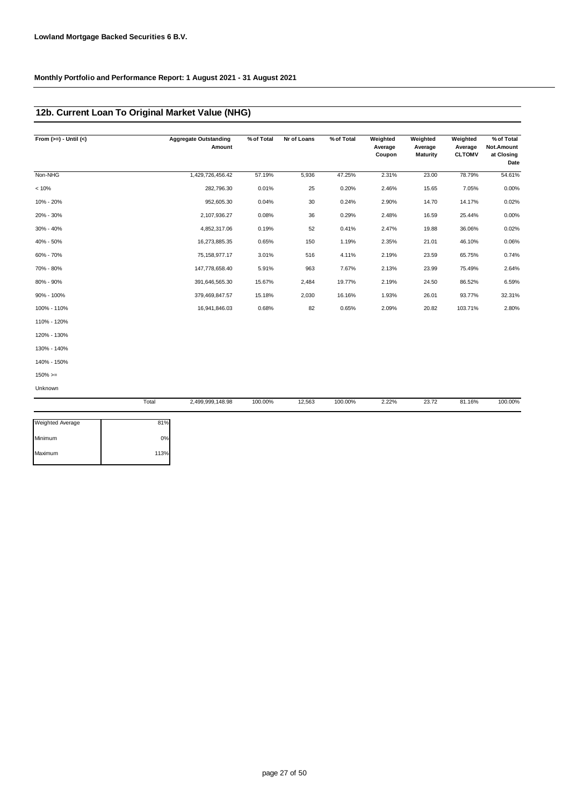### **12b. Current Loan To Original Market Value (NHG)**

| From $(>=) -$ Until $(<)$ |       | <b>Aggregate Outstanding</b><br>Amount | % of Total | Nr of Loans | % of Total | Weighted<br>Average<br>Coupon | Weighted<br>Average<br><b>Maturity</b> | Weighted<br>Average<br><b>CLTOMV</b> | % of Total<br>Not.Amount<br>at Closing<br>Date |
|---------------------------|-------|----------------------------------------|------------|-------------|------------|-------------------------------|----------------------------------------|--------------------------------------|------------------------------------------------|
| Non-NHG                   |       | 1,429,726,456.42                       | 57.19%     | 5,936       | 47.25%     | 2.31%                         | 23.00                                  | 78.79%                               | 54.61%                                         |
| < 10%                     |       | 282,796.30                             | 0.01%      | 25          | 0.20%      | 2.46%                         | 15.65                                  | 7.05%                                | 0.00%                                          |
| 10% - 20%                 |       | 952,605.30                             | 0.04%      | 30          | 0.24%      | 2.90%                         | 14.70                                  | 14.17%                               | 0.02%                                          |
| 20% - 30%                 |       | 2,107,936.27                           | 0.08%      | 36          | 0.29%      | 2.48%                         | 16.59                                  | 25.44%                               | 0.00%                                          |
| 30% - 40%                 |       | 4,852,317.06                           | 0.19%      | 52          | 0.41%      | 2.47%                         | 19.88                                  | 36.06%                               | 0.02%                                          |
| 40% - 50%                 |       | 16,273,885.35                          | 0.65%      | 150         | 1.19%      | 2.35%                         | 21.01                                  | 46.10%                               | 0.06%                                          |
| 60% - 70%                 |       | 75, 158, 977. 17                       | 3.01%      | 516         | 4.11%      | 2.19%                         | 23.59                                  | 65.75%                               | 0.74%                                          |
| 70% - 80%                 |       | 147,778,658.40                         | 5.91%      | 963         | 7.67%      | 2.13%                         | 23.99                                  | 75.49%                               | 2.64%                                          |
| 80% - 90%                 |       | 391,646,565.30                         | 15.67%     | 2,484       | 19.77%     | 2.19%                         | 24.50                                  | 86.52%                               | 6.59%                                          |
| 90% - 100%                |       | 379,469,847.57                         | 15.18%     | 2,030       | 16.16%     | 1.93%                         | 26.01                                  | 93.77%                               | 32.31%                                         |
| 100% - 110%               |       | 16,941,846.03                          | 0.68%      | 82          | 0.65%      | 2.09%                         | 20.82                                  | 103.71%                              | 2.80%                                          |
| 110% - 120%               |       |                                        |            |             |            |                               |                                        |                                      |                                                |
| 120% - 130%               |       |                                        |            |             |            |                               |                                        |                                      |                                                |
| 130% - 140%               |       |                                        |            |             |            |                               |                                        |                                      |                                                |
| 140% - 150%               |       |                                        |            |             |            |                               |                                        |                                      |                                                |
| $150\%>=$                 |       |                                        |            |             |            |                               |                                        |                                      |                                                |
| Unknown                   |       |                                        |            |             |            |                               |                                        |                                      |                                                |
|                           | Total | 2,499,999,148.98                       | 100.00%    | 12,563      | 100.00%    | 2.22%                         | 23.72                                  | 81.16%                               | 100.00%                                        |
| <b>Weighted Average</b>   | 81%   |                                        |            |             |            |                               |                                        |                                      |                                                |

| Weighted Average | 81%  |
|------------------|------|
| Minimum          | 0%   |
| Maximum          | 113% |
|                  |      |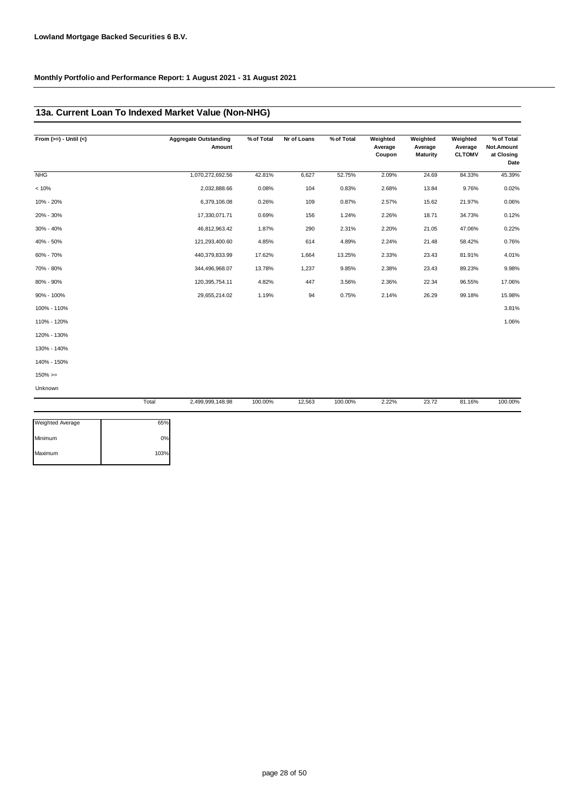### **13a. Current Loan To Indexed Market Value (Non-NHG)**

| From $(>=) -$ Until $(<)$ |       | <b>Aggregate Outstanding</b><br>Amount | % of Total | Nr of Loans | % of Total | Weighted<br>Average<br>Coupon | Weighted<br>Average<br><b>Maturity</b> | Weighted<br>Average<br><b>CLTOMV</b> | % of Total<br>Not.Amount<br>at Closing<br>Date |
|---------------------------|-------|----------------------------------------|------------|-------------|------------|-------------------------------|----------------------------------------|--------------------------------------|------------------------------------------------|
| <b>NHG</b>                |       | 1,070,272,692.56                       | 42.81%     | 6,627       | 52.75%     | 2.09%                         | 24.69                                  | 84.33%                               | 45.39%                                         |
| < 10%                     |       | 2,032,888.66                           | 0.08%      | 104         | 0.83%      | 2.68%                         | 13.84                                  | 9.76%                                | 0.02%                                          |
| 10% - 20%                 |       | 6,379,106.08                           | 0.26%      | 109         | 0.87%      | 2.57%                         | 15.62                                  | 21.97%                               | 0.06%                                          |
| 20% - 30%                 |       | 17,330,071.71                          | 0.69%      | 156         | 1.24%      | 2.26%                         | 18.71                                  | 34.73%                               | 0.12%                                          |
| 30% - 40%                 |       | 46,812,963.42                          | 1.87%      | 290         | 2.31%      | 2.20%                         | 21.05                                  | 47.06%                               | 0.22%                                          |
| 40% - 50%                 |       | 121,293,400.60                         | 4.85%      | 614         | 4.89%      | 2.24%                         | 21.48                                  | 58.42%                               | 0.76%                                          |
| 60% - 70%                 |       | 440,379,833.99                         | 17.62%     | 1,664       | 13.25%     | 2.33%                         | 23.43                                  | 81.91%                               | 4.01%                                          |
| 70% - 80%                 |       | 344,496,968.07                         | 13.78%     | 1,237       | 9.85%      | 2.38%                         | 23.43                                  | 89.23%                               | 9.98%                                          |
| 80% - 90%                 |       | 120,395,754.11                         | 4.82%      | 447         | 3.56%      | 2.36%                         | 22.34                                  | 96.55%                               | 17.06%                                         |
| 90% - 100%                |       | 29,655,214.02                          | 1.19%      | 94          | 0.75%      | 2.14%                         | 26.29                                  | 99.18%                               | 15.98%                                         |
| 100% - 110%               |       |                                        |            |             |            |                               |                                        |                                      | 3.81%                                          |
| 110% - 120%               |       |                                        |            |             |            |                               |                                        |                                      | 1.06%                                          |
| 120% - 130%               |       |                                        |            |             |            |                               |                                        |                                      |                                                |
| 130% - 140%               |       |                                        |            |             |            |                               |                                        |                                      |                                                |
| 140% - 150%               |       |                                        |            |             |            |                               |                                        |                                      |                                                |
| $150\%>=$                 |       |                                        |            |             |            |                               |                                        |                                      |                                                |
| Unknown                   |       |                                        |            |             |            |                               |                                        |                                      |                                                |
|                           | Total | 2,499,999,148.98                       | 100.00%    | 12,563      | 100.00%    | 2.22%                         | 23.72                                  | 81.16%                               | 100.00%                                        |

| <b>Weighted Average</b> | 65%  |
|-------------------------|------|
| Minimum                 | 0%   |
| Maximum                 | 103% |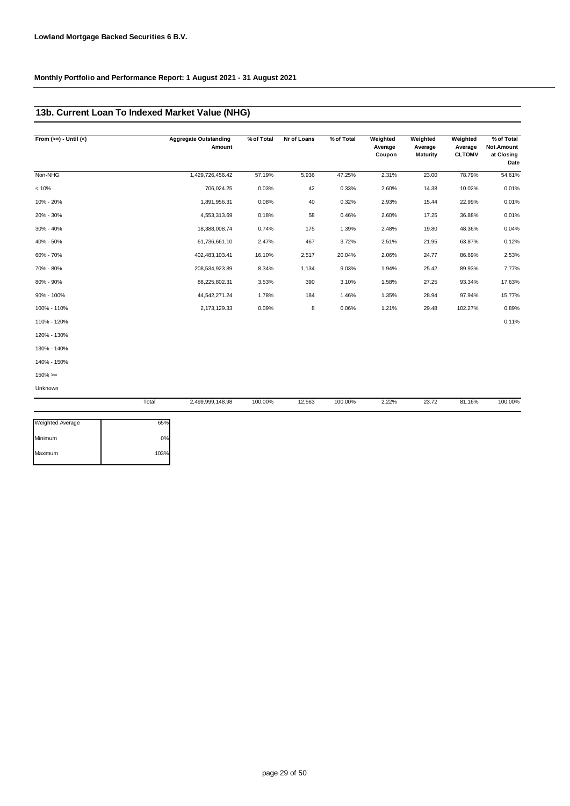### **13b. Current Loan To Indexed Market Value (NHG)**

| From $(>=) -$ Until $(<)$ |       | <b>Aggregate Outstanding</b><br>Amount | % of Total | Nr of Loans | % of Total | Weighted<br>Average<br>Coupon | Weighted<br>Average<br><b>Maturity</b> | Weighted<br>Average<br><b>CLTOMV</b> | % of Total<br>Not.Amount<br>at Closing<br>Date |
|---------------------------|-------|----------------------------------------|------------|-------------|------------|-------------------------------|----------------------------------------|--------------------------------------|------------------------------------------------|
| Non-NHG                   |       | 1,429,726,456.42                       | 57.19%     | 5,936       | 47.25%     | 2.31%                         | 23.00                                  | 78.79%                               | 54.61%                                         |
| < 10%                     |       | 706,024.25                             | 0.03%      | 42          | 0.33%      | 2.60%                         | 14.38                                  | 10.02%                               | 0.01%                                          |
| 10% - 20%                 |       | 1,891,956.31                           | 0.08%      | 40          | 0.32%      | 2.93%                         | 15.44                                  | 22.99%                               | 0.01%                                          |
| 20% - 30%                 |       | 4,553,313.69                           | 0.18%      | 58          | 0.46%      | 2.60%                         | 17.25                                  | 36.88%                               | 0.01%                                          |
| 30% - 40%                 |       | 18,388,008.74                          | 0.74%      | 175         | 1.39%      | 2.48%                         | 19.80                                  | 48.36%                               | 0.04%                                          |
| 40% - 50%                 |       | 61,736,661.10                          | 2.47%      | 467         | 3.72%      | 2.51%                         | 21.95                                  | 63.87%                               | 0.12%                                          |
| 60% - 70%                 |       | 402,483,103.41                         | 16.10%     | 2,517       | 20.04%     | 2.06%                         | 24.77                                  | 86.69%                               | 2.53%                                          |
| 70% - 80%                 |       | 208,534,923.89                         | 8.34%      | 1,134       | 9.03%      | 1.94%                         | 25.42                                  | 89.93%                               | 7.77%                                          |
| 80% - 90%                 |       | 88,225,802.31                          | 3.53%      | 390         | 3.10%      | 1.58%                         | 27.25                                  | 93.34%                               | 17.63%                                         |
| 90% - 100%                |       | 44,542,271.24                          | 1.78%      | 184         | 1.46%      | 1.35%                         | 28.94                                  | 97.94%                               | 15.77%                                         |
| 100% - 110%               |       | 2,173,129.33                           | 0.09%      | 8           | 0.06%      | 1.21%                         | 29.48                                  | 102.27%                              | 0.89%                                          |
| 110% - 120%               |       |                                        |            |             |            |                               |                                        |                                      | 0.11%                                          |
| 120% - 130%               |       |                                        |            |             |            |                               |                                        |                                      |                                                |
| 130% - 140%               |       |                                        |            |             |            |                               |                                        |                                      |                                                |
| 140% - 150%               |       |                                        |            |             |            |                               |                                        |                                      |                                                |
| $150\%>=$                 |       |                                        |            |             |            |                               |                                        |                                      |                                                |
| Unknown                   |       |                                        |            |             |            |                               |                                        |                                      |                                                |
|                           | Total | 2,499,999,148.98                       | 100.00%    | 12,563      | 100.00%    | 2.22%                         | 23.72                                  | 81.16%                               | 100.00%                                        |

| <b>Weighted Average</b> | 65%  |
|-------------------------|------|
| Minimum                 | 0%   |
| Maximum                 | 103% |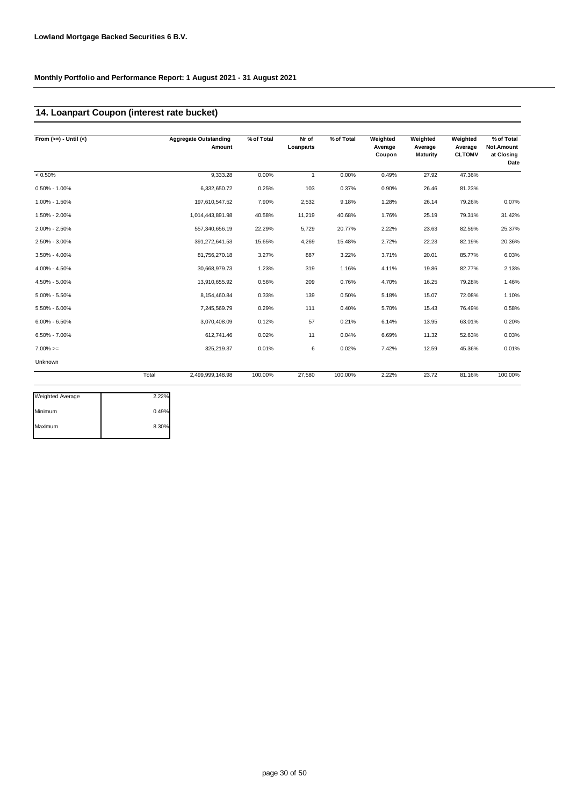### **14. Loanpart Coupon (interest rate bucket)**

| From $(>=) -$ Until $($ |       | <b>Aggregate Outstanding</b><br>Amount | % of Total | Nr of<br>Loanparts | % of Total | Weighted<br>Average<br>Coupon | Weighted<br>Average<br><b>Maturity</b> | Weighted<br>Average<br><b>CLTOMV</b> | % of Total<br>Not.Amount<br>at Closing<br>Date |
|-------------------------|-------|----------------------------------------|------------|--------------------|------------|-------------------------------|----------------------------------------|--------------------------------------|------------------------------------------------|
| $< 0.50\%$              |       | 9,333.28                               | 0.00%      | $\mathbf{1}$       | 0.00%      | 0.49%                         | 27.92                                  | 47.36%                               |                                                |
| $0.50\% - 1.00\%$       |       | 6,332,650.72                           | 0.25%      | 103                | 0.37%      | 0.90%                         | 26.46                                  | 81.23%                               |                                                |
| 1.00% - 1.50%           |       | 197,610,547.52                         | 7.90%      | 2,532              | 9.18%      | 1.28%                         | 26.14                                  | 79.26%                               | 0.07%                                          |
| 1.50% - 2.00%           |       | 1,014,443,891.98                       | 40.58%     | 11,219             | 40.68%     | 1.76%                         | 25.19                                  | 79.31%                               | 31.42%                                         |
| 2.00% - 2.50%           |       | 557,340,656.19                         | 22.29%     | 5,729              | 20.77%     | 2.22%                         | 23.63                                  | 82.59%                               | 25.37%                                         |
| 2.50% - 3.00%           |       | 391,272,641.53                         | 15.65%     | 4,269              | 15.48%     | 2.72%                         | 22.23                                  | 82.19%                               | 20.36%                                         |
| 3.50% - 4.00%           |       | 81,756,270.18                          | 3.27%      | 887                | 3.22%      | 3.71%                         | 20.01                                  | 85.77%                               | 6.03%                                          |
| 4.00% - 4.50%           |       | 30,668,979.73                          | 1.23%      | 319                | 1.16%      | 4.11%                         | 19.86                                  | 82.77%                               | 2.13%                                          |
| 4.50% - 5.00%           |       | 13,910,655.92                          | 0.56%      | 209                | 0.76%      | 4.70%                         | 16.25                                  | 79.28%                               | 1.46%                                          |
| $5.00\% - 5.50\%$       |       | 8,154,460.84                           | 0.33%      | 139                | 0.50%      | 5.18%                         | 15.07                                  | 72.08%                               | 1.10%                                          |
| 5.50% - 6.00%           |       | 7,245,569.79                           | 0.29%      | 111                | 0.40%      | 5.70%                         | 15.43                                  | 76.49%                               | 0.58%                                          |
| $6.00\% - 6.50\%$       |       | 3,070,408.09                           | 0.12%      | 57                 | 0.21%      | 6.14%                         | 13.95                                  | 63.01%                               | 0.20%                                          |
| $6.50\% - 7.00\%$       |       | 612,741.46                             | 0.02%      | 11                 | 0.04%      | 6.69%                         | 11.32                                  | 52.63%                               | 0.03%                                          |
| $7.00\%>=$              |       | 325,219.37                             | 0.01%      | 6                  | 0.02%      | 7.42%                         | 12.59                                  | 45.36%                               | 0.01%                                          |
| Unknown                 |       |                                        |            |                    |            |                               |                                        |                                      |                                                |
|                         | Total | 2.499.999.148.98                       | 100.00%    | 27,580             | 100.00%    | 2.22%                         | 23.72                                  | 81.16%                               | 100.00%                                        |

| <b>Weighted Average</b> | 2.22% |
|-------------------------|-------|
| Minimum                 | 0.49% |
| Maximum                 | 8.30% |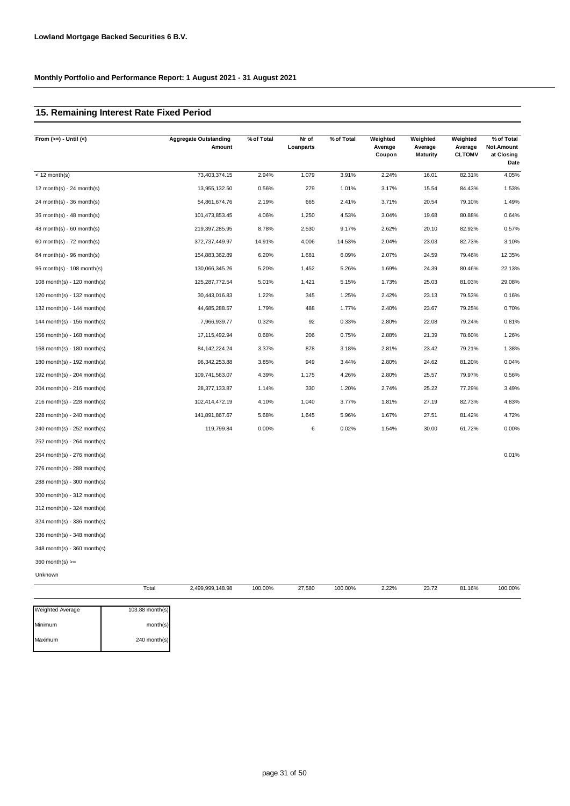### **15. Remaining Interest Rate Fixed Period**

| From $(>=) -$ Until $(<)$   | <b>Aggregate Outstanding</b><br>Amount | % of Total | Nr of<br>Loanparts | % of Total | Weighted<br>Average<br>Coupon | Weighted<br>Average<br><b>Maturity</b> | Weighted<br>Average<br><b>CLTOMV</b> | % of Total<br>Not.Amount<br>at Closing<br>Date |
|-----------------------------|----------------------------------------|------------|--------------------|------------|-------------------------------|----------------------------------------|--------------------------------------|------------------------------------------------|
| $<$ 12 month(s)             | 73,403,374.15                          | 2.94%      | 1,079              | 3.91%      | 2.24%                         | 16.01                                  | 82.31%                               | 4.05%                                          |
| 12 month(s) - 24 month(s)   | 13,955,132.50                          | 0.56%      | 279                | 1.01%      | 3.17%                         | 15.54                                  | 84.43%                               | 1.53%                                          |
| 24 month(s) - 36 month(s)   | 54,861,674.76                          | 2.19%      | 665                | 2.41%      | 3.71%                         | 20.54                                  | 79.10%                               | 1.49%                                          |
| 36 month(s) - 48 month(s)   | 101,473,853.45                         | 4.06%      | 1,250              | 4.53%      | 3.04%                         | 19.68                                  | 80.88%                               | 0.64%                                          |
| $48$ month(s) - 60 month(s) | 219,397,285.95                         | 8.78%      | 2,530              | 9.17%      | 2.62%                         | 20.10                                  | 82.92%                               | 0.57%                                          |
| 60 month(s) - $72$ month(s) | 372,737,449.97                         | 14.91%     | 4,006              | 14.53%     | 2.04%                         | 23.03                                  | 82.73%                               | 3.10%                                          |
| 84 month(s) - 96 month(s)   | 154,883,362.89                         | 6.20%      | 1,681              | 6.09%      | 2.07%                         | 24.59                                  | 79.46%                               | 12.35%                                         |
| 96 month(s) - 108 month(s)  | 130,066,345.26                         | 5.20%      | 1,452              | 5.26%      | 1.69%                         | 24.39                                  | 80.46%                               | 22.13%                                         |
| 108 month(s) - 120 month(s) | 125,287,772.54                         | 5.01%      | 1,421              | 5.15%      | 1.73%                         | 25.03                                  | 81.03%                               | 29.08%                                         |
| 120 month(s) - 132 month(s) | 30,443,016.83                          | 1.22%      | 345                | 1.25%      | 2.42%                         | 23.13                                  | 79.53%                               | 0.16%                                          |
| 132 month(s) - 144 month(s) | 44,685,288.57                          | 1.79%      | 488                | 1.77%      | 2.40%                         | 23.67                                  | 79.25%                               | 0.70%                                          |
| 144 month(s) - 156 month(s) | 7,966,939.77                           | 0.32%      | 92                 | 0.33%      | 2.80%                         | 22.08                                  | 79.24%                               | 0.81%                                          |
| 156 month(s) - 168 month(s) | 17,115,492.94                          | 0.68%      | 206                | 0.75%      | 2.88%                         | 21.39                                  | 78.60%                               | 1.26%                                          |
| 168 month(s) - 180 month(s) | 84, 142, 224. 24                       | 3.37%      | 878                | 3.18%      | 2.81%                         | 23.42                                  | 79.21%                               | 1.38%                                          |
| 180 month(s) - 192 month(s) | 96, 342, 253.88                        | 3.85%      | 949                | 3.44%      | 2.80%                         | 24.62                                  | 81.20%                               | 0.04%                                          |
| 192 month(s) - 204 month(s) | 109,741,563.07                         | 4.39%      | 1,175              | 4.26%      | 2.80%                         | 25.57                                  | 79.97%                               | 0.56%                                          |
| 204 month(s) - 216 month(s) | 28,377,133.87                          | 1.14%      | 330                | 1.20%      | 2.74%                         | 25.22                                  | 77.29%                               | 3.49%                                          |
| 216 month(s) - 228 month(s) | 102,414,472.19                         | 4.10%      | 1,040              | 3.77%      | 1.81%                         | 27.19                                  | 82.73%                               | 4.83%                                          |
| 228 month(s) - 240 month(s) | 141,891,867.67                         | 5.68%      | 1,645              | 5.96%      | 1.67%                         | 27.51                                  | 81.42%                               | 4.72%                                          |
| 240 month(s) - 252 month(s) | 119,799.84                             | 0.00%      | 6                  | 0.02%      | 1.54%                         | 30.00                                  | 61.72%                               | 0.00%                                          |
| 252 month(s) - 264 month(s) |                                        |            |                    |            |                               |                                        |                                      |                                                |
| 264 month(s) - 276 month(s) |                                        |            |                    |            |                               |                                        |                                      | 0.01%                                          |
| 276 month(s) - 288 month(s) |                                        |            |                    |            |                               |                                        |                                      |                                                |
| 288 month(s) - 300 month(s) |                                        |            |                    |            |                               |                                        |                                      |                                                |
| 300 month(s) - 312 month(s) |                                        |            |                    |            |                               |                                        |                                      |                                                |
| 312 month(s) - 324 month(s) |                                        |            |                    |            |                               |                                        |                                      |                                                |
| 324 month(s) - 336 month(s) |                                        |            |                    |            |                               |                                        |                                      |                                                |
| 336 month(s) - 348 month(s) |                                        |            |                    |            |                               |                                        |                                      |                                                |
| 348 month(s) - 360 month(s) |                                        |            |                    |            |                               |                                        |                                      |                                                |
| $360$ month(s) $>=$         |                                        |            |                    |            |                               |                                        |                                      |                                                |
| Unknown                     |                                        |            |                    |            |                               |                                        |                                      |                                                |

|                         | Total             | 2,499,999,148.98 | 100.00% | 27,580 | 100.00% | 2.22% | 23.72 | 81.16% | 100.00% |
|-------------------------|-------------------|------------------|---------|--------|---------|-------|-------|--------|---------|
| <b>Weighted Average</b> | $103.88$ month(s) |                  |         |        |         |       |       |        |         |
| Minimum                 | month(s)          |                  |         |        |         |       |       |        |         |
| Maximum                 | 240 month(s)      |                  |         |        |         |       |       |        |         |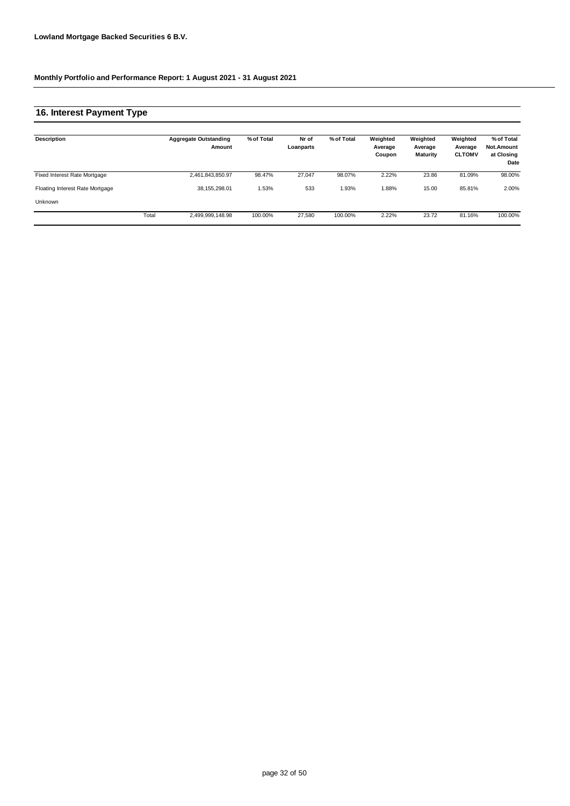### **16. Interest Payment Type**

| Description                     |       | <b>Aggregate Outstanding</b><br>Amount | % of Total | Nr of<br>Loanparts | % of Total | Weighted<br>Average<br>Coupon | Weighted<br>Average<br><b>Maturity</b> | Weighted<br>Average<br><b>CLTOMV</b> | % of Total<br><b>Not.Amount</b><br>at Closing<br>Date |
|---------------------------------|-------|----------------------------------------|------------|--------------------|------------|-------------------------------|----------------------------------------|--------------------------------------|-------------------------------------------------------|
| Fixed Interest Rate Mortgage    |       | 2,461,843,850.97                       | 98.47%     | 27.047             | 98.07%     | 2.22%                         | 23.86                                  | 81.09%                               | 98.00%                                                |
| Floating Interest Rate Mortgage |       | 38.155.298.01                          | 1.53%      | 533                | 1.93%      | 1.88%                         | 15.00                                  | 85.81%                               | 2.00%                                                 |
| Unknown                         |       |                                        |            |                    |            |                               |                                        |                                      |                                                       |
|                                 | Total | 2.499.999.148.98                       | 100.00%    | 27,580             | 100.00%    | 2.22%                         | 23.72                                  | 81.16%                               | 100.00%                                               |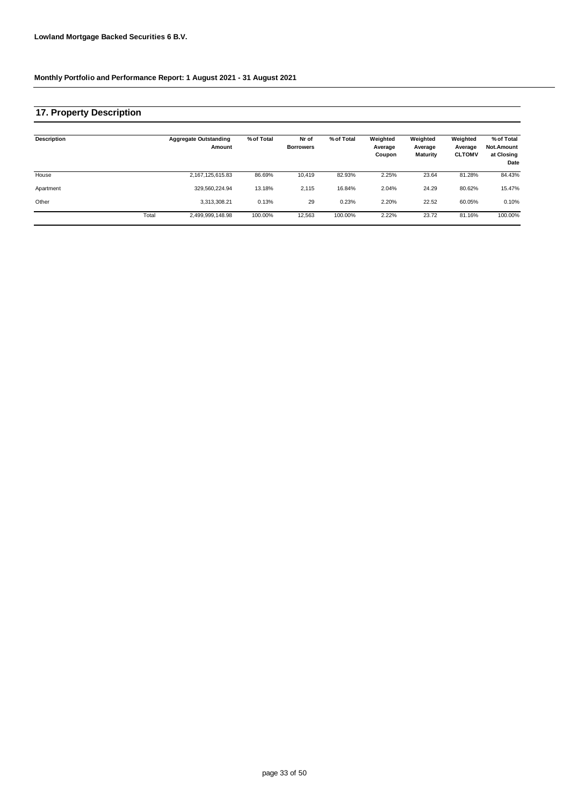### **17. Property Description**

| Description |       | <b>Aggregate Outstanding</b><br>Amount | % of Total | Nr of<br><b>Borrowers</b> | % of Total | Weighted<br>Average<br>Coupon | Weighted<br>Average<br><b>Maturity</b> | Weighted<br>Average<br><b>CLTOMV</b> | % of Total<br><b>Not.Amount</b><br>at Closing<br>Date |
|-------------|-------|----------------------------------------|------------|---------------------------|------------|-------------------------------|----------------------------------------|--------------------------------------|-------------------------------------------------------|
| House       |       | 2,167,125,615.83                       | 86.69%     | 10.419                    | 82.93%     | 2.25%                         | 23.64                                  | 81.28%                               | 84.43%                                                |
| Apartment   |       | 329.560.224.94                         | 13.18%     | 2,115                     | 16.84%     | 2.04%                         | 24.29                                  | 80.62%                               | 15.47%                                                |
| Other       |       | 3,313,308.21                           | 0.13%      | 29                        | 0.23%      | 2.20%                         | 22.52                                  | 60.05%                               | 0.10%                                                 |
|             | Total | 2,499,999,148.98                       | 100.00%    | 12,563                    | 100.00%    | 2.22%                         | 23.72                                  | 81.16%                               | 100.00%                                               |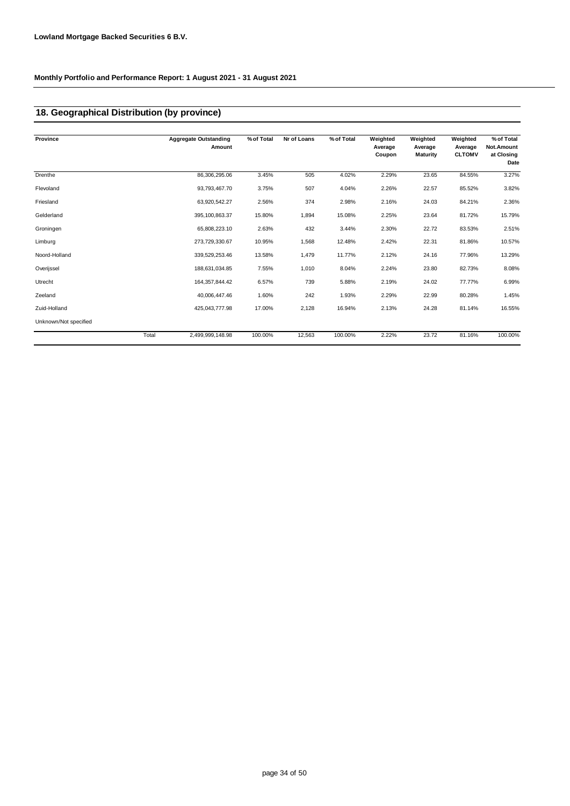### **18. Geographical Distribution (by province)**

| Province              | <b>Aggregate Outstanding</b><br>Amount | % of Total | Nr of Loans | % of Total | Weighted<br>Average<br>Coupon | Weighted<br>Average<br><b>Maturity</b> | Weighted<br>Average<br><b>CLTOMV</b> | % of Total<br>Not.Amount<br>at Closing<br>Date |
|-----------------------|----------------------------------------|------------|-------------|------------|-------------------------------|----------------------------------------|--------------------------------------|------------------------------------------------|
| Drenthe               | 86,306,295.06                          | 3.45%      | 505         | 4.02%      | 2.29%                         | 23.65                                  | 84.55%                               | 3.27%                                          |
| Flevoland             | 93,793,467.70                          | 3.75%      | 507         | 4.04%      | 2.26%                         | 22.57                                  | 85.52%                               | 3.82%                                          |
| Friesland             | 63,920,542.27                          | 2.56%      | 374         | 2.98%      | 2.16%                         | 24.03                                  | 84.21%                               | 2.36%                                          |
| Gelderland            | 395,100,863.37                         | 15.80%     | 1,894       | 15.08%     | 2.25%                         | 23.64                                  | 81.72%                               | 15.79%                                         |
| Groningen             | 65,808,223.10                          | 2.63%      | 432         | 3.44%      | 2.30%                         | 22.72                                  | 83.53%                               | 2.51%                                          |
| Limburg               | 273,729,330.67                         | 10.95%     | 1,568       | 12.48%     | 2.42%                         | 22.31                                  | 81.86%                               | 10.57%                                         |
| Noord-Holland         | 339,529,253.46                         | 13.58%     | 1,479       | 11.77%     | 2.12%                         | 24.16                                  | 77.96%                               | 13.29%                                         |
| Overijssel            | 188,631,034.85                         | 7.55%      | 1,010       | 8.04%      | 2.24%                         | 23.80                                  | 82.73%                               | 8.08%                                          |
| Utrecht               | 164, 357, 844. 42                      | 6.57%      | 739         | 5.88%      | 2.19%                         | 24.02                                  | 77.77%                               | 6.99%                                          |
| Zeeland               | 40,006,447.46                          | 1.60%      | 242         | 1.93%      | 2.29%                         | 22.99                                  | 80.28%                               | 1.45%                                          |
| Zuid-Holland          | 425,043,777.98                         | 17.00%     | 2,128       | 16.94%     | 2.13%                         | 24.28                                  | 81.14%                               | 16.55%                                         |
| Unknown/Not specified |                                        |            |             |            |                               |                                        |                                      |                                                |
|                       | Total<br>2,499,999,148.98              | 100.00%    | 12,563      | 100.00%    | 2.22%                         | 23.72                                  | 81.16%                               | 100.00%                                        |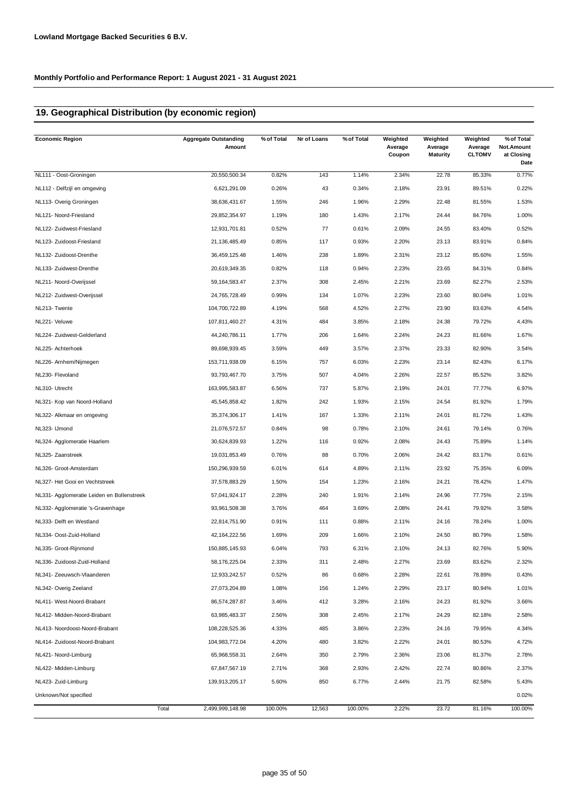### **19. Geographical Distribution (by economic region)**

| <b>Economic Region</b>                     | <b>Aggregate Outstanding</b><br>Amount | % of Total | Nr of Loans | % of Total | Weighted<br>Average<br>Coupon | Weighted<br>Average<br><b>Maturity</b> | Weighted<br>Average<br><b>CLTOMV</b> | % of Total<br>Not.Amount<br>at Closing<br>Date |
|--------------------------------------------|----------------------------------------|------------|-------------|------------|-------------------------------|----------------------------------------|--------------------------------------|------------------------------------------------|
| NL111 - Oost-Groningen                     | 20,550,500.34                          | 0.82%      | 143         | 1.14%      | 2.34%                         | 22.78                                  | 85.33%                               | 0.77%                                          |
| NL112 - Delfzijl en omgeving               | 6,621,291.09                           | 0.26%      | 43          | 0.34%      | 2.18%                         | 23.91                                  | 89.51%                               | 0.22%                                          |
| NL113- Overig Groningen                    | 38,636,431.67                          | 1.55%      | 246         | 1.96%      | 2.29%                         | 22.48                                  | 81.55%                               | 1.53%                                          |
| NL121- Noord-Friesland                     | 29,852,354.97                          | 1.19%      | 180         | 1.43%      | 2.17%                         | 24.44                                  | 84.76%                               | 1.00%                                          |
| NL122- Zuidwest-Friesland                  | 12,931,701.81                          | 0.52%      | 77          | 0.61%      | 2.09%                         | 24.55                                  | 83.40%                               | 0.52%                                          |
| NL123- Zuidoost-Friesland                  | 21,136,485.49                          | 0.85%      | 117         | 0.93%      | 2.20%                         | 23.13                                  | 83.91%                               | 0.84%                                          |
| NL132- Zuidoost-Drenthe                    | 36,459,125.48                          | 1.46%      | 238         | 1.89%      | 2.31%                         | 23.12                                  | 85.60%                               | 1.55%                                          |
| NL133- Zuidwest-Drenthe                    | 20,619,349.35                          | 0.82%      | 118         | 0.94%      | 2.23%                         | 23.65                                  | 84.31%                               | 0.84%                                          |
| NL211- Noord-Overijssel                    | 59, 164, 583. 47                       | 2.37%      | 308         | 2.45%      | 2.21%                         | 23.69                                  | 82.27%                               | 2.53%                                          |
| NL212- Zuidwest-Overijssel                 | 24,765,728.49                          | 0.99%      | 134         | 1.07%      | 2.23%                         | 23.60                                  | 80.04%                               | 1.01%                                          |
| NL213- Twente                              | 104,700,722.89                         | 4.19%      | 568         | 4.52%      | 2.27%                         | 23.90                                  | 83.63%                               | 4.54%                                          |
| NL221- Veluwe                              | 107,811,460.27                         | 4.31%      | 484         | 3.85%      | 2.18%                         | 24.38                                  | 79.72%                               | 4.43%                                          |
| NL224- Zuidwest-Gelderland                 | 44,240,786.11                          | 1.77%      | 206         | 1.64%      | 2.24%                         | 24.23                                  | 81.66%                               | 1.67%                                          |
| NL225- Achterhoek                          | 89,698,939.45                          | 3.59%      | 449         | 3.57%      | 2.37%                         | 23.33                                  | 82.90%                               | 3.54%                                          |
| NL226- Arnhem/Nijmegen                     | 153,711,938.09                         | 6.15%      | 757         | 6.03%      | 2.23%                         | 23.14                                  | 82.43%                               | 6.17%                                          |
| NL230- Flevoland                           | 93,793,467.70                          | 3.75%      | 507         | 4.04%      | 2.26%                         | 22.57                                  | 85.52%                               | 3.82%                                          |
| NL310- Utrecht                             | 163,995,583.87                         | 6.56%      | 737         | 5.87%      | 2.19%                         | 24.01                                  | 77.77%                               | 6.97%                                          |
| NL321- Kop van Noord-Holland               | 45,545,858.42                          | 1.82%      | 242         | 1.93%      | 2.15%                         | 24.54                                  | 81.92%                               | 1.79%                                          |
| NL322- Alkmaar en omgeving                 | 35,374,306.17                          | 1.41%      | 167         | 1.33%      | 2.11%                         | 24.01                                  | 81.72%                               | 1.43%                                          |
| NL323- IJmond                              | 21,076,572.57                          | 0.84%      | 98          | 0.78%      | 2.10%                         | 24.61                                  | 79.14%                               | 0.76%                                          |
| NL324- Agglomeratie Haarlem                | 30,624,839.93                          | 1.22%      | 116         | 0.92%      | 2.08%                         | 24.43                                  | 75.89%                               | 1.14%                                          |
| NL325- Zaanstreek                          | 19,031,853.49                          | 0.76%      | 88          | 0.70%      | 2.06%                         | 24.42                                  | 83.17%                               | 0.61%                                          |
| NL326- Groot-Amsterdam                     | 150,296,939.59                         | 6.01%      | 614         | 4.89%      | 2.11%                         | 23.92                                  | 75.35%                               | 6.09%                                          |
| NL327- Het Gooi en Vechtstreek             | 37,578,883.29                          | 1.50%      | 154         | 1.23%      | 2.16%                         | 24.21                                  | 78.42%                               | 1.47%                                          |
| NL331- Agglomeratie Leiden en Bollenstreek | 57,041,924.17                          | 2.28%      | 240         | 1.91%      | 2.14%                         | 24.96                                  | 77.75%                               | 2.15%                                          |
| NL332- Agglomeratie 's-Gravenhage          | 93,961,508.38                          | 3.76%      | 464         | 3.69%      | 2.08%                         | 24.41                                  | 79.92%                               | 3.58%                                          |
| NL333- Delft en Westland                   | 22,814,751.90                          | 0.91%      | 111         | 0.88%      | 2.11%                         | 24.16                                  | 78.24%                               | 1.00%                                          |
| NL334- Oost-Zuid-Holland                   | 42,164,222.56                          | 1.69%      | 209         | 1.66%      | 2.10%                         | 24.50                                  | 80.79%                               | 1.58%                                          |
| NL335- Groot-Rijnmond                      | 150,885,145.93                         | 6.04%      | 793         | 6.31%      | 2.10%                         | 24.13                                  | 82.76%                               | 5.90%                                          |
| NL336- Zuidoost-Zuid-Holland               | 58,176,225.04                          | 2.33%      | 311         | 2.48%      | 2.27%                         | 23.69                                  | 83.62%                               | 2.32%                                          |
| NL341- Zeeuwsch-Vlaanderen                 | 12,933,242.57                          | 0.52%      | 86          | 0.68%      | 2.28%                         | 22.61                                  | 78.89%                               | 0.43%                                          |
| NL342- Overig Zeeland                      | 27,073,204.89                          | 1.08%      | 156         | 1.24%      | 2.29%                         | 23.17                                  | 80.94%                               | 1.01%                                          |
| NL411- West-Noord-Brabant                  | 86,574,287.87                          | 3.46%      | 412         | 3.28%      | 2.16%                         | 24.23                                  | 81.92%                               | 3.66%                                          |
| NL412- Midden-Noord-Brabant                | 63,985,483.37                          | 2.56%      | 308         | 2.45%      | 2.17%                         | 24.29                                  | 82.18%                               | 2.58%                                          |
| NL413- Noordoost-Noord-Brabant             | 108,228,525.36                         | 4.33%      | 485         | 3.86%      | 2.23%                         | 24.16                                  | 79.95%                               | 4.34%                                          |
| NL414- Zuidoost-Noord-Brabant              | 104,983,772.04                         | 4.20%      | 480         | 3.82%      | 2.22%                         | 24.01                                  | 80.53%                               | 4.72%                                          |
| NL421- Noord-Limburg                       | 65,968,558.31                          | 2.64%      | 350         | 2.79%      | 2.36%                         | 23.06                                  | 81.37%                               | 2.78%                                          |
| NL422- Midden-Limburg                      | 67,847,567.19                          | 2.71%      | 368         | 2.93%      | 2.42%                         | 22.74                                  | 80.86%                               | 2.37%                                          |
| NL423- Zuid-Limburg                        | 139,913,205.17                         | 5.60%      | 850         | 6.77%      | 2.44%                         | 21.75                                  | 82.58%                               | 5.43%                                          |
| Unknown/Not specified                      |                                        |            |             |            |                               |                                        |                                      | 0.02%                                          |
|                                            | Total<br>2,499,999,148.98              | 100.00%    | 12,563      | 100.00%    | 2.22%                         | 23.72                                  | 81.16%                               | 100.00%                                        |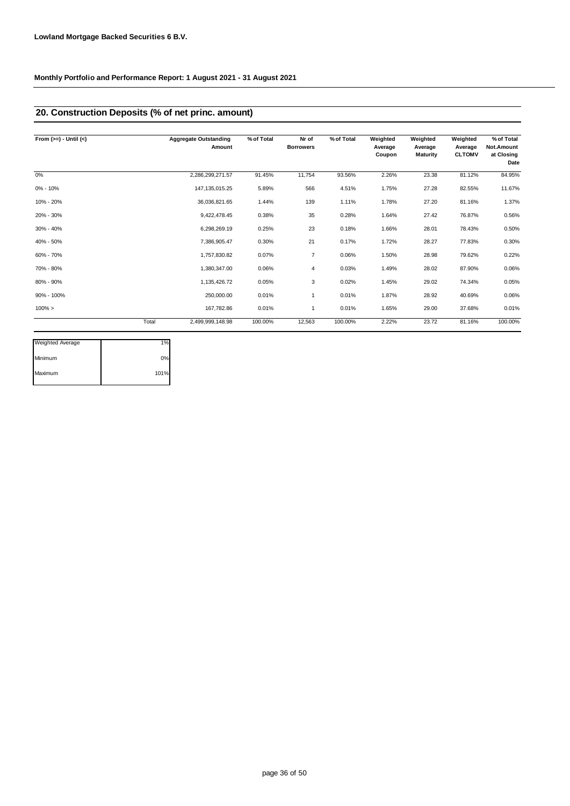### **20. Construction Deposits (% of net princ. amount)**

| From $(>=) -$ Until $(<)$ |       | <b>Aggregate Outstanding</b><br>Amount | % of Total | Nr of<br><b>Borrowers</b> | % of Total | Weighted<br>Average<br>Coupon | Weighted<br>Average<br><b>Maturity</b> | Weighted<br>Average<br><b>CLTOMV</b> | % of Total<br>Not.Amount<br>at Closing<br>Date |
|---------------------------|-------|----------------------------------------|------------|---------------------------|------------|-------------------------------|----------------------------------------|--------------------------------------|------------------------------------------------|
| 0%                        |       | 2,286,299,271.57                       | 91.45%     | 11,754                    | 93.56%     | 2.26%                         | 23.38                                  | 81.12%                               | 84.95%                                         |
| 0% - 10%                  |       | 147, 135, 015.25                       | 5.89%      | 566                       | 4.51%      | 1.75%                         | 27.28                                  | 82.55%                               | 11.67%                                         |
| 10% - 20%                 |       | 36,036,821.65                          | 1.44%      | 139                       | 1.11%      | 1.78%                         | 27.20                                  | 81.16%                               | 1.37%                                          |
| 20% - 30%                 |       | 9,422,478.45                           | 0.38%      | 35                        | 0.28%      | 1.64%                         | 27.42                                  | 76.87%                               | 0.56%                                          |
| 30% - 40%                 |       | 6,298,269.19                           | 0.25%      | 23                        | 0.18%      | 1.66%                         | 28.01                                  | 78.43%                               | 0.50%                                          |
| 40% - 50%                 |       | 7,386,905.47                           | 0.30%      | 21                        | 0.17%      | 1.72%                         | 28.27                                  | 77.83%                               | 0.30%                                          |
| 60% - 70%                 |       | 1,757,830.82                           | 0.07%      | 7                         | 0.06%      | 1.50%                         | 28.98                                  | 79.62%                               | 0.22%                                          |
| 70% - 80%                 |       | 1,380,347.00                           | 0.06%      | 4                         | 0.03%      | 1.49%                         | 28.02                                  | 87.90%                               | 0.06%                                          |
| 80% - 90%                 |       | 1,135,426.72                           | 0.05%      | 3                         | 0.02%      | 1.45%                         | 29.02                                  | 74.34%                               | 0.05%                                          |
| 90% - 100%                |       | 250,000.00                             | 0.01%      | 1                         | 0.01%      | 1.87%                         | 28.92                                  | 40.69%                               | 0.06%                                          |
| $100\% >$                 |       | 167.782.86                             | 0.01%      | 1                         | 0.01%      | 1.65%                         | 29.00                                  | 37.68%                               | 0.01%                                          |
|                           | Total | 2,499,999,148.98                       | 100.00%    | 12,563                    | 100.00%    | 2.22%                         | 23.72                                  | 81.16%                               | 100.00%                                        |

| <b>Weighted Average</b> | 1%   |
|-------------------------|------|
| Minimum                 | 0%   |
| Maximum                 | 101% |
|                         |      |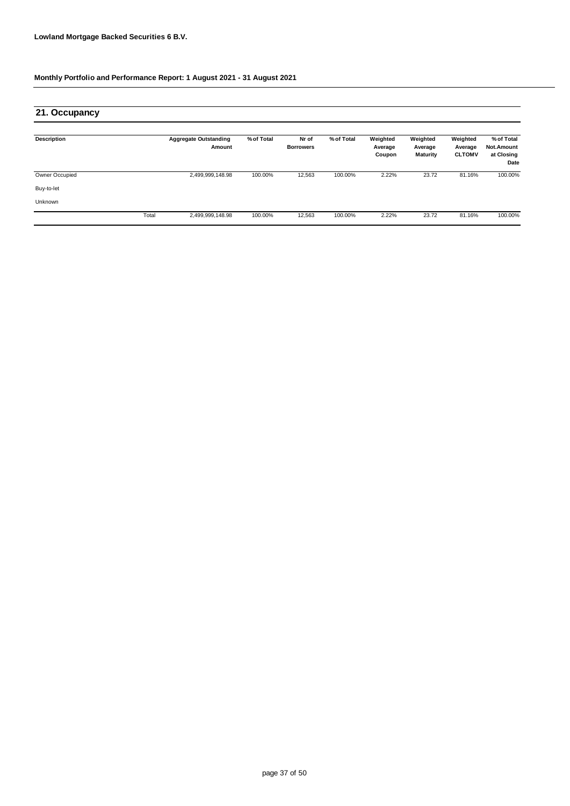| 21. Occupancy         |       |                                        |            |                           |            |                               |                                        |                                      |                                                |
|-----------------------|-------|----------------------------------------|------------|---------------------------|------------|-------------------------------|----------------------------------------|--------------------------------------|------------------------------------------------|
| <b>Description</b>    |       | <b>Aggregate Outstanding</b><br>Amount | % of Total | Nr of<br><b>Borrowers</b> | % of Total | Weighted<br>Average<br>Coupon | Weighted<br>Average<br><b>Maturity</b> | Weighted<br>Average<br><b>CLTOMV</b> | % of Total<br>Not.Amount<br>at Closing<br>Date |
| <b>Owner Occupied</b> |       | 2,499,999,148.98                       | 100.00%    | 12,563                    | 100.00%    | 2.22%                         | 23.72                                  | 81.16%                               | 100.00%                                        |
| Buy-to-let            |       |                                        |            |                           |            |                               |                                        |                                      |                                                |
| Unknown               |       |                                        |            |                           |            |                               |                                        |                                      |                                                |
|                       | Total | 2,499,999,148.98                       | 100.00%    | 12,563                    | 100.00%    | 2.22%                         | 23.72                                  | 81.16%                               | 100.00%                                        |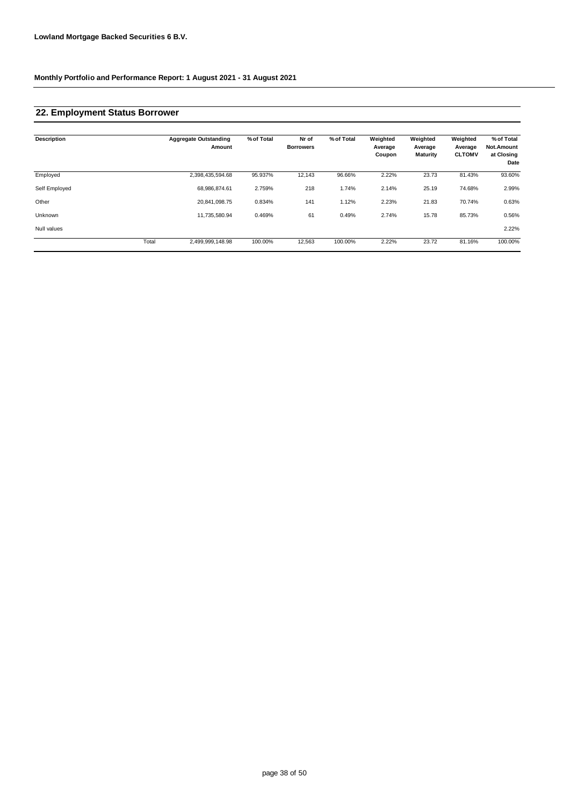## **22. Employment Status Borrower**

| <b>Description</b> |       | <b>Aggregate Outstanding</b><br>Amount | % of Total | Nr of<br><b>Borrowers</b> | % of Total | Weighted<br>Average<br>Coupon | Weighted<br>Average<br><b>Maturity</b> | Weighted<br>Average<br><b>CLTOMV</b> | % of Total<br>Not.Amount<br>at Closing<br>Date |
|--------------------|-------|----------------------------------------|------------|---------------------------|------------|-------------------------------|----------------------------------------|--------------------------------------|------------------------------------------------|
| Employed           |       | 2,398,435,594.68                       | 95.937%    | 12,143                    | 96.66%     | 2.22%                         | 23.73                                  | 81.43%                               | 93.60%                                         |
| Self Employed      |       | 68,986,874.61                          | 2.759%     | 218                       | 1.74%      | 2.14%                         | 25.19                                  | 74.68%                               | 2.99%                                          |
| Other              |       | 20,841,098.75                          | 0.834%     | 141                       | 1.12%      | 2.23%                         | 21.83                                  | 70.74%                               | 0.63%                                          |
| Unknown            |       | 11,735,580.94                          | 0.469%     | 61                        | 0.49%      | 2.74%                         | 15.78                                  | 85.73%                               | 0.56%                                          |
| Null values        |       |                                        |            |                           |            |                               |                                        |                                      | 2.22%                                          |
|                    | Total | 2,499,999,148.98                       | 100.00%    | 12,563                    | 100.00%    | 2.22%                         | 23.72                                  | 81.16%                               | 100.00%                                        |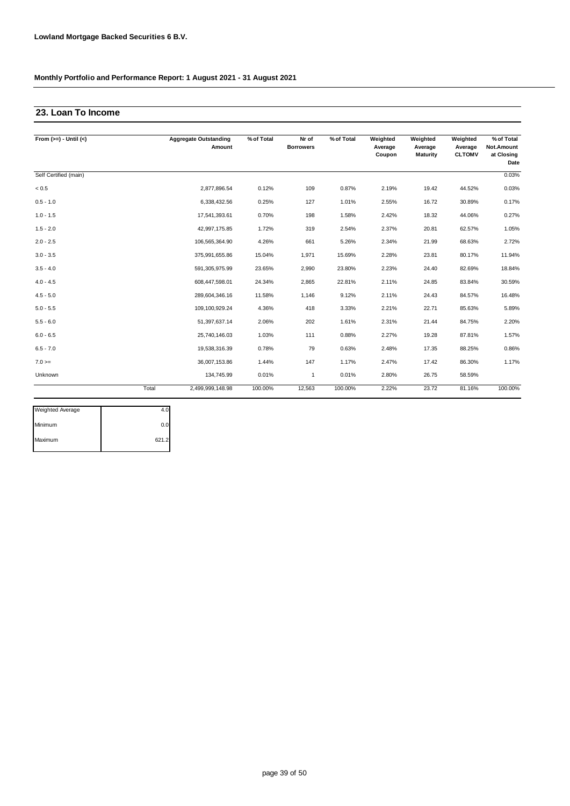## **23. Loan To Income**

| From $(>=) -$ Until $(<)$ |       | <b>Aggregate Outstanding</b><br>Amount | % of Total | Nr of<br><b>Borrowers</b> | % of Total | Weighted<br>Average<br>Coupon | Weighted<br>Average<br>Maturity | Weighted<br>Average<br><b>CLTOMV</b> | % of Total<br>Not.Amount<br>at Closing<br>Date |
|---------------------------|-------|----------------------------------------|------------|---------------------------|------------|-------------------------------|---------------------------------|--------------------------------------|------------------------------------------------|
| Self Certified (main)     |       |                                        |            |                           |            |                               |                                 |                                      | 0.03%                                          |
| < 0.5                     |       | 2,877,896.54                           | 0.12%      | 109                       | 0.87%      | 2.19%                         | 19.42                           | 44.52%                               | 0.03%                                          |
| $0.5 - 1.0$               |       | 6,338,432.56                           | 0.25%      | 127                       | 1.01%      | 2.55%                         | 16.72                           | 30.89%                               | 0.17%                                          |
| $1.0 - 1.5$               |       | 17,541,393.61                          | 0.70%      | 198                       | 1.58%      | 2.42%                         | 18.32                           | 44.06%                               | 0.27%                                          |
| $1.5 - 2.0$               |       | 42,997,175.85                          | 1.72%      | 319                       | 2.54%      | 2.37%                         | 20.81                           | 62.57%                               | 1.05%                                          |
| $2.0 - 2.5$               |       | 106,565,364.90                         | 4.26%      | 661                       | 5.26%      | 2.34%                         | 21.99                           | 68.63%                               | 2.72%                                          |
| $3.0 - 3.5$               |       | 375,991,655.86                         | 15.04%     | 1,971                     | 15.69%     | 2.28%                         | 23.81                           | 80.17%                               | 11.94%                                         |
| $3.5 - 4.0$               |       | 591,305,975.99                         | 23.65%     | 2,990                     | 23.80%     | 2.23%                         | 24.40                           | 82.69%                               | 18.84%                                         |
| $4.0 - 4.5$               |       | 608,447,598.01                         | 24.34%     | 2,865                     | 22.81%     | 2.11%                         | 24.85                           | 83.84%                               | 30.59%                                         |
| $4.5 - 5.0$               |       | 289,604,346.16                         | 11.58%     | 1,146                     | 9.12%      | 2.11%                         | 24.43                           | 84.57%                               | 16.48%                                         |
| $5.0 - 5.5$               |       | 109,100,929.24                         | 4.36%      | 418                       | 3.33%      | 2.21%                         | 22.71                           | 85.63%                               | 5.89%                                          |
| $5.5 - 6.0$               |       | 51,397,637.14                          | 2.06%      | 202                       | 1.61%      | 2.31%                         | 21.44                           | 84.75%                               | 2.20%                                          |
| $6.0 - 6.5$               |       | 25,740,146.03                          | 1.03%      | 111                       | 0.88%      | 2.27%                         | 19.28                           | 87.81%                               | 1.57%                                          |
| $6.5 - 7.0$               |       | 19,538,316.39                          | 0.78%      | 79                        | 0.63%      | 2.48%                         | 17.35                           | 88.25%                               | 0.86%                                          |
| $7.0 =$                   |       | 36,007,153.86                          | 1.44%      | 147                       | 1.17%      | 2.47%                         | 17.42                           | 86.30%                               | 1.17%                                          |
| Unknown                   |       | 134,745.99                             | 0.01%      | $\mathbf{1}$              | 0.01%      | 2.80%                         | 26.75                           | 58.59%                               |                                                |
|                           | Total | 2,499,999,148.98                       | 100.00%    | 12,563                    | 100.00%    | 2.22%                         | 23.72                           | 81.16%                               | 100.00%                                        |

| <b>Weighted Average</b> |       |
|-------------------------|-------|
| Minimum                 | 0.0   |
| Maximum                 | 621.2 |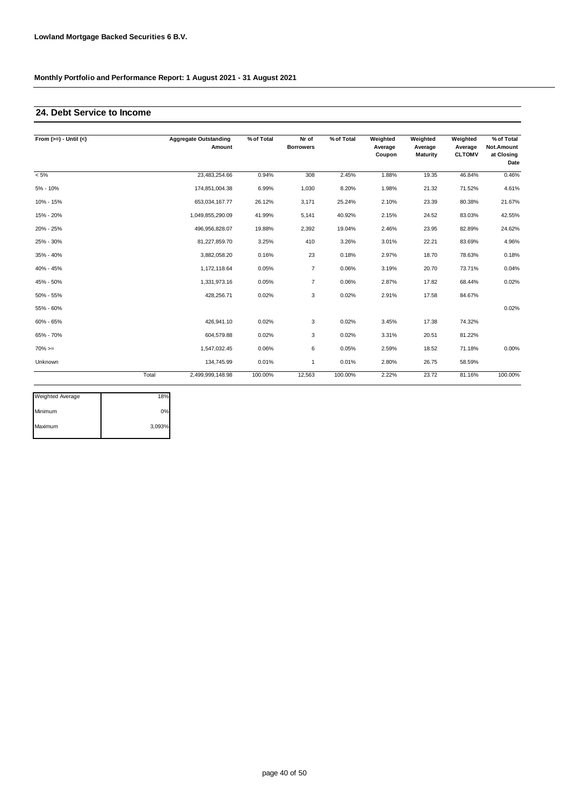## **24. Debt Service to Income**

| From $(>=) -$ Until $(<)$ |       | <b>Aggregate Outstanding</b><br>Amount | % of Total | Nr of<br><b>Borrowers</b> | % of Total | Weighted<br>Average<br>Coupon | Weighted<br>Average<br>Maturity | Weighted<br>Average<br><b>CLTOMV</b> | % of Total<br>Not.Amount<br>at Closing<br>Date |
|---------------------------|-------|----------------------------------------|------------|---------------------------|------------|-------------------------------|---------------------------------|--------------------------------------|------------------------------------------------|
| $< 5\%$                   |       | 23,483,254.66                          | 0.94%      | 308                       | 2.45%      | 1.88%                         | 19.35                           | 46.84%                               | 0.46%                                          |
| 5% - 10%                  |       | 174,851,004.38                         | 6.99%      | 1,030                     | 8.20%      | 1.98%                         | 21.32                           | 71.52%                               | 4.61%                                          |
| 10% - 15%                 |       | 653,034,167.77                         | 26.12%     | 3,171                     | 25.24%     | 2.10%                         | 23.39                           | 80.38%                               | 21.67%                                         |
| 15% - 20%                 |       | 1,049,855,290.09                       | 41.99%     | 5,141                     | 40.92%     | 2.15%                         | 24.52                           | 83.03%                               | 42.55%                                         |
| 20% - 25%                 |       | 496,956,828.07                         | 19.88%     | 2,392                     | 19.04%     | 2.46%                         | 23.95                           | 82.89%                               | 24.62%                                         |
| 25% - 30%                 |       | 81,227,859.70                          | 3.25%      | 410                       | 3.26%      | 3.01%                         | 22.21                           | 83.69%                               | 4.96%                                          |
| 35% - 40%                 |       | 3,882,058.20                           | 0.16%      | 23                        | 0.18%      | 2.97%                         | 18.70                           | 78.63%                               | 0.18%                                          |
| 40% - 45%                 |       | 1,172,118.64                           | 0.05%      | $\overline{7}$            | 0.06%      | 3.19%                         | 20.70                           | 73.71%                               | 0.04%                                          |
| 45% - 50%                 |       | 1,331,973.16                           | 0.05%      | $\overline{7}$            | 0.06%      | 2.87%                         | 17.82                           | 68.44%                               | 0.02%                                          |
| 50% - 55%                 |       | 428,256.71                             | 0.02%      | 3                         | 0.02%      | 2.91%                         | 17.58                           | 84.67%                               |                                                |
| 55% - 60%                 |       |                                        |            |                           |            |                               |                                 |                                      | 0.02%                                          |
| 60% - 65%                 |       | 426,941.10                             | 0.02%      | 3                         | 0.02%      | 3.45%                         | 17.38                           | 74.32%                               |                                                |
| 65% - 70%                 |       | 604,579.88                             | 0.02%      | 3                         | 0.02%      | 3.31%                         | 20.51                           | 81.22%                               |                                                |
| $70\%>=$                  |       | 1,547,032.45                           | 0.06%      | 6                         | 0.05%      | 2.59%                         | 18.52                           | 71.18%                               | 0.00%                                          |
| Unknown                   |       | 134,745.99                             | 0.01%      | $\overline{1}$            | 0.01%      | 2.80%                         | 26.75                           | 58.59%                               |                                                |
|                           | Total | 2,499,999,148.98                       | 100.00%    | 12,563                    | 100.00%    | 2.22%                         | 23.72                           | 81.16%                               | 100.00%                                        |

| <b>Weighted Average</b> | 18%    |
|-------------------------|--------|
| Minimum                 | 0%     |
| Maximum                 | 3,093% |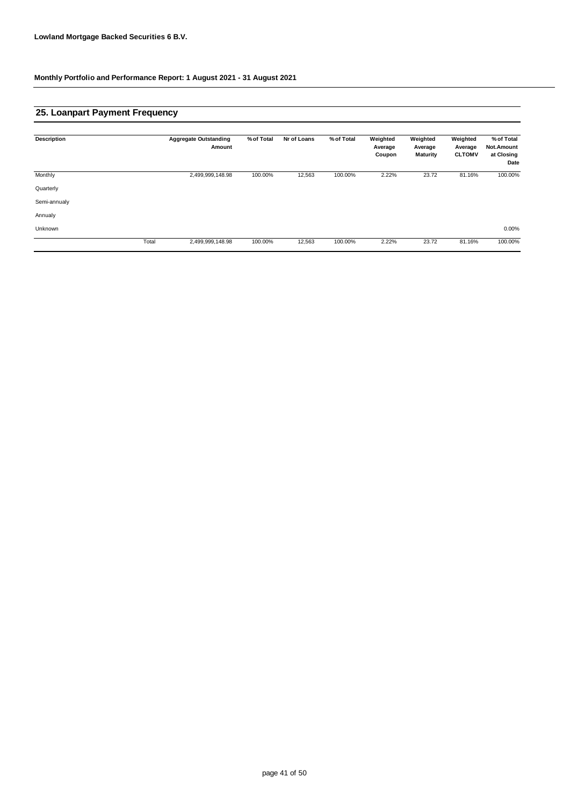## **25. Loanpart Payment Frequency**

| <b>Description</b> |       | <b>Aggregate Outstanding</b><br>Amount | % of Total | Nr of Loans | % of Total | Weighted<br>Average<br>Coupon | Weighted<br>Average<br><b>Maturity</b> | Weighted<br>Average<br><b>CLTOMV</b> | % of Total<br>Not.Amount<br>at Closing<br>Date |
|--------------------|-------|----------------------------------------|------------|-------------|------------|-------------------------------|----------------------------------------|--------------------------------------|------------------------------------------------|
| Monthly            |       | 2,499,999,148.98                       | 100.00%    | 12,563      | 100.00%    | 2.22%                         | 23.72                                  | 81.16%                               | 100.00%                                        |
| Quarterly          |       |                                        |            |             |            |                               |                                        |                                      |                                                |
| Semi-annualy       |       |                                        |            |             |            |                               |                                        |                                      |                                                |
| Annualy            |       |                                        |            |             |            |                               |                                        |                                      |                                                |
| Unknown            |       |                                        |            |             |            |                               |                                        |                                      | $0.00\%$                                       |
|                    | Total | 2,499,999,148.98                       | 100.00%    | 12,563      | 100.00%    | 2.22%                         | 23.72                                  | 81.16%                               | 100.00%                                        |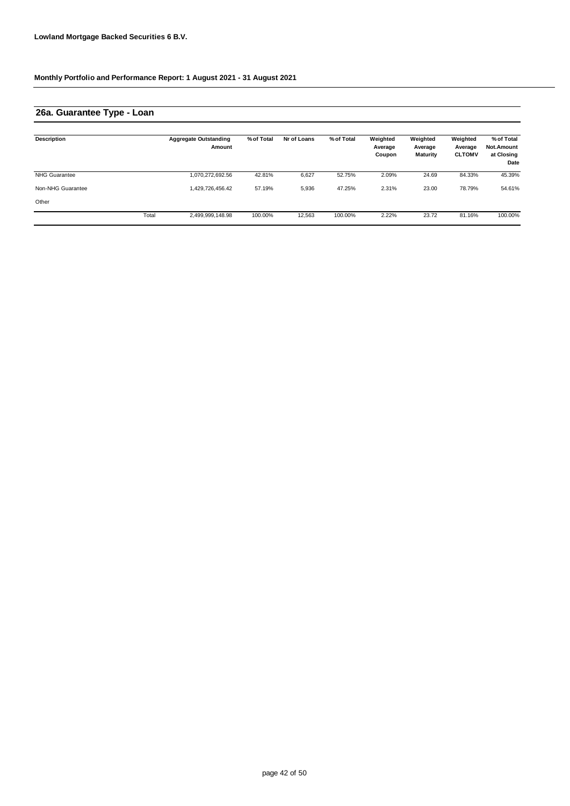### **26a. Guarantee Type - Loan**

| Description          |       | <b>Aggregate Outstanding</b><br>Amount | % of Total | Nr of Loans | % of Total | Weighted<br>Average<br>Coupon | Weighted<br>Average<br><b>Maturity</b> | Weighted<br>Average<br><b>CLTOMV</b> | % of Total<br><b>Not.Amount</b><br>at Closing<br>Date |
|----------------------|-------|----------------------------------------|------------|-------------|------------|-------------------------------|----------------------------------------|--------------------------------------|-------------------------------------------------------|
| <b>NHG Guarantee</b> |       | 1,070,272,692.56                       | 42.81%     | 6,627       | 52.75%     | 2.09%                         | 24.69                                  | 84.33%                               | 45.39%                                                |
| Non-NHG Guarantee    |       | 1.429.726.456.42                       | 57.19%     | 5,936       | 47.25%     | 2.31%                         | 23.00                                  | 78.79%                               | 54.61%                                                |
| Other                |       |                                        |            |             |            |                               |                                        |                                      |                                                       |
|                      | Total | 2,499,999,148.98                       | 100.00%    | 12,563      | 100.00%    | 2.22%                         | 23.72                                  | 81.16%                               | 100.00%                                               |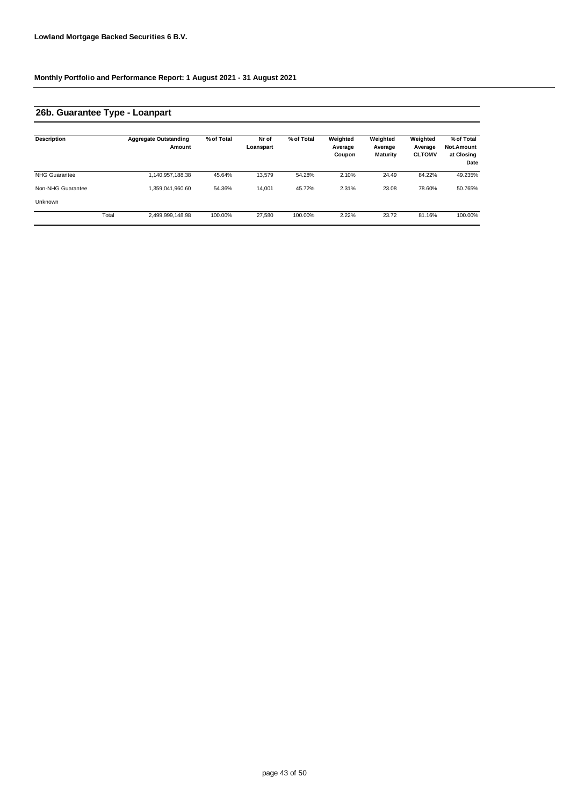### **26b. Guarantee Type - Loanpart**

| <b>Description</b>   |       | <b>Aggregate Outstanding</b><br>Amount | % of Total | Nr of<br>Loanspart | % of Total | Weighted<br>Average<br>Coupon | Weighted<br>Average<br><b>Maturity</b> | Weighted<br>Average<br><b>CLTOMV</b> | % of Total<br><b>Not.Amount</b><br>at Closing<br>Date |
|----------------------|-------|----------------------------------------|------------|--------------------|------------|-------------------------------|----------------------------------------|--------------------------------------|-------------------------------------------------------|
| <b>NHG Guarantee</b> |       | 1,140,957,188.38                       | 45.64%     | 13.579             | 54.28%     | 2.10%                         | 24.49                                  | 84.22%                               | 49.235%                                               |
| Non-NHG Guarantee    |       | 1,359,041,960.60                       | 54.36%     | 14,001             | 45.72%     | 2.31%                         | 23.08                                  | 78.60%                               | 50.765%                                               |
| Unknown              |       |                                        |            |                    |            |                               |                                        |                                      |                                                       |
|                      | Total | 2,499,999,148.98                       | 100.00%    | 27.580             | 100.00%    | 2.22%                         | 23.72                                  | 81.16%                               | 100.00%                                               |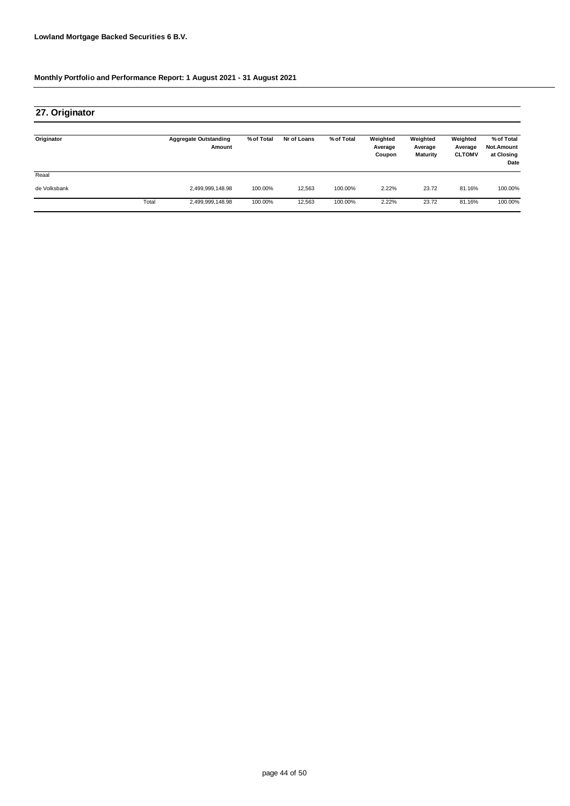| 27. Originator |       |                                        |            |             |            |                               |                                        |                                      |                                                |
|----------------|-------|----------------------------------------|------------|-------------|------------|-------------------------------|----------------------------------------|--------------------------------------|------------------------------------------------|
| Originator     |       | <b>Aggregate Outstanding</b><br>Amount | % of Total | Nr of Loans | % of Total | Weighted<br>Average<br>Coupon | Weighted<br>Average<br><b>Maturity</b> | Weighted<br>Average<br><b>CLTOMV</b> | % of Total<br>Not.Amount<br>at Closing<br>Date |
| Reaal          |       |                                        |            |             |            |                               |                                        |                                      |                                                |
| de Volksbank   |       | 2,499,999,148.98                       | 100.00%    | 12.563      | 100.00%    | 2.22%                         | 23.72                                  | 81.16%                               | 100.00%                                        |
|                | Total | 2,499,999,148.98                       | 100.00%    | 12,563      | 100.00%    | 2.22%                         | 23.72                                  | 81.16%                               | 100.00%                                        |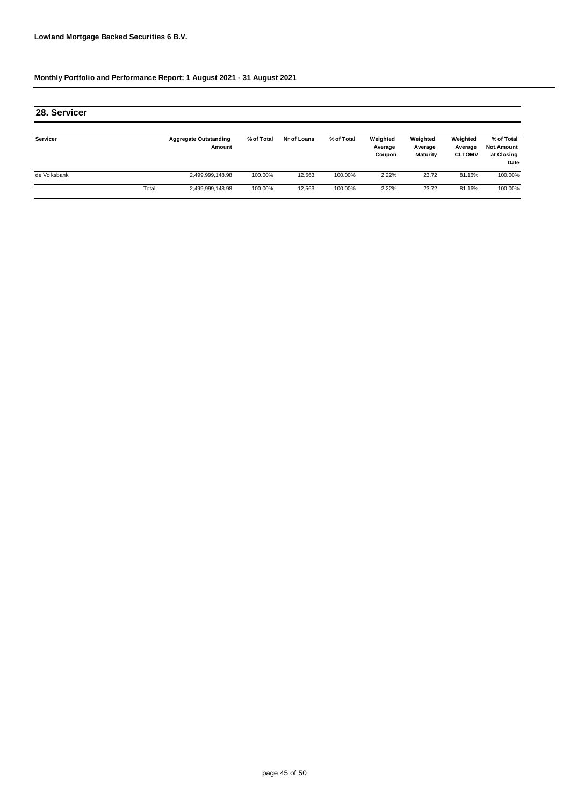| 28. Servicer |       |                                        |            |             |            |                               |                                 |                                      |                                                |
|--------------|-------|----------------------------------------|------------|-------------|------------|-------------------------------|---------------------------------|--------------------------------------|------------------------------------------------|
| Servicer     |       | <b>Aggregate Outstanding</b><br>Amount | % of Total | Nr of Loans | % of Total | Weighted<br>Average<br>Coupon | Weighted<br>Average<br>Maturity | Weighted<br>Average<br><b>CLTOMV</b> | % of Total<br>Not.Amount<br>at Closing<br>Date |
| de Volksbank |       | 2,499,999,148.98                       | 100.00%    | 12,563      | 100.00%    | 2.22%                         | 23.72                           | 81.16%                               | 100.00%                                        |
|              | Total | 2,499,999,148.98                       | 100.00%    | 12,563      | 100.00%    | 2.22%                         | 23.72                           | 81.16%                               | 100.00%                                        |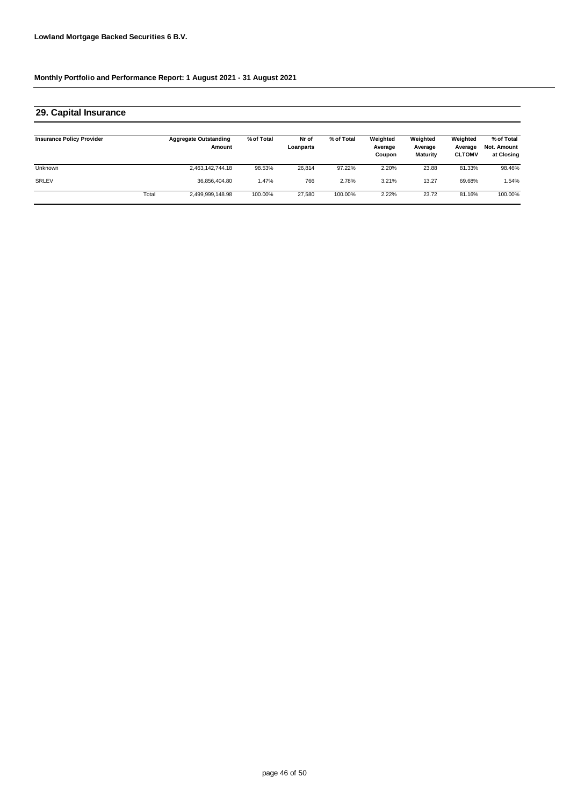#### **Insurance Policy Provider Aggregate Outstanding Amount % of Total Nr of Loanparts Weighted % of Total Weighted Average Coupon Weighted Average CLTOMV % of Total Not. Amount at Closing** Unknown 2,463,142,744.18 98.53% 26,814 2.20% 81.33% 98.46% SRLEV 36,856,404.80 1.47% 766 3.21% 69.68% 1.54% Total 2,499,999,148.98 100.00% 27,580 100.00% 2.22% 23.72 81.16% 100.00% **Average Maturity** 97.22% 23.88 2.78% 13.27 **29. Capital Insurance**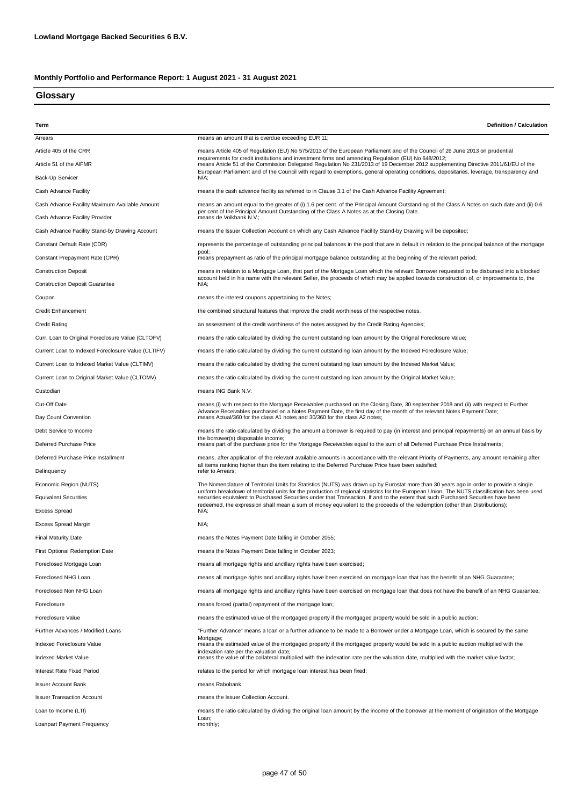### **Glossary**

| Term                                               | <b>Definition / Calculation</b>                                                                                                                                                                                                                                                            |
|----------------------------------------------------|--------------------------------------------------------------------------------------------------------------------------------------------------------------------------------------------------------------------------------------------------------------------------------------------|
| Arrears                                            | means an amount that is overdue exceeding EUR 11;                                                                                                                                                                                                                                          |
| Article 405 of the CRR                             | means Article 405 of Regulation (EU) No 575/2013 of the European Parliament and of the Council of 26 June 2013 on prudential<br>requirements for credit institutions and investment firms and amending Requlation (EU) No 648/2012;                                                        |
| Article 51 of the AIFMR                            | means Article 51 of the Commission Delegated Regulation No 231/2013 of 19 December 2012 supplementing Directive 2011/61/EU of the                                                                                                                                                          |
| Back-Up Servicer                                   | European Parliament and of the Council with regard to exemptions, general operating conditions, depositaries, leverage, transparency and<br>N/A;                                                                                                                                           |
| Cash Advance Facility                              | means the cash advance facility as referred to in Clause 3.1 of the Cash Advance Facility Agreement;                                                                                                                                                                                       |
| Cash Advance Facility Maximum Available Amount     | means an amount equal to the greater of (i) 1.6 per cent. of the Principal Amount Outstanding of the Class A Notes on such date and (ii) 0.6                                                                                                                                               |
| Cash Advance Facility Provider                     | per cent of the Principal Amount Outstanding of the Class A Notes as at the Closing Date.<br>means de Volkbank N.V.;                                                                                                                                                                       |
| Cash Advance Facility Stand-by Drawing Account     | means the Issuer Collection Account on which any Cash Advance Facility Stand-by Drawing will be deposited;                                                                                                                                                                                 |
| Constant Default Rate (CDR)                        | represents the percentage of outstanding principal balances in the pool that are in default in relation to the principal balance of the mortgage                                                                                                                                           |
| Constant Prepayment Rate (CPR)                     | pool;<br>means prepayment as ratio of the principal mortgage balance outstanding at the beginning of the relevant period;                                                                                                                                                                  |
| <b>Construction Deposit</b>                        | means in relation to a Mortgage Loan, that part of the Mortgage Loan which the relevant Borrower requested to be disbursed into a blocked                                                                                                                                                  |
| <b>Construction Deposit Guarantee</b>              | account held in his name with the relevant Seller, the proceeds of which may be applied towards construction of, or improvements to, the<br>N/A;                                                                                                                                           |
| Coupon                                             | means the interest coupons appertaining to the Notes;                                                                                                                                                                                                                                      |
| <b>Credit Enhancement</b>                          | the combined structural features that improve the credit worthiness of the respective notes.                                                                                                                                                                                               |
| <b>Credit Rating</b>                               | an assessment of the credit worthiness of the notes assigned by the Credit Rating Agencies;                                                                                                                                                                                                |
| Curr. Loan to Original Foreclosure Value (CLTOFV)  | means the ratio calculated by dividing the current outstanding loan amount by the Orignal Foreclosure Value;                                                                                                                                                                               |
| Current Loan to Indexed Foreclosure Value (CLTIFV) | means the ratio calculated by dividing the current outstanding loan amount by the Indexed Foreclosure Value;                                                                                                                                                                               |
| Current Loan to Indexed Market Value (CLTIMV)      | means the ratio calculated by dividing the current outstanding loan amount by the Indexed Market Value;                                                                                                                                                                                    |
| Current Loan to Original Market Value (CLTOMV)     | means the ratio calculated by dividing the current outstanding loan amount by the Original Market Value;                                                                                                                                                                                   |
| Custodian                                          | means ING Bank N.V.                                                                                                                                                                                                                                                                        |
|                                                    |                                                                                                                                                                                                                                                                                            |
| Cut-Off Date                                       | means (i) with respect to the Mortgage Receivables purchased on the Closing Date, 30 september 2018 and (ii) with respect to Further<br>Advance Receivables purchased on a Notes Payment Date, the first day of the month of the relevant Notes Payment Date;                              |
| Day Count Convention                               | means Actual/360 for the class A1 notes and 30/360 for the class A2 notes;                                                                                                                                                                                                                 |
| Debt Service to Income                             | means the ratio calculated by dividing the amount a borrower is required to pay (in interest and principal repayments) on an annual basis by<br>the borrower(s) disposable income;                                                                                                         |
| Deferred Purchase Price                            | means part of the purchase price for the Mortgage Receivables equal to the sum of all Deferred Purchase Price Instalments;                                                                                                                                                                 |
| Deferred Purchase Price Installment                | means, after application of the relevant available amounts in accordance with the relevant Priority of Payments, any amount remaining after<br>all items ranking higher than the item relating to the Deferred Purchase Price have been satisfied;                                         |
| Delinquency                                        | refer to Arrears;                                                                                                                                                                                                                                                                          |
| Economic Region (NUTS)                             | The Nomenclature of Territorial Units for Statistics (NUTS) was drawn up by Eurostat more than 30 years ago in order to provide a single<br>uniform breakdown of territorial units for the production of regional statistics for the European Union. The NUTS classification has been used |
| <b>Equivalent Securities</b>                       | securities equivalent to Purchased Securities under that Transaction. If and to the extent that such Purchased Securities have been<br>redeemed, the expression shall mean a sum of money equivalent to the proceeds of the redemption (other than Distributions);                         |
| <b>Excess Spread</b>                               | N/A;                                                                                                                                                                                                                                                                                       |
| Excess Spread Margin                               | N/A;                                                                                                                                                                                                                                                                                       |
| <b>Final Maturity Date</b>                         | means the Notes Payment Date falling in October 2055;                                                                                                                                                                                                                                      |
| First Optional Redemption Date                     | means the Notes Payment Date falling in October 2023;                                                                                                                                                                                                                                      |
| Foreclosed Mortgage Loan                           | means all mortgage rights and ancillary rights have been exercised;                                                                                                                                                                                                                        |
| Foreclosed NHG Loan                                | means all mortgage rights and ancillary rights have been exercised on mortgage loan that has the benefit of an NHG Guarantee;                                                                                                                                                              |
| Foreclosed Non NHG Loan                            | means all mortgage rights and ancillary rights have been exercised on mortgage loan that does not have the benefit of an NHG Guarantee;                                                                                                                                                    |
| Foreclosure                                        | means forced (partial) repayment of the mortgage loan;                                                                                                                                                                                                                                     |
| Foreclosure Value                                  | means the estimated value of the mortgaged property if the mortgaged property would be sold in a public auction;                                                                                                                                                                           |
| Further Advances / Modified Loans                  | "Further Advance" means a loan or a further advance to be made to a Borrower under a Mortgage Loan, which is secured by the same                                                                                                                                                           |
| Indexed Foreclosure Value                          | Mortgage:<br>means the estimated value of the mortgaged property if the mortgaged property would be sold in a public auction multiplied with the                                                                                                                                           |
| Indexed Market Value                               | indexation rate per the valuation date;<br>means the value of the collateral multiplied with the indexation rate per the valuation date, multiplied with the market value factor;                                                                                                          |
| Interest Rate Fixed Period                         | relates to the period for which mortgage loan interest has been fixed;                                                                                                                                                                                                                     |
| <b>Issuer Account Bank</b>                         | means Rabobank.                                                                                                                                                                                                                                                                            |
| <b>Issuer Transaction Account</b>                  | means the Issuer Collection Account.                                                                                                                                                                                                                                                       |
| Loan to Income (LTI)                               | means the ratio calculated by dividing the original loan amount by the income of the borrower at the moment of origination of the Mortgage                                                                                                                                                 |
| Loanpart Payment Frequency                         | Loan;<br>monthly;                                                                                                                                                                                                                                                                          |
|                                                    |                                                                                                                                                                                                                                                                                            |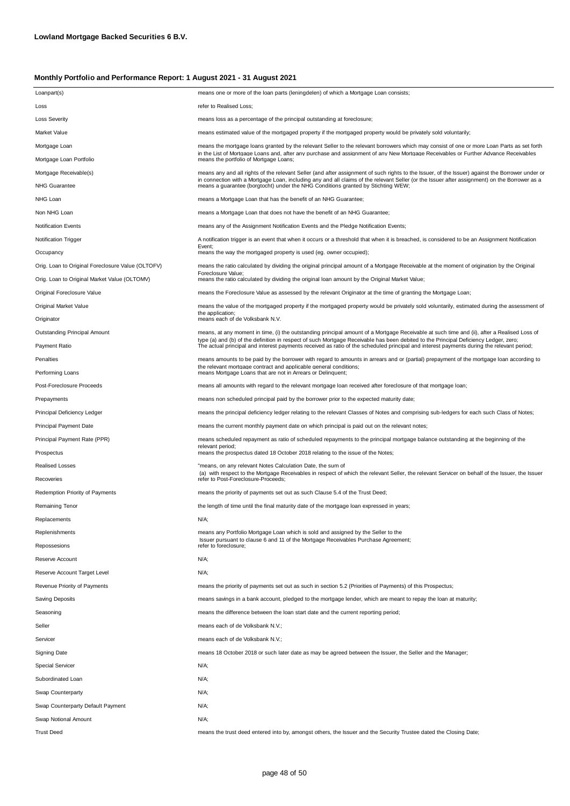| Loanpart(s)                                       | means one or more of the loan parts (leningdelen) of which a Mortgage Loan consists;                                                                                                                                                                                              |
|---------------------------------------------------|-----------------------------------------------------------------------------------------------------------------------------------------------------------------------------------------------------------------------------------------------------------------------------------|
| Loss                                              | refer to Realised Loss;                                                                                                                                                                                                                                                           |
| <b>Loss Severity</b>                              | means loss as a percentage of the principal outstanding at foreclosure;                                                                                                                                                                                                           |
| Market Value                                      | means estimated value of the mortgaged property if the mortgaged property would be privately sold voluntarily;                                                                                                                                                                    |
| Mortgage Loan                                     | means the mortgage loans granted by the relevant Seller to the relevant borrowers which may consist of one or more Loan Parts as set forth                                                                                                                                        |
| Mortgage Loan Portfolio                           | in the List of Mortgage Loans and, after any purchase and assignment of any New Mortgage Receivables or Further Advance Receivables<br>means the portfolio of Mortgage Loans;                                                                                                     |
| Mortgage Receivable(s)                            | means any and all rights of the relevant Seller (and after assignment of such rights to the Issuer, of the Issuer) against the Borrower under or                                                                                                                                  |
| <b>NHG Guarantee</b>                              | in connection with a Mortgage Loan, including any and all claims of the relevant Seller (or the Issuer after assignment) on the Borrower as a<br>means a guarantee (borgtocht) under the NHG Conditions granted by Stichting WEW;                                                 |
| NHG Loan                                          | means a Mortgage Loan that has the benefit of an NHG Guarantee;                                                                                                                                                                                                                   |
| Non NHG Loan                                      | means a Mortgage Loan that does not have the benefit of an NHG Guarantee;                                                                                                                                                                                                         |
| <b>Notification Events</b>                        | means any of the Assignment Notification Events and the Pledge Notification Events;                                                                                                                                                                                               |
| <b>Notification Trigger</b>                       | A notification trigger is an event that when it occurs or a threshold that when it is breached, is considered to be an Assignment Notification                                                                                                                                    |
| Occupancy                                         | Event:<br>means the way the mortgaged property is used (eg. owner occupied);                                                                                                                                                                                                      |
| Orig. Loan to Original Foreclosure Value (OLTOFV) | means the ratio calculated by dividing the original principal amount of a Mortgage Receivable at the moment of origination by the Original                                                                                                                                        |
| Orig. Loan to Original Market Value (OLTOMV)      | Foreclosure Value;<br>means the ratio calculated by dividing the original loan amount by the Original Market Value;                                                                                                                                                               |
| Original Foreclosure Value                        | means the Foreclosure Value as assessed by the relevant Originator at the time of granting the Mortgage Loan;                                                                                                                                                                     |
| Original Market Value                             | means the value of the mortgaged property if the mortgaged property would be privately sold voluntarily, estimated during the assessment of                                                                                                                                       |
| Originator                                        | the application;<br>means each of de Volksbank N.V.                                                                                                                                                                                                                               |
| Outstanding Principal Amount                      | means, at any moment in time, (i) the outstanding principal amount of a Mortgage Receivable at such time and (ii), after a Realised Loss of                                                                                                                                       |
| Payment Ratio                                     | type (a) and (b) of the definition in respect of such Mortgage Receivable has been debited to the Principal Deficiency Ledger, zero;<br>The actual principal and interest payments received as ratio of the scheduled principal and interest payments during the relevant period; |
| Penalties                                         | means amounts to be paid by the borrower with regard to amounts in arrears and or (partial) prepayment of the mortgage loan according to                                                                                                                                          |
| Performing Loans                                  | the relevant mortgage contract and applicable general conditions;<br>means Mortgage Loans that are not in Arrears or Delinquent;                                                                                                                                                  |
| Post-Foreclosure Proceeds                         | means all amounts with regard to the relevant mortgage loan received after foreclosure of that mortgage loan;                                                                                                                                                                     |
| Prepayments                                       | means non scheduled principal paid by the borrower prior to the expected maturity date;                                                                                                                                                                                           |
| Principal Deficiency Ledger                       | means the principal deficiency ledger relating to the relevant Classes of Notes and comprising sub-ledgers for each such Class of Notes;                                                                                                                                          |
| Principal Payment Date                            | means the current monthly payment date on which principal is paid out on the relevant notes;                                                                                                                                                                                      |
| Principal Payment Rate (PPR)                      | means scheduled repayment as ratio of scheduled repayments to the principal mortgage balance outstanding at the beginning of the                                                                                                                                                  |
| Prospectus                                        | relevant period;<br>means the prospectus dated 18 October 2018 relating to the issue of the Notes;                                                                                                                                                                                |
| <b>Realised Losses</b>                            | "means, on any relevant Notes Calculation Date, the sum of                                                                                                                                                                                                                        |
| Recoveries                                        | (a) with respect to the Mortgage Receivables in respect of which the relevant Seller, the relevant Servicer on behalf of the Issuer, the Issuer<br>refer to Post-Foreclosure-Proceeds;                                                                                            |
| Redemption Priority of Payments                   | means the priority of payments set out as such Clause 5.4 of the Trust Deed;                                                                                                                                                                                                      |
| Remaining Tenor                                   | the length of time until the final maturity date of the mortgage loan expressed in years;                                                                                                                                                                                         |
| Replacements                                      | N/A;                                                                                                                                                                                                                                                                              |
| Replenishments                                    | means any Portfolio Mortgage Loan which is sold and assigned by the Seller to the                                                                                                                                                                                                 |
| Repossesions                                      | Issuer pursuant to clause 6 and 11 of the Mortgage Receivables Purchase Agreement;<br>refer to foreclosure;                                                                                                                                                                       |
| Reserve Account                                   | N/A;                                                                                                                                                                                                                                                                              |
| Reserve Account Target Level                      | N/A;                                                                                                                                                                                                                                                                              |
| Revenue Priority of Payments                      | means the priority of payments set out as such in section 5.2 (Priorities of Payments) of this Prospectus;                                                                                                                                                                        |
| Saving Deposits                                   | means savings in a bank account, pledged to the mortgage lender, which are meant to repay the loan at maturity;                                                                                                                                                                   |
| Seasoning                                         | means the difference between the loan start date and the current reporting period;                                                                                                                                                                                                |
| Seller                                            | means each of de Volksbank N.V.;                                                                                                                                                                                                                                                  |
| Servicer                                          | means each of de Volksbank N.V.;                                                                                                                                                                                                                                                  |
| <b>Signing Date</b>                               | means 18 October 2018 or such later date as may be agreed between the Issuer, the Seller and the Manager;                                                                                                                                                                         |
| <b>Special Servicer</b>                           | N/A;                                                                                                                                                                                                                                                                              |
| Subordinated Loan                                 | N/A;                                                                                                                                                                                                                                                                              |
| Swap Counterparty                                 | N/A;                                                                                                                                                                                                                                                                              |
| Swap Counterparty Default Payment                 | N/A;                                                                                                                                                                                                                                                                              |
| Swap Notional Amount                              | N/A;                                                                                                                                                                                                                                                                              |
| <b>Trust Deed</b>                                 | means the trust deed entered into by, amongst others, the Issuer and the Security Trustee dated the Closing Date;                                                                                                                                                                 |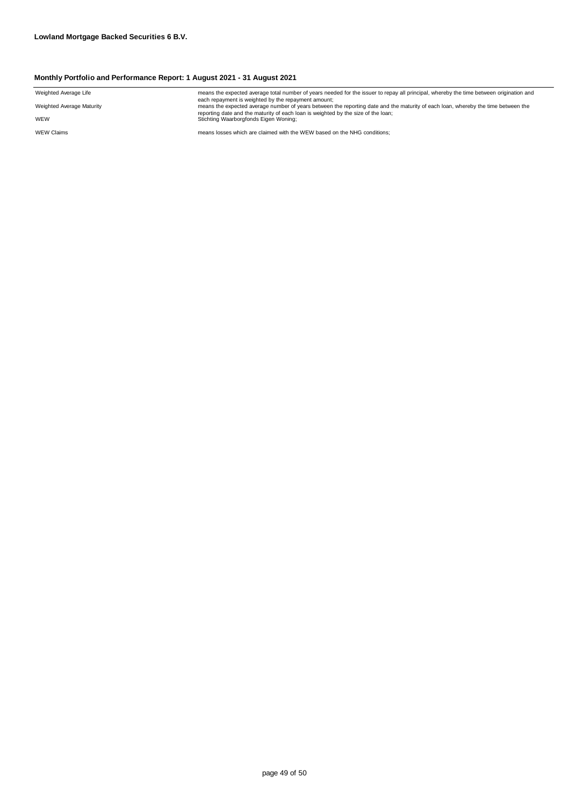| Weighted Average Life     | means the expected average total number of years needed for the issuer to repay all principal, whereby the time between origination and                                                  |
|---------------------------|------------------------------------------------------------------------------------------------------------------------------------------------------------------------------------------|
| Weighted Average Maturity | each repayment is weighted by the repayment amount;<br>means the expected average number of years between the reporting date and the maturity of each loan, whereby the time between the |
| WEW                       | reporting date and the maturity of each loan is weighted by the size of the loan;<br>Stichting Waarborgfonds Eigen Woning;                                                               |
| <b>WEW Claims</b>         | means losses which are claimed with the WEW based on the NHG conditions:                                                                                                                 |